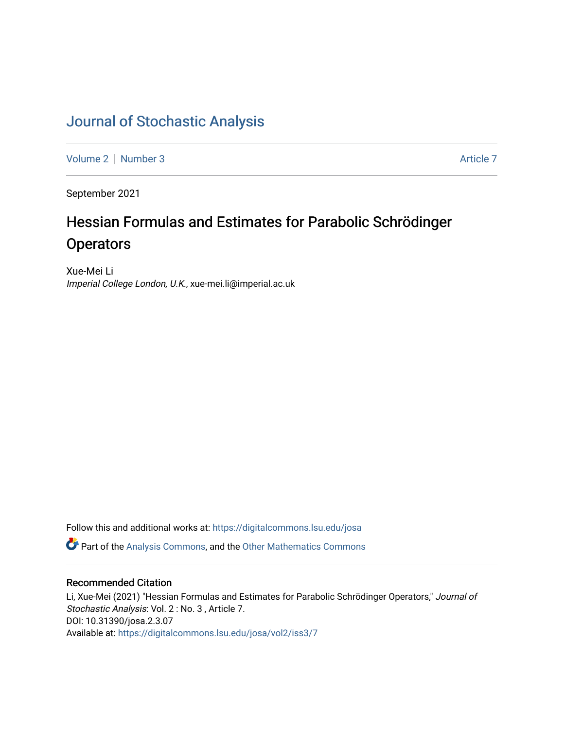# [Journal of Stochastic Analysis](https://digitalcommons.lsu.edu/josa)

[Volume 2](https://digitalcommons.lsu.edu/josa/vol2) | [Number 3](https://digitalcommons.lsu.edu/josa/vol2/iss3) Article 7

September 2021

# Hessian Formulas and Estimates for Parabolic Schrödinger **Operators**

Xue-Mei Li Imperial College London, U.K., xue-mei.li@imperial.ac.uk

Follow this and additional works at: [https://digitalcommons.lsu.edu/josa](https://digitalcommons.lsu.edu/josa?utm_source=digitalcommons.lsu.edu%2Fjosa%2Fvol2%2Fiss3%2F7&utm_medium=PDF&utm_campaign=PDFCoverPages) 

**P** Part of the [Analysis Commons](http://network.bepress.com/hgg/discipline/177?utm_source=digitalcommons.lsu.edu%2Fjosa%2Fvol2%2Fiss3%2F7&utm_medium=PDF&utm_campaign=PDFCoverPages), and the [Other Mathematics Commons](http://network.bepress.com/hgg/discipline/185?utm_source=digitalcommons.lsu.edu%2Fjosa%2Fvol2%2Fiss3%2F7&utm_medium=PDF&utm_campaign=PDFCoverPages)

# Recommended Citation

Li, Xue-Mei (2021) "Hessian Formulas and Estimates for Parabolic Schrödinger Operators," Journal of Stochastic Analysis: Vol. 2 : No. 3 , Article 7. DOI: 10.31390/josa.2.3.07 Available at: [https://digitalcommons.lsu.edu/josa/vol2/iss3/7](https://digitalcommons.lsu.edu/josa/vol2/iss3/7?utm_source=digitalcommons.lsu.edu%2Fjosa%2Fvol2%2Fiss3%2F7&utm_medium=PDF&utm_campaign=PDFCoverPages)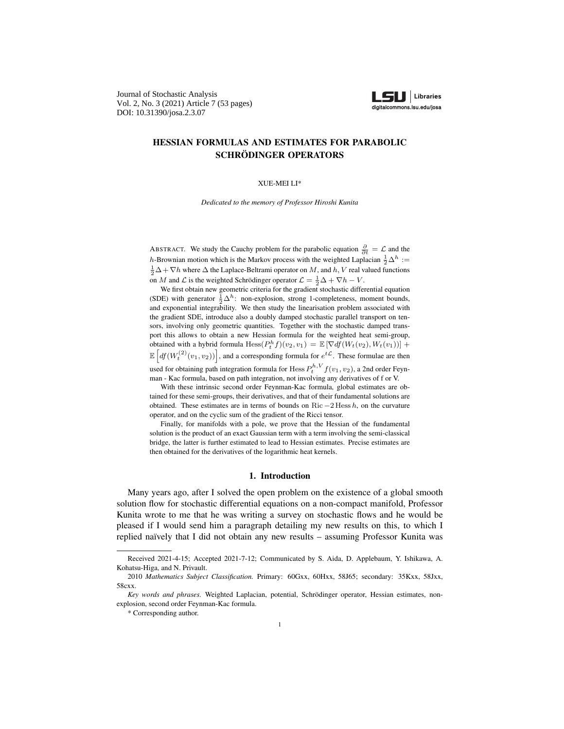Journal of Stochastic Analysis Vol. 2, No. 3 (2021) Article 7 (53 pages) DOI: 10.31390/josa.2.3.07



# HESSIAN FORMULAS AND ESTIMATES FOR PARABOLIC SCHRÖDINGER OPERATORS

XUE-MEI LI\*

*Dedicated to the memory of Professor Hiroshi Kunita*

ABSTRACT. We study the Cauchy problem for the parabolic equation  $\frac{\partial}{\partial t} = \mathcal{L}$  and the h-Brownian motion which is the Markov process with the weighted Laplacian  $\frac{1}{2} \Delta^h :=$  $\frac{1}{2}\Delta + \nabla h$  where  $\Delta$  the Laplace-Beltrami operator on M, and  $h, V$  real valued functions on M and L is the weighted Schrödinger operator  $\mathcal{L} = \frac{1}{2}\Delta + \nabla h - V$ .

We first obtain new geometric criteria for the gradient stochastic differential equation (SDE) with generator  $\frac{1}{2}\Delta^h$ : non-explosion, strong 1-completeness, moment bounds, and exponential integrability. We then study the linearisation problem associated with the gradient SDE, introduce also a doubly damped stochastic parallel transport on tensors, involving only geometric quantities. Together with the stochastic damped transport this allows to obtain a new Hessian formula for the weighted heat semi-group, obtained with a hybrid formula  $Hess(P_t^h f)(v_2, v_1) = \mathbb{E} [\nabla df(W_t(v_2), W_t(v_1))] +$  $\mathbb{E}\left[ df(W_t^{(2)}(v_1,v_2)) \right]$ , and a corresponding formula for  $e^{t\mathcal{L}}$ . These formulae are then used for obtaining path integration formula for  $\text{Hess}\,P_t^{h,V}f(v_1,v_2)$ , a 2nd order Feynman - Kac formula, based on path integration, not involving any derivatives of f or V.

With these intrinsic second order Feynman-Kac formula, global estimates are obtained for these semi-groups, their derivatives, and that of their fundamental solutions are obtained. These estimates are in terms of bounds on Ric  $-2$  Hess h, on the curvature operator, and on the cyclic sum of the gradient of the Ricci tensor.

Finally, for manifolds with a pole, we prove that the Hessian of the fundamental solution is the product of an exact Gaussian term with a term involving the semi-classical bridge, the latter is further estimated to lead to Hessian estimates. Precise estimates are then obtained for the derivatives of the logarithmic heat kernels.

#### 1. Introduction

Many years ago, after I solved the open problem on the existence of a global smooth solution flow for stochastic differential equations on a non-compact manifold, Professor Kunita wrote to me that he was writing a survey on stochastic flows and he would be pleased if I would send him a paragraph detailing my new results on this, to which I replied naïvely that I did not obtain any new results – assuming Professor Kunita was

Received 2021-4-15; Accepted 2021-7-12; Communicated by S. Aida, D. Applebaum, Y. Ishikawa, A. Kohatsu-Higa, and N. Privault.

<sup>2010</sup> *Mathematics Subject Classification.* Primary: 60Gxx, 60Hxx, 58J65; secondary: 35Kxx, 58Jxx, 58cxx.

*Key words and phrases.* Weighted Laplacian, potential, Schrödinger operator, Hessian estimates, nonexplosion, second order Feynman-Kac formula.

<sup>\*</sup> Corresponding author.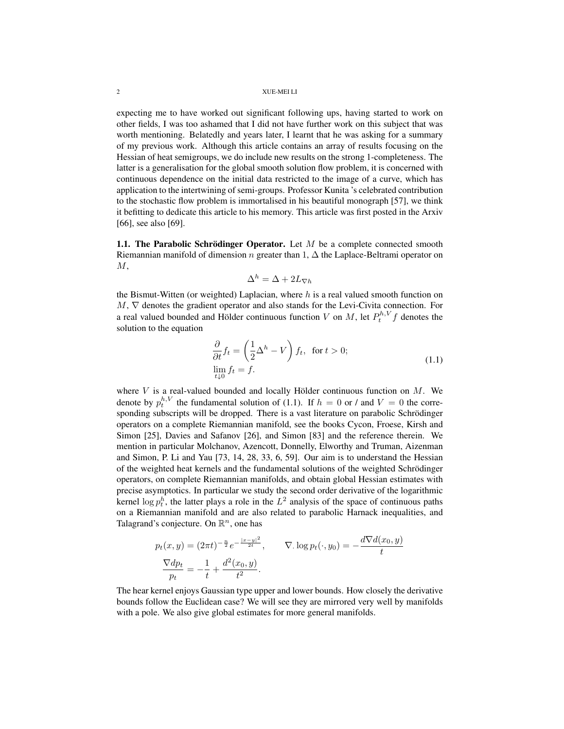expecting me to have worked out significant following ups, having started to work on other fields, I was too ashamed that I did not have further work on this subject that was worth mentioning. Belatedly and years later, I learnt that he was asking for a summary of my previous work. Although this article contains an array of results focusing on the Hessian of heat semigroups, we do include new results on the strong 1-completeness. The latter is a generalisation for the global smooth solution flow problem, it is concerned with continuous dependence on the initial data restricted to the image of a curve, which has application to the intertwining of semi-groups. Professor Kunita 's celebrated contribution to the stochastic flow problem is immortalised in his beautiful monograph [57], we think it befitting to dedicate this article to his memory. This article was first posted in the Arxiv [66], see also [69].

1.1. The Parabolic Schrödinger Operator. Let  $M$  be a complete connected smooth Riemannian manifold of dimension n greater than 1,  $\Delta$  the Laplace-Beltrami operator on  $M,$ 

$$
\Delta^h = \Delta + 2L_{\nabla h}
$$

the Bismut-Witten (or weighted) Laplacian, where  $h$  is a real valued smooth function on  $M, \nabla$  denotes the gradient operator and also stands for the Levi-Civita connection. For a real valued bounded and Hölder continuous function V on M, let  $P_t^{h,V} f$  denotes the solution to the equation

$$
\frac{\partial}{\partial t} f_t = \left(\frac{1}{2}\Delta^h - V\right) f_t, \text{ for } t > 0; \n\lim_{t \downarrow 0} f_t = f.
$$
\n(1.1)

where  $V$  is a real-valued bounded and locally Hölder continuous function on  $M$ . We denote by  $p_t^{h,V}$  the fundamental solution of (1.1). If  $h = 0$  or / and  $V = 0$  the corresponding subscripts will be dropped. There is a vast literature on parabolic Schrödinger operators on a complete Riemannian manifold, see the books Cycon, Froese, Kirsh and Simon [25], Davies and Safanov [26], and Simon [83] and the reference therein. We mention in particular Molchanov, Azencott, Donnelly, Elworthy and Truman, Aizenman and Simon, P. Li and Yau [73, 14, 28, 33, 6, 59]. Our aim is to understand the Hessian of the weighted heat kernels and the fundamental solutions of the weighted Schrödinger operators, on complete Riemannian manifolds, and obtain global Hessian estimates with precise asymptotics. In particular we study the second order derivative of the logarithmic kernel  $\log p_t^h$ , the latter plays a role in the  $L^2$  analysis of the space of continuous paths on a Riemannian manifold and are also related to parabolic Harnack inequalities, and Talagrand's conjecture. On  $\mathbb{R}^n$ , one has

$$
p_t(x, y) = (2\pi t)^{-\frac{n}{2}} e^{-\frac{|x-y|^2}{2t}}, \qquad \nabla \cdot \log p_t(\cdot, y_0) = -\frac{d\nabla d(x_0, y)}{t}
$$

$$
\frac{\nabla dp_t}{p_t} = -\frac{1}{t} + \frac{d^2(x_0, y)}{t^2}.
$$

The hear kernel enjoys Gaussian type upper and lower bounds. How closely the derivative bounds follow the Euclidean case? We will see they are mirrored very well by manifolds with a pole. We also give global estimates for more general manifolds.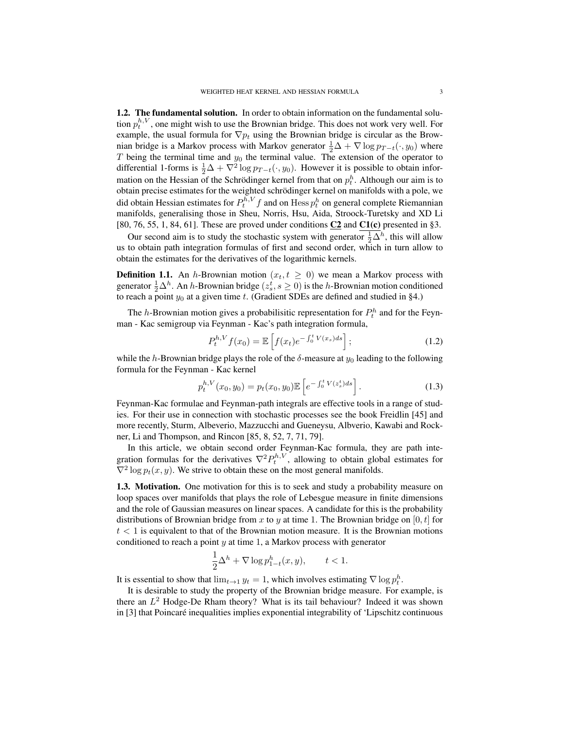1.2. The fundamental solution. In order to obtain information on the fundamental solution  $p_t^{h,V}$ , one might wish to use the Brownian bridge. This does not work very well. For example, the usual formula for  $\nabla p_t$  using the Brownian bridge is circular as the Brownian bridge is a Markov process with Markov generator  $\frac{1}{2}\Delta + \nabla \log p_{T-t}(\cdot, y_0)$  where  $T$  being the terminal time and  $y_0$  the terminal value. The extension of the operator to differential 1-forms is  $\frac{1}{2}\Delta + \nabla^2 \log p_{T-t}(\cdot, y_0)$ . However it is possible to obtain information on the Hessian of the Schrödinger kernel from that on  $p_t^h$ . Although our aim is to obtain precise estimates for the weighted schrodinger kernel on manifolds with a pole, we ¨ did obtain Hessian estimates for  $P_t^{h,V} f$  and on Hess  $p_t^h$  on general complete Riemannian manifolds, generalising those in Sheu, Norris, Hsu, Aida, Stroock-Turetsky and XD Li [80, 76, 55, 1, 84, 61]. These are proved under conditions  $C2$  and  $C1(c)$  presented in §3.

Our second aim is to study the stochastic system with generator  $\frac{1}{2}\Delta^h$ , this will allow us to obtain path integration formulas of first and second order, which in turn allow to obtain the estimates for the derivatives of the logarithmic kernels.

**Definition 1.1.** An h-Brownian motion  $(x_t, t \geq 0)$  we mean a Markov process with generator  $\frac{1}{2}\Delta^h$ . An *h*-Brownian bridge  $(z_s^t, s \ge 0)$  is the *h*-Brownian motion conditioned to reach a point  $y_0$  at a given time t. (Gradient SDEs are defined and studied in §4.)

The *h*-Brownian motion gives a probabilisitic representation for  $P_t^h$  and for the Feynman - Kac semigroup via Feynman - Kac's path integration formula,

$$
P_t^{h,V} f(x_0) = \mathbb{E}\left[f(x_t)e^{-\int_0^t V(x_s)ds}\right];
$$
\n(1.2)

while the h-Brownian bridge plays the role of the  $\delta$ -measure at  $y_0$  leading to the following formula for the Feynman - Kac kernel

$$
p_t^{h,V}(x_0, y_0) = p_t(x_0, y_0) \mathbb{E}\left[e^{-\int_0^t V(z_s^t) ds}\right].
$$
 (1.3)

Feynman-Kac formulae and Feynman-path integrals are effective tools in a range of studies. For their use in connection with stochastic processes see the book Freidlin [45] and more recently, Sturm, Albeverio, Mazzucchi and Gueneysu, Albverio, Kawabi and Rockner, Li and Thompson, and Rincon [85, 8, 52, 7, 71, 79].

In this article, we obtain second order Feynman-Kac formula, they are path integration formulas for the derivatives  $\nabla^2 P_t^{h,V}$ , allowing to obtain global estimates for  $\nabla^2 \log p_t(x, y)$ . We strive to obtain these on the most general manifolds.

1.3. Motivation. One motivation for this is to seek and study a probability measure on loop spaces over manifolds that plays the role of Lebesgue measure in finite dimensions and the role of Gaussian measures on linear spaces. A candidate for this is the probability distributions of Brownian bridge from x to y at time 1. The Brownian bridge on  $[0, t]$  for  $t < 1$  is equivalent to that of the Brownian motion measure. It is the Brownian motions conditioned to reach a point  $y$  at time 1, a Markov process with generator

$$
\frac{1}{2}\Delta^h + \nabla \log p_{1-t}^h(x, y), \qquad t < 1.
$$

It is essential to show that  $\lim_{t\to 1} y_t = 1$ , which involves estimating  $\nabla \log p_t^h$ .

It is desirable to study the property of the Brownian bridge measure. For example, is there an  $L^2$  Hodge-De Rham theory? What is its tail behaviour? Indeed it was shown in [3] that Poincaré inequalities implies exponential integrability of 'Lipschitz continuous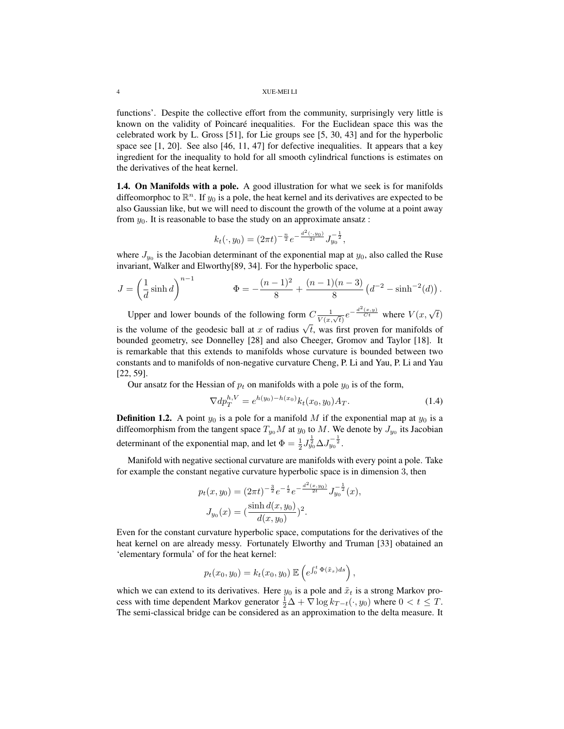functions'. Despite the collective effort from the community, surprisingly very little is known on the validity of Poincare inequalities. For the Euclidean space this was the ´ celebrated work by L. Gross [51], for Lie groups see [5, 30, 43] and for the hyperbolic space see [1, 20]. See also [46, 11, 47] for defective inequalities. It appears that a key ingredient for the inequality to hold for all smooth cylindrical functions is estimates on the derivatives of the heat kernel.

1.4. On Manifolds with a pole. A good illustration for what we seek is for manifolds diffeomorphoc to  $\mathbb{R}^n$ . If  $y_0$  is a pole, the heat kernel and its derivatives are expected to be also Gaussian like, but we will need to discount the growth of the volume at a point away from  $y_0$ . It is reasonable to base the study on an approximate ansatz :

$$
k_t(\cdot, y_0) = (2\pi t)^{-\frac{n}{2}} e^{-\frac{d^2(\cdot, y_0)}{2t}} J_{y_0}^{-\frac{1}{2}},
$$

where  $J_{y_0}$  is the Jacobian determinant of the exponential map at  $y_0$ , also called the Ruse invariant, Walker and Elworthy[89, 34]. For the hyperbolic space,

$$
J = \left(\frac{1}{d}\sinh d\right)^{n-1} \qquad \Phi = -\frac{(n-1)^2}{8} + \frac{(n-1)(n-3)}{8} \left(d^{-2} - \sinh^{-2}(d)\right).
$$

Upper and lower bounds of the following form  $C \frac{1}{V(x,\sqrt{t})} e^{-\frac{d^2(x,y)}{Ct}}$  where  $V(x,\sqrt{t})$ is the volume of the geodesic ball at x of radius  $\sqrt{t}$ , was first proven for manifolds of bounded geometry, see Donnelley [28] and also Cheeger, Gromov and Taylor [18]. It is remarkable that this extends to manifolds whose curvature is bounded between two constants and to manifolds of non-negative curvature Cheng, P. Li and Yau, P. Li and Yau [22, 59].

Our ansatz for the Hessian of  $p_t$  on manifolds with a pole  $y_0$  is of the form,

$$
\nabla dp_T^{h,V} = e^{h(y_0) - h(x_0)} k_t(x_0, y_0) A_T.
$$
\n(1.4)

**Definition 1.2.** A point  $y_0$  is a pole for a manifold M if the exponential map at  $y_0$  is a diffeomorphism from the tangent space  $T_{y_0}M$  at  $y_0$  to M. We denote by  $J_{y_0}$  its Jacobian determinant of the exponential map, and let  $\Phi = \frac{1}{2} J_{y_0}^{\frac{1}{2}} \Delta J_{y_0}^{-\frac{1}{2}}$ .

Manifold with negative sectional curvature are manifolds with every point a pole. Take for example the constant negative curvature hyperbolic space is in dimension 3, then

$$
p_t(x, y_0) = (2\pi t)^{-\frac{3}{2}} e^{-\frac{t}{2}} e^{-\frac{d^2(x, y_0)}{2t}} J_{y_0}^{-\frac{1}{2}}(x),
$$
  

$$
J_{y_0}(x) = (\frac{\sinh d(x, y_0)}{d(x, y_0)})^2.
$$

Even for the constant curvature hyperbolic space, computations for the derivatives of the heat kernel on are already messy. Fortunately Elworthy and Truman [33] obatained an 'elementary formula' of for the heat kernel:

$$
p_t(x_0,y_0)=k_t(x_0,y_0)\mathbb{E}\left(e^{\int_0^t \Phi(\tilde{x}_s)ds}\right),\,
$$

which we can extend to its derivatives. Here  $y_0$  is a pole and  $\tilde{x}_t$  is a strong Markov process with time dependent Markov generator  $\frac{1}{2}\Delta + \nabla \log k_{T-t}(\cdot, y_0)$  where  $0 < t \leq T$ . The semi-classical bridge can be considered as an approximation to the delta measure. It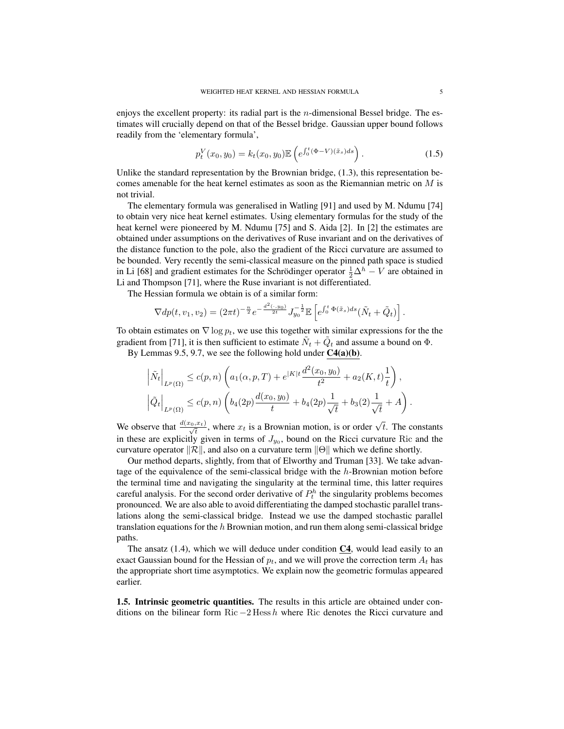enjoys the excellent property: its radial part is the *n*-dimensional Bessel bridge. The estimates will crucially depend on that of the Bessel bridge. Gaussian upper bound follows readily from the 'elementary formula',

$$
p_t^V(x_0, y_0) = k_t(x_0, y_0) \mathbb{E}\left(e^{\int_0^t (\Phi - V)(\tilde{x}_s)ds}\right).
$$
 (1.5)

Unlike the standard representation by the Brownian bridge,  $(1.3)$ , this representation becomes amenable for the heat kernel estimates as soon as the Riemannian metric on  $M$  is not trivial.

The elementary formula was generalised in Watling [91] and used by M. Ndumu [74] to obtain very nice heat kernel estimates. Using elementary formulas for the study of the heat kernel were pioneered by M. Ndumu [75] and S. Aida [2]. In [2] the estimates are obtained under assumptions on the derivatives of Ruse invariant and on the derivatives of the distance function to the pole, also the gradient of the Ricci curvature are assumed to be bounded. Very recently the semi-classical measure on the pinned path space is studied in Li [68] and gradient estimates for the Schrödinger operator  $\frac{1}{2}\Delta^h - V$  are obtained in Li and Thompson [71], where the Ruse invariant is not differentiated.

The Hessian formula we obtain is of a similar form:

$$
\nabla dp(t, v_1, v_2) = (2\pi t)^{-\frac{n}{2}} e^{-\frac{d^2(\cdot, y_0)}{2t}} J_{y_0}^{-\frac{1}{2}} \mathbb{E}\left[e^{\int_0^t \Phi(\tilde{x}_s)ds} (\tilde{N}_t + \tilde{Q}_t)\right].
$$

To obtain estimates on  $\nabla \log p_t$ , we use this together with similar expressions for the the gradient from [71], it is then sufficient to estimate  $\tilde{N}_t + \tilde{Q}_t$  and assume a bound on  $\Phi$ .

By Lemmas 9.5, 9.7, we see the following hold under C4(a)(b).

$$
\left| \tilde{N}_t \right|_{L^p(\Omega)} \le c(p,n) \left( a_1(\alpha, p, T) + e^{|K|t} \frac{d^2(x_0, y_0)}{t^2} + a_2(K, t) \frac{1}{t} \right),
$$
  

$$
\left| \tilde{Q}_t \right|_{L^p(\Omega)} \le c(p,n) \left( b_4(2p) \frac{d(x_0, y_0)}{t} + b_4(2p) \frac{1}{\sqrt{t}} + b_3(2) \frac{1}{\sqrt{t}} + A \right).
$$

We observe that  $\frac{d(x_0, x_t)}{\sqrt{t}}$ , where  $x_t$  is a Brownian motion, is or order  $\sqrt{t}$ . The constants in these are explicitly given in terms of  $J_{y_0}$ , bound on the Ricci curvature Ric and the curvature operator  $\Vert \mathcal{R} \Vert$ , and also on a curvature term  $\Vert \Theta \Vert$  which we define shortly.

Our method departs, slightly, from that of Elworthy and Truman [33]. We take advantage of the equivalence of the semi-classical bridge with the h-Brownian motion before the terminal time and navigating the singularity at the terminal time, this latter requires careful analysis. For the second order derivative of  $P_t^h$  the singularity problems becomes pronounced. We are also able to avoid differentiating the damped stochastic parallel translations along the semi-classical bridge. Instead we use the damped stochastic parallel translation equations for the  $h$  Brownian motion, and run them along semi-classical bridge paths.

The ansatz  $(1.4)$ , which we will deduce under condition  $C_4$ , would lead easily to an exact Gaussian bound for the Hessian of  $p_t$ , and we will prove the correction term  $A_t$  has the appropriate short time asymptotics. We explain now the geometric formulas appeared earlier.

1.5. Intrinsic geometric quantities. The results in this article are obtained under conditions on the bilinear form Ric  $-2$  Hess h where Ric denotes the Ricci curvature and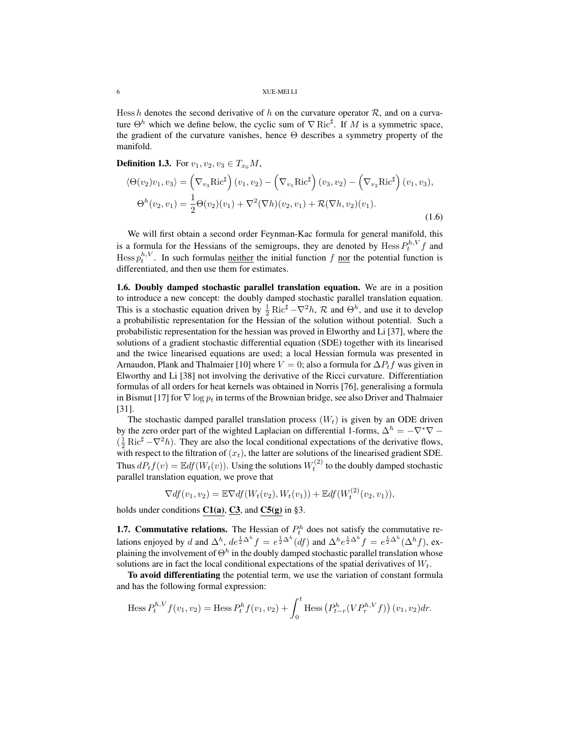Hess h denotes the second derivative of h on the curvature operator  $\mathcal{R}$ , and on a curvature  $\Theta^h$  which we define below, the cyclic sum of  $\nabla$  Ric<sup>#</sup>. If M is a symmetric space, the gradient of the curvature vanishes, hence Θ describes a symmetry property of the manifold.

**Definition 1.3.** For  $v_1, v_2, v_3 \in T_{x_0}M$ ,

$$
\langle \Theta(v_2)v_1, v_3 \rangle = \left(\nabla_{v_3} \text{Ric}^{\sharp}\right)(v_1, v_2) - \left(\nabla_{v_1} \text{Ric}^{\sharp}\right)(v_3, v_2) - \left(\nabla_{v_2} \text{Ric}^{\sharp}\right)(v_1, v_3),
$$

$$
\Theta^h(v_2, v_1) = \frac{1}{2}\Theta(v_2)(v_1) + \nabla^2(\nabla h)(v_2, v_1) + \mathcal{R}(\nabla h, v_2)(v_1).
$$
(1.6)

We will first obtain a second order Feynman-Kac formula for general manifold, this is a formula for the Hessians of the semigroups, they are denoted by  $\text{Hess}\,P_t^{h,V}f$  and Hess  $p_t^{h,V}$ . In such formulas <u>neither</u> the initial function f nor the potential function is differentiated, and then use them for estimates.

1.6. Doubly damped stochastic parallel translation equation. We are in a position to introduce a new concept: the doubly damped stochastic parallel translation equation. This is a stochastic equation driven by  $\frac{1}{2}$  Ric<sup>#</sup>  $-\nabla^2 h$ ,  $\mathcal{R}$  and  $\Theta^h$ , and use it to develop a probabilistic representation for the Hessian of the solution without potential. Such a probabilistic representation for the hessian was proved in Elworthy and Li [37], where the solutions of a gradient stochastic differential equation (SDE) together with its linearised and the twice linearised equations are used; a local Hessian formula was presented in Arnaudon, Plank and Thalmaier [10] where  $V = 0$ ; also a formula for  $\Delta P_t f$  was given in Elworthy and Li [38] not involving the derivative of the Ricci curvature. Differentiation formulas of all orders for heat kernels was obtained in Norris [76], generalising a formula in Bismut [17] for  $\nabla \log p_t$  in terms of the Brownian bridge, see also Driver and Thalmaier [31].

The stochastic damped parallel translation process  $(W_t)$  is given by an ODE driven by the zero order part of the wighted Laplacian on differential 1-forms,  $\Delta^h = -\nabla^*\nabla (\frac{1}{2} \text{Ric}^{\sharp} - \nabla^2 h)$ . They are also the local conditional expectations of the derivative flows, with respect to the filtration of  $(x_t)$ , the latter are solutions of the linearised gradient SDE. Thus  $dP_tf(v) = \mathbb{E} df(W_t(v))$ . Using the solutions  $W_t^{(2)}$  to the doubly damped stochastic parallel translation equation, we prove that

$$
\nabla df(v_1, v_2) = \mathbb{E}\nabla df(W_t(v_2), W_t(v_1)) + \mathbb{E}df(W_t^{(2)}(v_2, v_1)),
$$

holds under conditions  $C1(a)$ ,  $C3$ , and  $C5(g)$  in §3.

**1.7. Commutative relations.** The Hessian of  $P_t^h$  does not satisfy the commutative relations enjoyed by d and  $\Delta^h$ ,  $de^{\frac{1}{2}\Delta^h}f = e^{\frac{1}{2}\Delta^h}(df)$  and  $\Delta^h e^{\frac{1}{2}\Delta^h}f = e^{\frac{1}{2}\Delta^h}(\Delta^h f)$ , explaining the involvement of  $\Theta^h$  in the doubly damped stochastic parallel translation whose solutions are in fact the local conditional expectations of the spatial derivatives of  $W_t$ .

To avoid differentiating the potential term, we use the variation of constant formula and has the following formal expression:

Hess 
$$
P_t^{h,V} f(v_1, v_2)
$$
 = Hess  $P_t^h f(v_1, v_2)$  +  $\int_0^t$  Hess  $(P_{t-r}^h (VP_r^{h,V} f))(v_1, v_2) dr$ .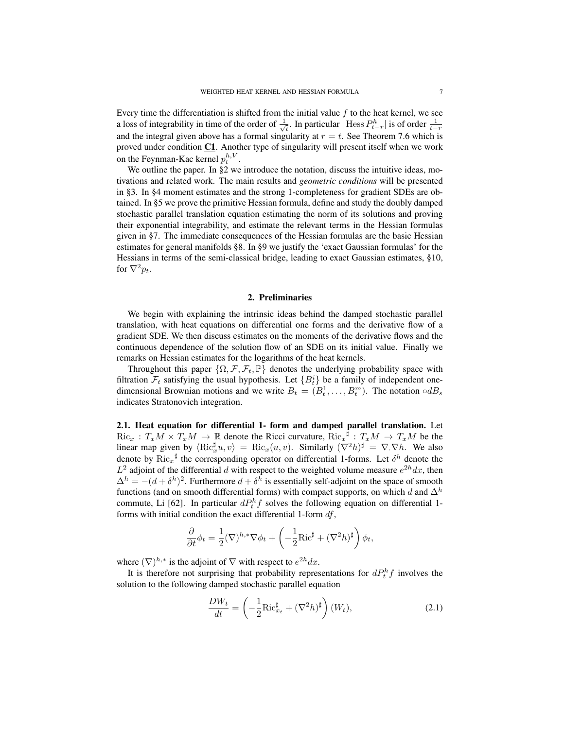Every time the differentiation is shifted from the initial value  $f$  to the heat kernel, we see a loss of integrability in time of the order of  $\frac{1}{\sqrt{2}}$  $\frac{1}{t}$ . In particular | Hess  $P_{t-r}^h$  is of order  $\frac{1}{t-r}$ and the integral given above has a formal singularity at  $r = t$ . See Theorem 7.6 which is proved under condition  $C1$ . Another type of singularity will present itself when we work on the Feynman-Kac kernel  $p_t^{h,V}$ .

We outline the paper. In §2 we introduce the notation, discuss the intuitive ideas, motivations and related work. The main results and *geometric conditions* will be presented in §3. In §4 moment estimates and the strong 1-completeness for gradient SDEs are obtained. In §5 we prove the primitive Hessian formula, define and study the doubly damped stochastic parallel translation equation estimating the norm of its solutions and proving their exponential integrability, and estimate the relevant terms in the Hessian formulas given in §7. The immediate consequences of the Hessian formulas are the basic Hessian estimates for general manifolds §8. In §9 we justify the 'exact Gaussian formulas' for the Hessians in terms of the semi-classical bridge, leading to exact Gaussian estimates, §10, for  $\nabla^2 p_t$ .

#### 2. Preliminaries

We begin with explaining the intrinsic ideas behind the damped stochastic parallel translation, with heat equations on differential one forms and the derivative flow of a gradient SDE. We then discuss estimates on the moments of the derivative flows and the continuous dependence of the solution flow of an SDE on its initial value. Finally we remarks on Hessian estimates for the logarithms of the heat kernels.

Throughout this paper  $\{\Omega, \mathcal{F}, \mathcal{F}_t, \mathbb{P}\}\$  denotes the underlying probability space with filtration  $\mathcal{F}_t$  satisfying the usual hypothesis. Let  $\{B_t^i\}$  be a family of independent onedimensional Brownian motions and we write  $B_t = (B_t^1, \ldots, B_t^m)$ . The notation  $\circ dB_s$ indicates Stratonovich integration.

2.1. Heat equation for differential 1- form and damped parallel translation. Let  $Ric_x : T_xM \times T_xM \to \mathbb{R}$  denote the Ricci curvature,  $Ric_x \to T_xM \to T_xM$  be the linear map given by  $\langle \text{Ric}_x^{\sharp} u, v \rangle = \text{Ric}_x(u, v)$ . Similarly  $(\nabla^2 h)^{\sharp} = \nabla \cdot \nabla h$ . We also denote by  $\text{Ric}_x^{\ \sharp}$  the corresponding operator on differential 1-forms. Let  $\delta^h$  denote the  $L^2$  adjoint of the differential d with respect to the weighted volume measure  $e^{2h}dx$ , then  $\Delta^h = -(d + \delta^h)^2$ . Furthermore  $d + \delta^h$  is essentially self-adjoint on the space of smooth functions (and on smooth differential forms) with compact supports, on which d and  $\Delta^h$ commute, Li [62]. In particular  $dP_t^h f$  solves the following equation on differential 1forms with initial condition the exact differential 1-form  $df$ ,

$$
\frac{\partial}{\partial t}\phi_t = \frac{1}{2}(\nabla)^{h,*}\nabla\phi_t + \left(-\frac{1}{2}\text{Ric}^{\sharp} + (\nabla^2 h)^{\sharp}\right)\phi_t,
$$

where  $(\nabla)^{h,*}$  is the adjoint of  $\nabla$  with respect to  $e^{2h}dx$ .

It is therefore not surprising that probability representations for  $dP_t^h f$  involves the solution to the following damped stochastic parallel equation

$$
\frac{DW_t}{dt} = \left(-\frac{1}{2}\text{Ric}_{x_t}^{\sharp} + (\nabla^2 h)^{\sharp}\right)(W_t),\tag{2.1}
$$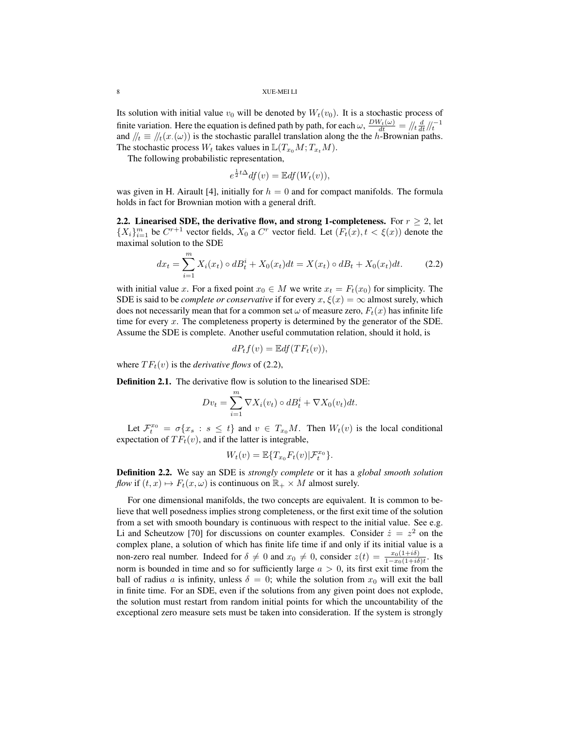Its solution with initial value  $v_0$  will be denoted by  $W_t(v_0)$ . It is a stochastic process of finite variation. Here the equation is defined path by path, for each  $\omega$ ,  $\frac{DW_t(\omega)}{dt} = \sqrt{t} \frac{d}{dt} / t^{-1}$ and  $/|t| \equiv /|t(x, \omega)|$  is the stochastic parallel translation along the the h-Brownian paths. The stochastic process  $W_t$  takes values in  $\mathbb{L}(T_{x_0}M; T_{x_t}M)$ .

The following probabilistic representation,

$$
e^{\frac{1}{2}t\Delta}df(v) = \mathbb{E}df(W_t(v)),
$$

was given in H. Airault [4], initially for  $h = 0$  and for compact manifolds. The formula holds in fact for Brownian motion with a general drift.

2.2. Linearised SDE, the derivative flow, and strong 1-completeness. For  $r \geq 2$ , let  $\{X_i\}_{i=1}^m$  be  $C^{r+1}$  vector fields,  $X_0$  a  $C^r$  vector field. Let  $(F_t(x), t < \xi(x))$  denote the maximal solution to the SDE

$$
dx_t = \sum_{i=1}^{m} X_i(x_t) \circ dB_t^i + X_0(x_t)dt = X(x_t) \circ dB_t + X_0(x_t)dt.
$$
 (2.2)

with initial value x. For a fixed point  $x_0 \in M$  we write  $x_t = F_t(x_0)$  for simplicity. The SDE is said to be *complete or conservative* if for every  $x, \xi(x) = \infty$  almost surely, which does not necessarily mean that for a common set  $\omega$  of measure zero,  $F_t(x)$  has infinite life time for every  $x$ . The completeness property is determined by the generator of the SDE. Assume the SDE is complete. Another useful commutation relation, should it hold, is

$$
dP_tf(v)=\mathbb{E}df(TF_t(v)),
$$

where  $TF_t(v)$  is the *derivative flows* of (2.2),

Definition 2.1. The derivative flow is solution to the linearised SDE:

$$
Dv_t = \sum_{i=1}^m \nabla X_i(v_t) \circ dB_t^i + \nabla X_0(v_t)dt.
$$

Let  $\mathcal{F}_t^{x_0} = \sigma\{x_s : s \leq t\}$  and  $v \in T_{x_0}M$ . Then  $W_t(v)$  is the local conditional expectation of  $TF_t(v)$ , and if the latter is integrable,

$$
W_t(v) = \mathbb{E}\{T_{x_0}F_t(v)|\mathcal{F}_t^{x_0}\}.
$$

Definition 2.2. We say an SDE is *strongly complete* or it has a *global smooth solution flow* if  $(t, x) \mapsto F_t(x, \omega)$  is continuous on  $\mathbb{R}_+ \times M$  almost surely.

For one dimensional manifolds, the two concepts are equivalent. It is common to believe that well posedness implies strong completeness, or the first exit time of the solution from a set with smooth boundary is continuous with respect to the initial value. See e.g. Li and Scheutzow [70] for discussions on counter examples. Consider  $\dot{z} = z^2$  on the complex plane, a solution of which has finite life time if and only if its initial value is a non-zero real number. Indeed for  $\delta \neq 0$  and  $x_0 \neq 0$ , consider  $z(t) = \frac{x_0(1+i\delta)}{1-x_0(1+i\delta)t}$ . Its norm is bounded in time and so for sufficiently large  $a > 0$ , its first exit time from the ball of radius a is infinity, unless  $\delta = 0$ ; while the solution from  $x_0$  will exit the ball in finite time. For an SDE, even if the solutions from any given point does not explode, the solution must restart from random initial points for which the uncountability of the exceptional zero measure sets must be taken into consideration. If the system is strongly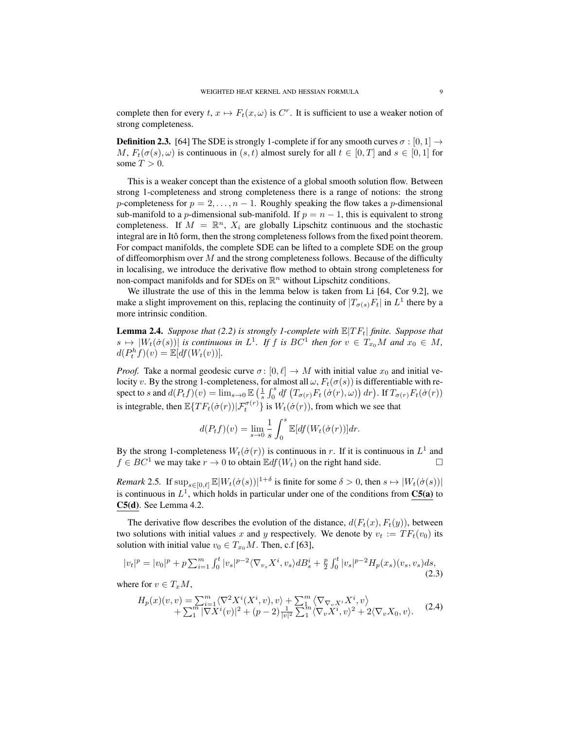complete then for every  $t, x \mapsto F_t(x, \omega)$  is  $C^r$ . It is sufficient to use a weaker notion of strong completeness.

**Definition 2.3.** [64] The SDE is strongly 1-complete if for any smooth curves  $\sigma : [0, 1] \rightarrow$ M,  $F_t(\sigma(s), \omega)$  is continuous in  $(s, t)$  almost surely for all  $t \in [0, T]$  and  $s \in [0, 1]$  for some  $T > 0$ .

This is a weaker concept than the existence of a global smooth solution flow. Between strong 1-completeness and strong completeness there is a range of notions: the strong p-completeness for  $p = 2, \ldots, n - 1$ . Roughly speaking the flow takes a p-dimensional sub-manifold to a p-dimensional sub-manifold. If  $p = n - 1$ , this is equivalent to strong completeness. If  $M = \mathbb{R}^n$ ,  $X_i$  are globally Lipschitz continuous and the stochastic integral are in Itô form, then the strong completeness follows from the fixed point theorem. For compact manifolds, the complete SDE can be lifted to a complete SDE on the group of diffeomorphism over  $M$  and the strong completeness follows. Because of the difficulty in localising, we introduce the derivative flow method to obtain strong completeness for non-compact manifolds and for SDEs on  $\mathbb{R}^n$  without Lipschitz conditions.

We illustrate the use of this in the lemma below is taken from Li [64, Cor 9.2], we make a slight improvement on this, replacing the continuity of  $|T_{\sigma(s)}F_t|$  in  $L^1$  there by a more intrinsic condition.

**Lemma 2.4.** *Suppose that (2.2) is strongly 1-complete with*  $\mathbb{E}[TF_t]$  *finite. Suppose that*  $s \mapsto |W_t(\dot{\sigma}(s))|$  *is continuous in*  $L^1$ *. If* f *is*  $BC^1$  *then for*  $v \in T_{x_0}M$  *and*  $x_0 \in M$ *,*  $d(P_t^h f)(v) = \mathbb{E}[df(W_t(v))].$ 

*Proof.* Take a normal geodesic curve  $\sigma$ :  $[0, \ell] \rightarrow M$  with initial value  $x_0$  and initial velocity v. By the strong 1-completeness, for almost all  $\omega$ ,  $F_t(\sigma(s))$  is differentiable with respect to s and  $d(P_tf)(v) = \lim_{s\to 0} \mathbb{E}\left(\frac{1}{s}\int_0^s df\left(T_{\sigma(r)}F_t\left(\sigma(r),\omega\right)\right)dr\right)$ . If  $T_{\sigma(r)}F_t(\sigma(r))$ is integrable, then  $\mathbb{E} \{TF_t(\dot{\sigma}(r)) | \mathcal{F}_t^{\sigma(r)}\}$  is  $W_t(\dot{\sigma}(r))$ , from which we see that

$$
d(P_t f)(v) = \lim_{s \to 0} \frac{1}{s} \int_0^s \mathbb{E}[df(W_t(\dot{\sigma}(r))] dr.
$$

By the strong 1-completeness  $W_t(\dot{\sigma}(r))$  is continuous in r. If it is continuous in  $L^1$  and  $f \in BC^1$  we may take  $r \to 0$  to obtain  $\mathbb{E} df(W_t)$  on the right hand side.

*Remark* 2.5. If  $\sup_{s \in [0,\ell]} \mathbb{E}[W_t(\dot{\sigma}(s))]^{1+\delta}$  is finite for some  $\delta > 0$ , then  $s \mapsto |W_t(\dot{\sigma}(s))|$ is continuous in  $L^1$ , which holds in particular under one of the conditions from  $C5(a)$  to C5(d). See Lemma 4.2.

The derivative flow describes the evolution of the distance,  $d(F_t(x), F_t(y))$ , between two solutions with initial values x and y respectively. We denote by  $v_t := TF_t(v_0)$  its solution with initial value  $v_0 \in T_{x_0}M$ . Then, c.f [63],

$$
|v_t|^p = |v_0|^p + p \sum_{i=1}^m \int_0^t |v_s|^{p-2} \langle \nabla_{v_s} X^i, v_s \rangle dB_s^i + \frac{p}{2} \int_0^t |v_s|^{p-2} H_p(x_s)(v_s, v_s) ds, \tag{2.3}
$$

where for  $v \in T_xM$ ,

$$
H_p(x)(v, v) = \sum_{i=1}^m \langle \nabla^2 X^i(X^i, v), v \rangle + \sum_{i=1}^m \langle \nabla_{\nabla_v X^i} X^i, v \rangle + \sum_{i=1}^m |\nabla X^i(v)|^2 + (p-2) \frac{1}{|v|^2} \sum_{i=1}^m \langle \nabla_v X^i, v \rangle^2 + 2 \langle \nabla_v X_0, v \rangle.
$$
 (2.4)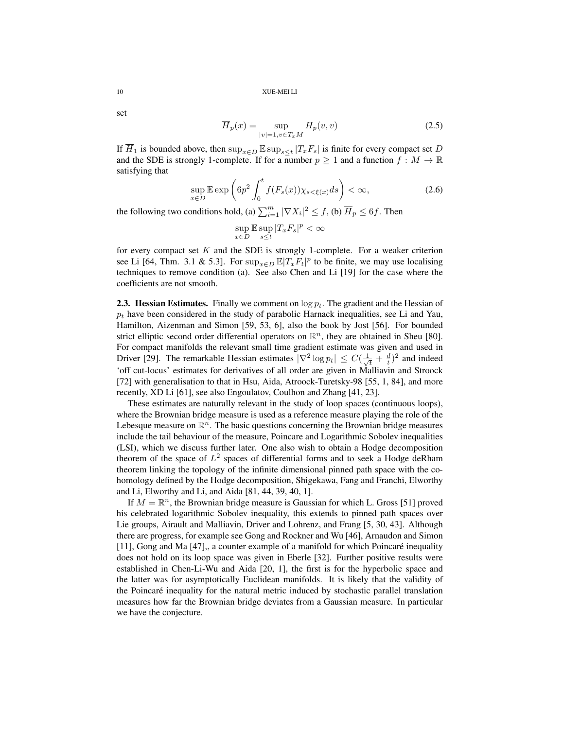set

$$
\overline{H}_p(x) = \sup_{|v|=1, v \in T_x M} H_p(v, v)
$$
\n(2.5)

If  $\overline{H}_1$  is bounded above, then  $\sup_{x \in D} \mathbb{E} \sup_{s \le t} |T_x F_s|$  is finite for every compact set D and the SDE is strongly 1-complete. If for a number  $p \ge 1$  and a function  $f : M \to \mathbb{R}$ satisfying that

$$
\sup_{x \in D} \mathbb{E} \exp\left(6p^2 \int_0^t f(F_s(x)) \chi_{s < \xi(x)} ds\right) < \infty,\tag{2.6}
$$

the following two conditions hold, (a)  $\sum_{i=1}^{m} |\nabla X_i|^2 \leq f$ , (b)  $\overline{H}_p \leq 6f$ . Then

$$
\sup_{x\in D}\mathbb{E}\sup_{s\leq t}|T_xF_s|^p<\infty
$$

for every compact set  $K$  and the SDE is strongly 1-complete. For a weaker criterion see Li [64, Thm. 3.1 & 5.3]. For  $\sup_{x \in D} \mathbb{E} |T_x F_t|^p$  to be finite, we may use localising techniques to remove condition (a). See also Chen and Li [19] for the case where the coefficients are not smooth.

**2.3. Hessian Estimates.** Finally we comment on  $\log p_t$ . The gradient and the Hessian of  $p_t$  have been considered in the study of parabolic Harnack inequalities, see Li and Yau, Hamilton, Aizenman and Simon [59, 53, 6], also the book by Jost [56]. For bounded strict elliptic second order differential operators on  $\mathbb{R}^n$ , they are obtained in Sheu [80]. For compact manifolds the relevant small time gradient estimate was given and used in Driver [29]. The remarkable Hessian estimates  $|\nabla^2 \log p_t| \leq C(\frac{1}{\sqrt{\epsilon}})$  $\frac{1}{t} + \frac{d}{t}$ <sup>2</sup> and indeed 'off cut-locus' estimates for derivatives of all order are given in Malliavin and Stroock [72] with generalisation to that in Hsu, Aida, Atroock-Turetsky-98 [55, 1, 84], and more recently, XD Li [61], see also Engoulatov, Coulhon and Zhang [41, 23].

These estimates are naturally relevant in the study of loop spaces (continuous loops), where the Brownian bridge measure is used as a reference measure playing the role of the Lebesque measure on  $\mathbb{R}^n$ . The basic questions concerning the Brownian bridge measures include the tail behaviour of the measure, Poincare and Logarithmic Sobolev inequalities (LSI), which we discuss further later. One also wish to obtain a Hodge decomposition theorem of the space of  $L^2$  spaces of differential forms and to seek a Hodge deRham theorem linking the topology of the infinite dimensional pinned path space with the cohomology defined by the Hodge decomposition, Shigekawa, Fang and Franchi, Elworthy and Li, Elworthy and Li, and Aida [81, 44, 39, 40, 1].

If  $M = \mathbb{R}^n$ , the Brownian bridge measure is Gaussian for which L. Gross [51] proved his celebrated logarithmic Sobolev inequality, this extends to pinned path spaces over Lie groups, Airault and Malliavin, Driver and Lohrenz, and Frang [5, 30, 43]. Although there are progress, for example see Gong and Rockner and Wu [46], Arnaudon and Simon [11], Gong and Ma [47],, a counter example of a manifold for which Poincare inequality ´ does not hold on its loop space was given in Eberle [32]. Further positive results were established in Chen-Li-Wu and Aida [20, 1], the first is for the hyperbolic space and the latter was for asymptotically Euclidean manifolds. It is likely that the validity of the Poincare inequality for the natural metric induced by stochastic parallel translation ´ measures how far the Brownian bridge deviates from a Gaussian measure. In particular we have the conjecture.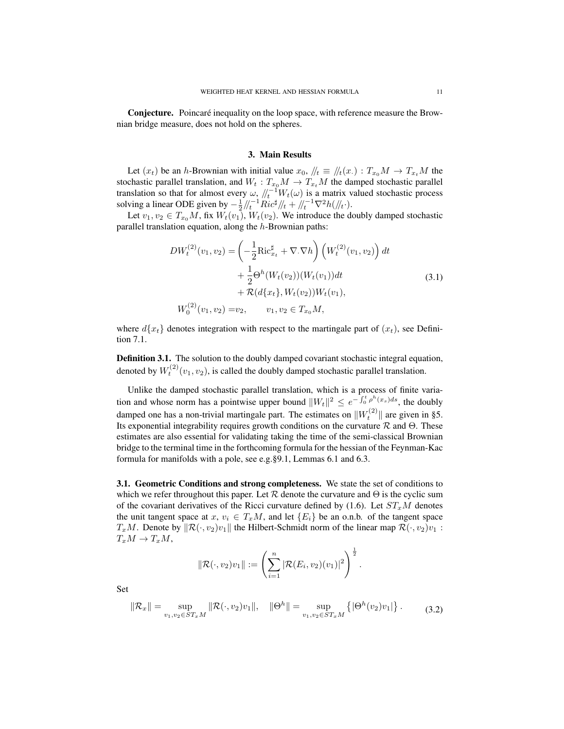**Conjecture.** Poincaré inequality on the loop space, with reference measure the Brownian bridge measure, does not hold on the spheres.

#### 3. Main Results

Let  $(x_t)$  be an h-Brownian with initial value  $x_0$ ,  $/|t| \equiv |t|/|t|/|t| \rightarrow |t|/|t|$  the stochastic parallel translation, and  $W_t: T_{x_0}M \to T_{x_t}M$  the damped stochastic parallel translation so that for almost every  $\omega$ ,  $\sqrt{t^{-1}} W_t(\omega)$  is a matrix valued stochastic process solving a linear ODE given by  $-\frac{1}{2}/\ell_t^{-1}Ric^{\sharp}/\ell_t + \sqrt{\ell_t^{-1}}\nabla^2h(\ell/\ell_t)$ .

Let  $v_1, v_2 \in T_{x_0}M$ , fix  $W_t(v_1)$ ,  $W_t(v_2)$ . We introduce the doubly damped stochastic parallel translation equation, along the  $h$ -Brownian paths:

$$
DW_t^{(2)}(v_1, v_2) = \left(-\frac{1}{2}\text{Ric}_{x_t}^{\sharp} + \nabla \cdot \nabla h\right) \left(W_t^{(2)}(v_1, v_2)\right) dt + \frac{1}{2}\Theta^h(W_t(v_2))(W_t(v_1))dt + \mathcal{R}(d\{x_t\}, W_t(v_2))W_t(v_1),
$$
\n
$$
W_0^{(2)}(v_1, v_2) = v_2, \qquad v_1, v_2 \in T_{x_0}M,
$$
\n(3.1)

where  $d\{x_t\}$  denotes integration with respect to the martingale part of  $(x_t)$ , see Definition 7.1.

Definition 3.1. The solution to the doubly damped covariant stochastic integral equation, denoted by  $W_t^{(2)}(v_1, v_2)$ , is called the doubly damped stochastic parallel translation.

Unlike the damped stochastic parallel translation, which is a process of finite variation and whose norm has a pointwise upper bound  $||W_t||^2 \le e^{-\int_0^t \rho^h(x_s)ds}$ , the doubly damped one has a non-trivial martingale part. The estimates on  $||W_t^{(2)}||$  are given in §5. Its exponential integrability requires growth conditions on the curvature  $\mathcal R$  and  $\Theta$ . These estimates are also essential for validating taking the time of the semi-classical Brownian bridge to the terminal time in the forthcoming formula for the hessian of the Feynman-Kac formula for manifolds with a pole, see e.g.§9.1, Lemmas 6.1 and 6.3.

3.1. Geometric Conditions and strong completeness. We state the set of conditions to which we refer throughout this paper. Let  $R$  denote the curvature and  $\Theta$  is the cyclic sum of the covariant derivatives of the Ricci curvature defined by  $(1.6)$ . Let  $ST_xM$  denotes the unit tangent space at  $x, v_i \in T_xM$ , and let  $\{E_i\}$  be an o.n.b. of the tangent space  $T_xM$ . Denote by  $\|\mathcal{R}(\cdot, v_2)v_1\|$  the Hilbert-Schmidt norm of the linear map  $\mathcal{R}(\cdot, v_2)v_1$  :  $T_xM \to T_xM$ ,

$$
\|\mathcal{R}(\cdot,v_2)v_1\| := \left(\sum_{i=1}^n |\mathcal{R}(E_i,v_2)(v_1)|^2\right)^{\frac{1}{2}}.
$$

$$
\|\mathcal{R}_x\| = \sup_{v_1, v_2 \in ST_xM} \|\mathcal{R}(\cdot, v_2)v_1\|, \quad \|\Theta^h\| = \sup_{v_1, v_2 \in ST_xM} \left\{ |\Theta^h(v_2)v_1| \right\}.
$$
 (3.2)

Set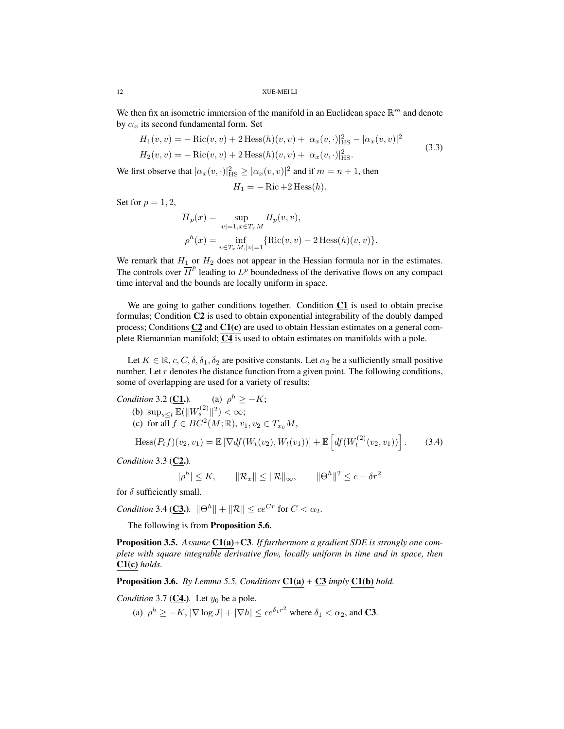We then fix an isometric immersion of the manifold in an Euclidean space  $\mathbb{R}^m$  and denote by  $\alpha_x$  its second fundamental form. Set

$$
H_1(v, v) = -\operatorname{Ric}(v, v) + 2 \operatorname{Hess}(h)(v, v) + |\alpha_x(v, \cdot)|_{\text{HS}}^2 - |\alpha_x(v, v)|^2
$$
  
\n
$$
H_2(v, v) = -\operatorname{Ric}(v, v) + 2 \operatorname{Hess}(h)(v, v) + |\alpha_x(v, \cdot)|_{\text{HS}}^2.
$$
\n(3.3)

We first observe that  $|\alpha_x(v, \cdot)|_{\text{HS}}^2 \ge |\alpha_x(v, v)|^2$  and if  $m = n + 1$ , then

$$
H_1 = -\operatorname{Ric} + 2\operatorname{Hess}(h).
$$

Set for  $p = 1, 2$ ,

$$
\overline{H}_p(x) = \sup_{|v|=1, x \in T_x M} H_p(v, v),
$$
  

$$
\rho^h(x) = \inf_{v \in T_x M, |v|=1} {\text{Ric}(v, v) - 2 \text{ Hess}(h)(v, v)}.
$$

We remark that  $H_1$  or  $H_2$  does not appear in the Hessian formula nor in the estimates. The controls over  $\overline{H}^p$  leading to  $L^p$  boundedness of the derivative flows on any compact time interval and the bounds are locally uniform in space.

We are going to gather conditions together. Condition C1 is used to obtain precise formulas; Condition C2 is used to obtain exponential integrability of the doubly damped process; Conditions  $C2$  and  $C1(c)$  are used to obtain Hessian estimates on a general complete Riemannian manifold;  $\overline{C4}$  is used to obtain estimates on manifolds with a pole.

Let  $K \in \mathbb{R}, c, C, \delta, \delta_1, \delta_2$  are positive constants. Let  $\alpha_2$  be a sufficiently small positive number. Let  $r$  denotes the distance function from a given point. The following conditions, some of overlapping are used for a variety of results:

Condition 3.2 (**C1.**). (a) 
$$
\rho^h \ge -K
$$
;  
\n(b)  $\sup_{s\le t} \mathbb{E}(\|W_s^{(2)}\|^2) < \infty$ ;  
\n(c) for all  $f \in BC^2(M; \mathbb{R}), v_1, v_2 \in T_{x_0}M$ ,  
\n $\text{Hess}(P_t f)(v_2, v_1) = \mathbb{E} [\nabla df(W_t(v_2), W_t(v_1))] + \mathbb{E} \left[ df(W_t^{(2)}(v_2, v_1)) \right].$  (3.4)

*Condition* 3.3 (C<sub>2</sub>.).

 $|\rho^h| \le K$ ,  $||\mathcal{R}_x|| \le ||\mathcal{R}||_{\infty}$ ,  $||\Theta^h||^2 \le c + \delta r^2$ 

for  $\delta$  sufficiently small.

*Condition* 3.4 (**C3.**).  $\|\Theta^h\| + \|\mathcal{R}\| \leq ce^{Cr}$  for  $C < \alpha_2$ .

The following is from **Proposition 5.6.** 

Proposition 3.5. *Assume* C1(a)*+*C3*. If furthermore a gradient SDE is strongly one complete with square integrable derivative flow, locally uniform in time and in space, then* C1(c) *holds.*

Proposition 3.6. *By Lemma 5.5, Conditions* C1(a) *+* C3 *imply* C1(b) *hold.*

*Condition* 3.7 (**C4.**). Let  $y_0$  be a pole.

(a)  $\rho^h \geq -K$ ,  $|\nabla \log J| + |\nabla h| \leq ce^{\delta_1 r^2}$  where  $\delta_1 < \alpha_2$ , and **C3**.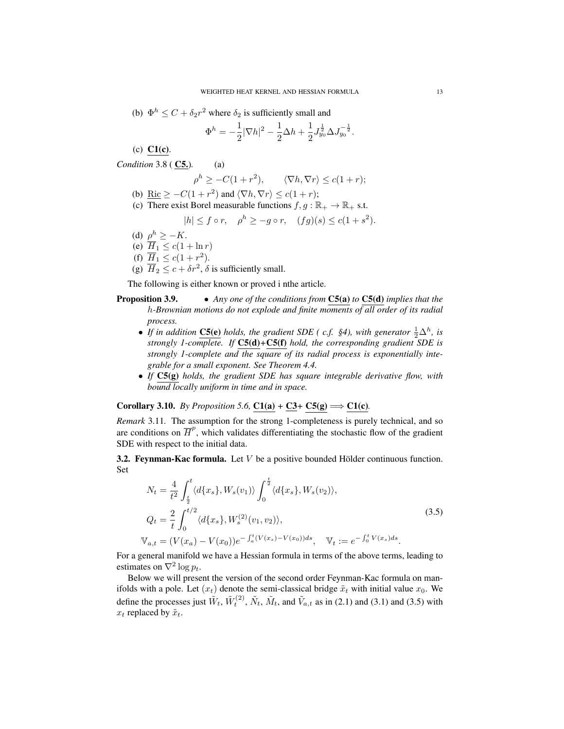(b) 
$$
\Phi^h \leq C + \delta_2 r^2
$$
 where  $\delta_2$  is sufficiently small and  

$$
\Phi^h = \frac{1}{|\nabla L|^2} \frac{1}{2} \frac{\Delta L}{\Delta L} + \frac{1}{2} \frac{1}{2} \frac{\Delta L}{\Delta L}
$$

$$
\Phi^h = -\frac{1}{2} |\nabla h|^2 - \frac{1}{2} \Delta h + \frac{1}{2} J_{y_0}^{\frac{1}{2}} \Delta J_{y_0}^{-\frac{1}{2}}.
$$

− <sup>1</sup>

(c)  $C1(c)$ .

*Condition* 3.8 ( C5.)*.* (a)

$$
\rho^h \ge -C(1+r^2), \qquad \langle \nabla h, \nabla r \rangle \le c(1+r);
$$

- (b)  $\text{Ric} \geq -C(1+r^2)$  and  $\langle \nabla h, \nabla r \rangle \leq c(1+r);$
- (c) There exist Borel measurable functions  $f, g : \mathbb{R}_+ \to \mathbb{R}_+$  s.t.

$$
|h| \le f \circ r, \quad \rho^h \ge -g \circ r, \quad (fg)(s) \le c(1+s^2).
$$

- (d)  $\rho^h \geq -K$ .
- (e)  $\overline{H}_1 \leq c(1 + \ln r)$
- (f)  $\overline{H}_1 \le c(1+r^2)$ .

(g)  $\overline{H}_2 \leq c + \delta r^2$ ,  $\delta$  is sufficiently small.

The following is either known or proved i nthe article.

- Proposition 3.9. *Any one of the conditions from* C5(a) *to* C5(d) *implies that the* h*-Brownian motions do not explode and finite moments of all order of its radial process.*
	- If in addition  $\underline{\mathbf{CS}}(\mathbf{e})$  holds, the gradient SDE (c.f. §4), with generator  $\frac{1}{2}\Delta^h$ , is *strongly 1-complete. If* C5(d)*+*C5(f) *hold, the corresponding gradient SDE is strongly 1-complete and the square of its radial process is exponentially integrable for a small exponent. See Theorem 4.4.*
	- *If* C5(g) *holds, the gradient SDE has square integrable derivative flow, with bound locally uniform in time and in space.*

Corollary 3.10. *By Proposition 5.6*,  $C1(a) + C3 + C5(g) \Longrightarrow C1(c)$ *.* 

*Remark* 3.11*.* The assumption for the strong 1-completeness is purely technical, and so are conditions on  $\overline{H}^p$ , which validates differentiating the stochastic flow of the gradient SDE with respect to the initial data.

3.2. Feynman-Kac formula. Let V be a positive bounded Hölder continuous function. Set

$$
N_t = \frac{4}{t^2} \int_{\frac{t}{2}}^t \langle d\{x_s\}, W_s(v_1) \rangle \int_0^{\frac{t}{2}} \langle d\{x_s\}, W_s(v_2) \rangle,
$$
  
\n
$$
Q_t = \frac{2}{t} \int_0^{t/2} \langle d\{x_s\}, W_s^{(2)}(v_1, v_2) \rangle,
$$
  
\n
$$
\mathbb{V}_{a,t} = (V(x_a) - V(x_0))e^{-\int_a^t (V(x_s) - V(x_0))ds}, \quad \mathbb{V}_t := e^{-\int_0^t V(x_s)ds}.
$$
\n(3.5)

For a general manifold we have a Hessian formula in terms of the above terms, leading to estimates on  $\nabla^2 \log p_t$ .

Below we will present the version of the second order Feynman-Kac formula on manifolds with a pole. Let  $(x_t)$  denote the semi-classical bridge  $\tilde{x}_t$  with initial value  $x_0$ . We define the processes just  $\tilde{W}_t$ ,  $\tilde{W}_t^{(2)}$ ,  $\tilde{N}_t$ ,  $\tilde{M}_t$ , and  $\tilde{V}_{a,t}$  as in (2.1) and (3.1) and (3.5) with  $x_t$  replaced by  $\tilde{x}_t$ .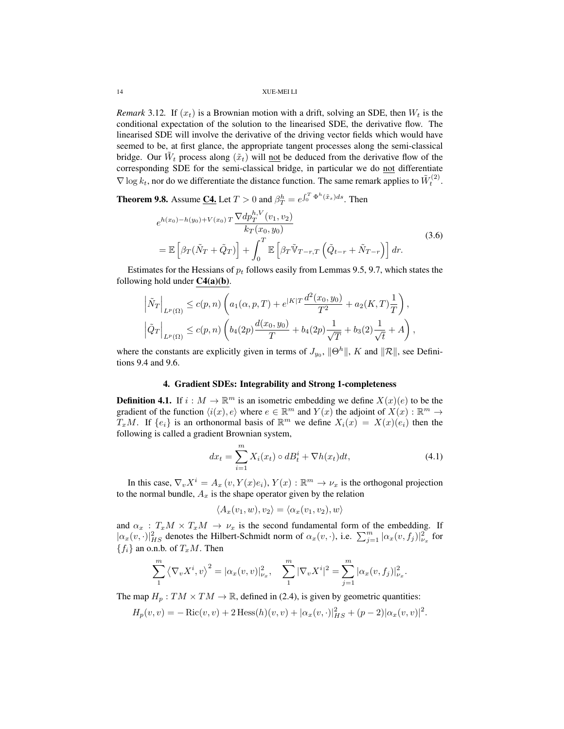*Remark* 3.12*.* If  $(x_t)$  is a Brownian motion with a drift, solving an SDE, then  $W_t$  is the conditional expectation of the solution to the linearised SDE, the derivative flow. The linearised SDE will involve the derivative of the driving vector fields which would have seemed to be, at first glance, the appropriate tangent processes along the semi-classical bridge. Our  $\tilde{W}_t$  process along  $(\tilde{x}_t)$  will not be deduced from the derivative flow of the corresponding SDE for the semi-classical bridge, in particular we do not differentiate  $\nabla$  log  $k_t$ , nor do we differentiate the distance function. The same remark applies to  $\tilde{W}_t^{(2)}$ .

**Theorem 9.8.** Assume <u>C4.</u> Let  $T > 0$  and  $\beta_T^h = e^{\int_0^T \Phi^h(\tilde{x}_s) ds}$ . Then

$$
e^{h(x_0)-h(y_0)+V(x_0) T} \frac{\nabla dp_T^{h,V}(v_1, v_2)}{k_T(x_0, y_0)}
$$
  
=  $\mathbb{E}\left[\beta_T(\tilde{N}_T+\tilde{Q}_T)\right]+\int_0^T \mathbb{E}\left[\beta_T\tilde{V}_{T-r,T}\left(\tilde{Q}_{t-r}+\tilde{N}_{T-r}\right)\right]dr.$  (3.6)

Estimates for the Hessians of  $p_t$  follows easily from Lemmas 9.5, 9.7, which states the following hold under  $C4(a)(b)$ .

$$
\begin{aligned}\n\left| \tilde{N}_T \right|_{L^p(\Omega)} &\le c(p,n) \left( a_1(\alpha,p,T) + e^{|K|T} \frac{d^2(x_0,y_0)}{T^2} + a_2(K,T) \frac{1}{T} \right), \\
\left| \tilde{Q}_T \right|_{L^p(\Omega)} &\le c(p,n) \left( b_4(2p) \frac{d(x_0,y_0)}{T} + b_4(2p) \frac{1}{\sqrt{T}} + b_3(2) \frac{1}{\sqrt{t}} + A \right),\n\end{aligned}
$$

where the constants are explicitly given in terms of  $J_{y_0}$ ,  $\|\Theta^h\|$ , K and  $\|\mathcal{R}\|$ , see Definitions 9.4 and 9.6.

# 4. Gradient SDEs: Integrability and Strong 1-completeness

**Definition 4.1.** If  $i : M \to \mathbb{R}^m$  is an isometric embedding we define  $X(x)(e)$  to be the gradient of the function  $\langle i(x), e \rangle$  where  $e \in \mathbb{R}^m$  and  $Y(x)$  the adjoint of  $X(x) : \mathbb{R}^m \to$  $T_xM$ . If  $\{e_i\}$  is an orthonormal basis of  $\mathbb{R}^m$  we define  $X_i(x) = X(x)(e_i)$  then the following is called a gradient Brownian system,

$$
dx_t = \sum_{i=1}^{m} X_i(x_t) \circ dB_t^i + \nabla h(x_t) dt,
$$
\n(4.1)

In this case,  $\nabla_v X^i = A_x(v, Y(x)e_i)$ ,  $Y(x) : \mathbb{R}^m \to \nu_x$  is the orthogonal projection to the normal bundle,  $A_x$  is the shape operator given by the relation

$$
\langle A_x(v_1, w), v_2 \rangle = \langle \alpha_x(v_1, v_2), w \rangle
$$

and  $\alpha_x : T_xM \times T_xM \rightarrow \nu_x$  is the second fundamental form of the embedding. If  $|\alpha_x(v, \cdot)|_{HS}^2$  denotes the Hilbert-Schmidt norm of  $\alpha_x(v, \cdot)$ , i.e.  $\sum_{j=1}^m |\alpha_x(v, f_j)|_{\nu_x}^2$  for  ${f_i}$  an o.n.b. of  $T_xM$ . Then

$$
\sum_{1}^{m} \left\langle \nabla_{v} X^{i}, v \right\rangle^{2} = |\alpha_{x}(v, v)|_{\nu_{x}}^{2}, \quad \sum_{1}^{m} |\nabla_{v} X^{i}|^{2} = \sum_{j=1}^{m} |\alpha_{x}(v, f_{j})|_{\nu_{x}}^{2}.
$$

The map  $H_p: TM \times TM \rightarrow \mathbb{R}$ , defined in (2.4), is given by geometric quantities:

$$
H_p(v, v) = -\operatorname{Ric}(v, v) + 2 \operatorname{Hess}(h)(v, v) + |\alpha_x(v, \cdot)|_{HS}^2 + (p-2)|\alpha_x(v, v)|^2.
$$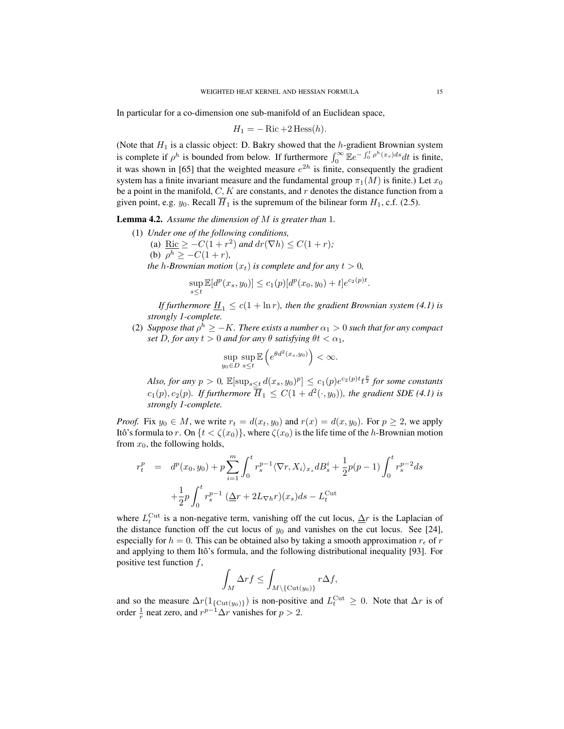In particular for a co-dimension one sub-manifold of an Euclidean space,

$$
H_1 = -\operatorname{Ric} + 2\operatorname{Hess}(h).
$$

(Note that  $H_1$  is a classic object: D. Bakry showed that the h-gradient Brownian system is complete if  $\rho^h$  is bounded from below. If furthermore  $\int_0^\infty E e^{-\int_0^t \rho^h(x_s)ds} dt$  is finite, it was shown in [65] that the weighted measure  $e^{2h}$  is finite, consequently the gradient system has a finite invariant measure and the fundamental group  $\pi_1(M)$  is finite.) Let  $x_0$ be a point in the manifold,  $C, K$  are constants, and r denotes the distance function from a given point, e.g.  $y_0$ . Recall  $\overline{H}_1$  is the supremum of the bilinear form  $H_1$ , c.f. (2.5).

Lemma 4.2. *Assume the dimension of* M *is greater than* 1*.*

- (1) *Under one of the following conditions,*
	- (a) <u>Ric</u>  $\geq -C(1+r^2)$  *and*  $dr(\nabla h) \leq C(1+r)$ ; (b)  $\rho^h \geq -C(1+r)$ ,

*the h*-*Brownian motion*  $(x_t)$  *is complete and for any*  $t > 0$ *,* 

$$
\sup_{s\leq t} \mathbb{E}[d^p(x_s, y_0)] \leq c_1(p)[d^p(x_0, y_0) + t]e^{c_2(p)t}.
$$

*If furthermore*  $\underline{H}_1 \leq c(1 + \ln r)$ *, then the gradient Brownian system (4.1) is strongly 1-complete.*

(2) *Suppose that*  $\rho^h \geq -K$ *. There exists a number*  $\alpha_1 > 0$  *such that for any compact set* D, for any  $t > 0$  *and for any*  $\theta$  *satisfying*  $\theta t < \alpha_1$ *,* 

$$
\sup_{y_0 \in D} \sup_{s \le t} \mathbb{E}\left(e^{\theta d^2(x_s, y_0)}\right) < \infty.
$$

*Also, for any*  $p > 0$ ,  $\mathbb{E}[\sup_{s \le t} d(x_s, y_0)^p] \le c_1(p) e^{c_2(p)t} t^{\frac{p}{2}}$  *for some constants*  $c_1(p), c_2(p)$ . If furthermore  $\overline{H}_1 \leq C(1 + d^2(\cdot, y_0))$ , the gradient SDE (4.1) is *strongly 1-complete.*

*Proof.* Fix  $y_0 \in M$ , we write  $r_t = d(x_t, y_0)$  and  $r(x) = d(x, y_0)$ . For  $p \ge 2$ , we apply Itô's formula to r. On  $\{t < \zeta(x_0)\}\$ , where  $\zeta(x_0)$  is the life time of the h-Brownian motion from  $x_0$ , the following holds,

$$
r_t^p = d^p(x_0, y_0) + p \sum_{i=1}^m \int_0^t r_s^{p-1} \langle \nabla r, X_i \rangle_{x_s} dB_s^i + \frac{1}{2} p(p-1) \int_0^t r_s^{p-2} ds
$$
  
+ 
$$
\frac{1}{2} p \int_0^t r_s^{p-1} (\Delta r + 2L_{\nabla h} r)(x_s) ds - L_t^{\text{Cut}}
$$

where  $L_t^{\text{Cut}}$  is a non-negative term, vanishing off the cut locus,  $\Delta r$  is the Laplacian of the distance function off the cut locus of  $y_0$  and vanishes on the cut locus. See [24], especially for  $h = 0$ . This can be obtained also by taking a smooth approximation  $r_{\epsilon}$  of r and applying to them Itô's formula, and the following distributional inequality [93]. For positive test function  $f$ ,

$$
\int_M \Delta r f \le \int_{M \setminus \{\mathrm{Cut}(y_0)\}} r \Delta f,
$$

and so the measure  $\Delta r(1_{\{Cut(y_0)\}})$  is non-positive and  $L_t^{\text{Cut}} \geq 0$ . Note that  $\Delta r$  is of order  $\frac{1}{r}$  neat zero, and  $r^{p-1}\Delta r$  vanishes for  $p > 2$ .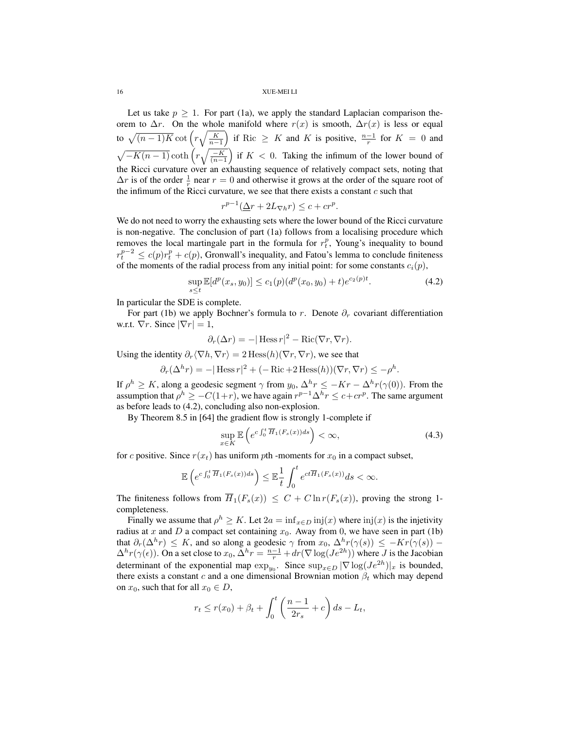Let us take  $p \geq 1$ . For part (1a), we apply the standard Laplacian comparison theorem to  $\Delta r$ . On the whole manifold where  $r(x)$  is smooth,  $\Delta r(x)$  is less or equal to  $\sqrt{(n-1)K} \cot\left(r\sqrt{\frac{K}{n-1}}\right)$  if Ric  $\geq K$  and K is positive,  $\frac{n-1}{r}$  for  $K = 0$  and  $\sqrt{-K(n-1)}\coth\left(r\sqrt{\frac{-K}{(n-1)}}\right)$  if  $K < 0$ . Taking the infimum of the lower bound of the Ricci curvature over an exhausting sequence of relatively compact sets, noting that  $\Delta r$  is of the order  $\frac{1}{r}$  near  $r = 0$  and otherwise it grows at the order of the square root of the infimum of the Ricci curvature, we see that there exists a constant  $c$  such that

$$
r^{p-1}(\underline{\Delta}r + 2L_{\nabla h}r) \le c + cr^p.
$$

We do not need to worry the exhausting sets where the lower bound of the Ricci curvature is non-negative. The conclusion of part (1a) follows from a localising procedure which removes the local martingale part in the formula for  $r_t^p$ , Young's inequality to bound  $r_t^{p-2} \le c(p)r_t^p + c(p)$ , Gronwall's inequality, and Fatou's lemma to conclude finiteness of the moments of the radial process from any initial point: for some constants  $c_i(p)$ ,

$$
\sup_{s \le t} \mathbb{E}[d^p(x_s, y_0)] \le c_1(p)(d^p(x_0, y_0) + t)e^{c_2(p)t}.\tag{4.2}
$$

In particular the SDE is complete.

For part (1b) we apply Bochner's formula to r. Denote  $\partial_r$  covariant differentiation w.r.t.  $\nabla r$ . Since  $|\nabla r| = 1$ ,

$$
\partial_r(\Delta r) = -|\operatorname{Hess} r|^2 - \operatorname{Ric}(\nabla r, \nabla r).
$$

Using the identity  $\partial_r \langle \nabla h, \nabla r \rangle = 2 \text{Hess}(h)(\nabla r, \nabla r)$ , we see that

$$
\partial_r(\Delta^h r) = -|\operatorname{Hess} r|^2 + (-\operatorname{Ric} + 2\operatorname{Hess}(h))(\nabla r, \nabla r) \le -\rho^h.
$$

If  $\rho^h \geq K$ , along a geodesic segment  $\gamma$  from  $y_0$ ,  $\Delta^h r \leq -Kr - \Delta^h r(\gamma(0))$ . From the assumption that  $\rho^h \geq -C(1+r)$ , we have again  $r^{p-1} \Delta^h r \leq c + cr^p$ . The same argument as before leads to (4.2), concluding also non-explosion.

By Theorem 8.5 in [64] the gradient flow is strongly 1-complete if

$$
\sup_{x \in K} \mathbb{E}\left(e^{c \int_0^t \overline{H}_1(F_s(x))ds}\right) < \infty,\tag{4.3}
$$

for c positive. Since  $r(x_t)$  has uniform pth -moments for  $x_0$  in a compact subset,

$$
\mathbb{E}\left(e^{c\int_0^t \overline{H}_1(F_s(x))ds}\right) \leq \mathbb{E}\frac{1}{t} \int_0^t e^{ct\overline{H}_1(F_s(x))}ds < \infty.
$$

The finiteness follows from  $\overline{H}_1(F_s(x)) \leq C + C \ln r(F_s(x))$ , proving the strong 1completeness.

Finally we assume that  $\rho^h \geq K$ . Let  $2a = \inf_{x \in D} \text{inj}(x)$  where  $\text{inj}(x)$  is the injetivity radius at x and D a compact set containing  $x_0$ . Away from 0, we have seen in part (1b) that  $\partial_r(\Delta^h r) \leq K$ , and so along a geodesic  $\gamma$  from  $x_0$ ,  $\Delta^h r(\gamma(s)) \leq -Kr(\gamma(s))$  –  $\Delta^h r(\gamma(\epsilon))$ . On a set close to  $x_0$ ,  $\Delta^h r = \frac{n-1}{r} + dr(\nabla \log(Je^{2h}))$  where J is the Jacobian determinant of the exponential map  $\exp_{y_0}$ . Since  $\sup_{x \in D} |\nabla \log(J e^{2h})|_x$  is bounded, there exists a constant c and a one dimensional Brownian motion  $\beta_t$  which may depend on  $x_0$ , such that for all  $x_0 \in D$ ,

$$
r_t \le r(x_0) + \beta_t + \int_0^t \left(\frac{n-1}{2r_s} + c\right) ds - L_t,
$$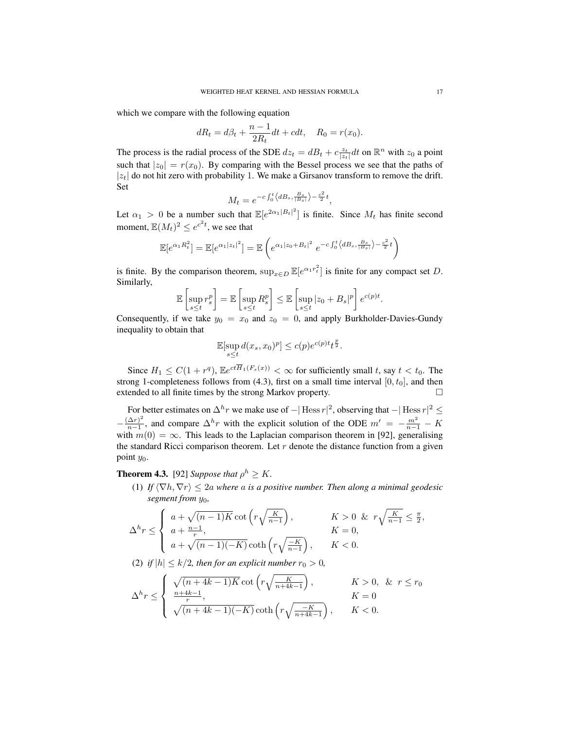which we compare with the following equation

$$
dR_t = d\beta_t + \frac{n-1}{2R_t}dt + cdt, \quad R_0 = r(x_0).
$$

The process is the radial process of the SDE  $dz_t = dB_t + c \frac{z_t}{|z_t|} dt$  on  $\mathbb{R}^n$  with  $z_0$  a point such that  $|z_0| = r(x_0)$ . By comparing with the Bessel process we see that the paths of  $|z_t|$  do not hit zero with probability 1. We make a Girsanov transform to remove the drift. Set

$$
M_t = e^{-c \int_0^t \langle dB_s, \frac{B_s}{|B_s|} \rangle - \frac{c^2}{2}t},
$$

Let  $\alpha_1 > 0$  be a number such that  $\mathbb{E}[e^{2\alpha_1|B_t|^2}]$  is finite. Since  $M_t$  has finite second moment,  $\mathbb{E}(M_t)^2 \leq e^{c^2 t}$ , we see that

$$
\mathbb{E}[e^{\alpha_1 R_t^2}] = \mathbb{E}[e^{\alpha_1 |z_t|^2}] = \mathbb{E}\left(e^{\alpha_1 |z_0 + B_t|^2} e^{-c \int_0^t \langle dB_s, \frac{B_s}{|B_s|}\rangle - \frac{c^2}{2}t}\right)
$$

is finite. By the comparison theorem,  $\sup_{x \in D} \mathbb{E}[e^{\alpha_1 r_t^2}]$  is finite for any compact set D. Similarly,

$$
\mathbb{E}\left[\sup_{s\leq t}r_s^p\right] = \mathbb{E}\left[\sup_{s\leq t}R_s^p\right] \leq \mathbb{E}\left[\sup_{s\leq t}|z_0+B_s|^p\right]e^{c(p)t}.
$$

Consequently, if we take  $y_0 = x_0$  and  $z_0 = 0$ , and apply Burkholder-Davies-Gundy inequality to obtain that

$$
\mathbb{E}[\sup_{s\leq t} d(x_s, x_0)^p] \leq c(p)e^{c(p)t}t^{\frac{p}{2}}.
$$

Since  $H_1 \leq C(1+r^q)$ ,  $\mathbb{E}e^{ct\overline{H}_1(F_s(x))} < \infty$  for sufficiently small t, say  $t < t_0$ . The strong 1-completeness follows from (4.3), first on a small time interval  $[0, t_0]$ , and then extended to all finite times by the strong Markov property.

For better estimates on  $\Delta^h r$  we make use of  $-|\text{Hess } r|^2$ , observing that  $-|\text{Hess } r|^2 \le$  $-\frac{(\Delta r)^2}{n-1}$  $\frac{(\Delta r)^2}{n-1}$ , and compare  $\Delta^h r$  with the explicit solution of the ODE  $m' = -\frac{m^2}{n-1} - K$ with  $m(0) = \infty$ . This leads to the Laplacian comparison theorem in [92], generalising the standard Ricci comparison theorem. Let  $r$  denote the distance function from a given point  $y_0$ .

# **Theorem 4.3.** [92] *Suppose that*  $\rho^h \geq K$ .

(1) *If*  $\langle \nabla h, \nabla r \rangle$  < 2a where a is a positive number. Then along a minimal geodesic *segment from*  $y_0$ *,* 

$$
\Delta^h r \leq \begin{cases} a + \sqrt{(n-1)K} \cot \left( r \sqrt{\frac{K}{n-1}} \right), & K > 0 \& r \sqrt{\frac{K}{n-1}} \leq \frac{\pi}{2}, \\ a + \frac{n-1}{r}, & K = 0, \\ a + \sqrt{(n-1)(-K)} \coth \left( r \sqrt{\frac{-K}{n-1}} \right), & K < 0. \end{cases}
$$

(2) *if*  $|h| \leq k/2$ , then for an explicit number  $r_0 > 0$ ,

$$
\Delta^h r \leq \begin{cases} \sqrt{(n+4k-1)K} \cot\left(r\sqrt{\frac{K}{n+4k-1}}\right), & K > 0, \& r \leq r_0\\ \frac{n+4k-1}{r}, & K = 0\\ \sqrt{(n+4k-1)(-K)} \coth\left(r\sqrt{\frac{-K}{n+4k-1}}\right), & K < 0. \end{cases}
$$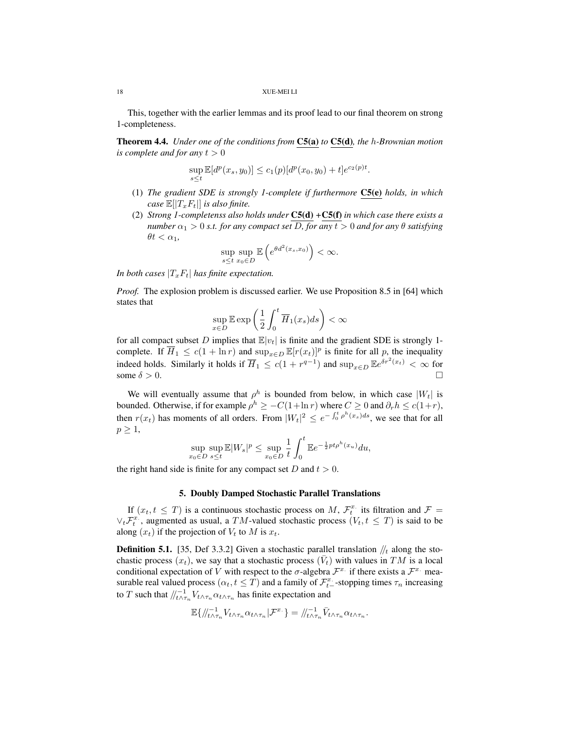This, together with the earlier lemmas and its proof lead to our final theorem on strong 1-completeness.

Theorem 4.4. *Under one of the conditions from* C5(a) *to* C5(d)*, the* h*-Brownian motion is complete and for any*  $t > 0$ 

$$
\sup_{s\leq t} \mathbb{E}[d^p(x_s, y_0)] \leq c_1(p)[d^p(x_0, y_0) + t]e^{c_2(p)t}.
$$

- (1) *The gradient SDE is strongly 1-complete if furthermore* C5(e) *holds, in which case*  $\mathbb{E}[|T_xF_t|]$  *is also finite.*
- (2) *Strong 1-completenss also holds under* C5(d) *+*C5(f) *in which case there exists a number*  $\alpha_1 > 0$  *s.t. for any compact set* D, for any  $t > 0$  and for any  $\theta$  *satisfying*  $\theta t < \alpha_1$

$$
\sup_{s\leq t}\sup_{x_0\in D}\mathbb{E}\left(e^{\theta d^2(x_s,x_0)}\right)<\infty.
$$

*In both cases*  $|T_xF_t|$  *has finite expectation.* 

*Proof.* The explosion problem is discussed earlier. We use Proposition 8.5 in [64] which states that

$$
\sup_{x \in D} \mathbb{E} \exp\left(\frac{1}{2} \int_0^t \overline{H}_1(x_s) ds\right) < \infty
$$

for all compact subset D implies that  $\mathbb{E}|v_t|$  is finite and the gradient SDE is strongly 1complete. If  $\overline{H}_1 \leq c(1 + \ln r)$  and  $\sup_{x \in D} \mathbb{E}[r(x_t)]^p$  is finite for all p, the inequality indeed holds. Similarly it holds if  $\overline{H}_1 \le c(1 + r^{q-1})$  and  $\sup_{x \in D} \mathbb{E}e^{\delta r^2(x_t)} < \infty$  for some  $\delta > 0$ .

We will eventually assume that  $\rho^h$  is bounded from below, in which case  $|W_t|$  is bounded. Otherwise, if for example  $\rho^h \geq -C(1+\ln r)$  where  $C \geq 0$  and  $\partial_r h \leq c(1+r)$ , then  $r(x_t)$  has moments of all orders. From  $|W_t|^2 \le e^{-\int_0^t \rho^h(x_s)ds}$ , we see that for all  $p \geq 1$ ,

$$
\sup_{x_0 \in D} \sup_{s \le t} \mathbb{E}|W_s|^p \le \sup_{x_0 \in D} \frac{1}{t} \int_0^t \mathbb{E} e^{-\frac{1}{2}pt\rho^h(x_u)} du,
$$

the right hand side is finite for any compact set D and  $t > 0$ .

#### 5. Doubly Damped Stochastic Parallel Translations

If  $(x_t, t \leq T)$  is a continuous stochastic process on M,  $\mathcal{F}_t^x$  its filtration and  $\mathcal{F} =$  $\vee_t \mathcal{F}_t^x$ , augmented as usual, a TM-valued stochastic process  $(V_t, t \leq T)$  is said to be along  $(x_t)$  if the projection of  $V_t$  to M is  $x_t$ .

**Definition 5.1.** [35, Def 3.3.2] Given a stochastic parallel translation  $\frac{1}{t}$  along the stochastic process  $(x_t)$ , we say that a stochastic process  $(\bar{V}_t)$  with values in TM is a local conditional expectation of V with respect to the  $\sigma$ -algebra  $\mathcal{F}^{x}$  if there exists a  $\mathcal{F}^{x}$  measurable real valued process  $(\alpha_t, t \leq T)$  and a family of  $\mathcal{F}_{t-}^x$ -stopping times  $\tau_n$  increasing to T such that  $\big/ \big/_{t \wedge \tau_n}^{-1} V_{t \wedge \tau_n} \alpha_{t \wedge \tau_n}$  has finite expectation and

$$
\mathbb{E}\{\big/\hspace{-3pt}/_{t}^{-1}\hspace{-3pt}/_{t}\mathcal{N}_{\tau_{n}}\alpha_{t\wedge\tau_{n}}|\mathcal{F}^{x_{\cdot}}\}=\hspace{-3pt}/_{t\wedge\tau_{n}}^{-1}\bar{V}_{t\wedge\tau_{n}}\alpha_{t\wedge\tau_{n}}.
$$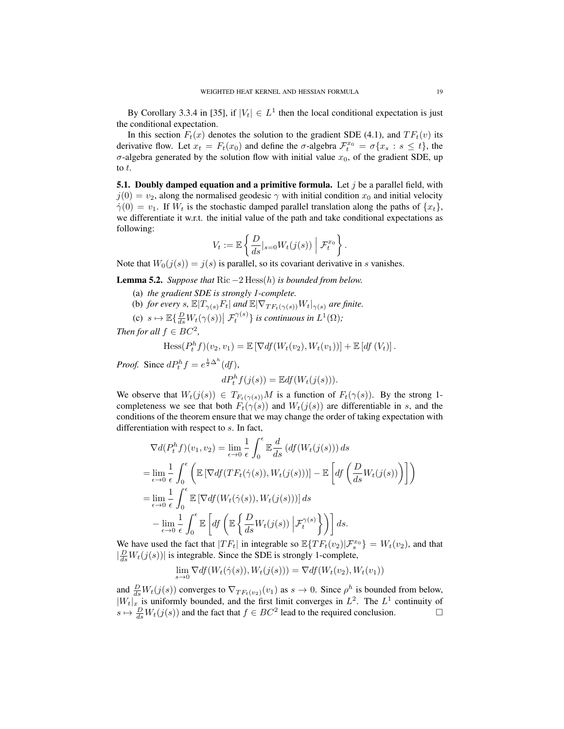By Corollary 3.3.4 in [35], if  $|V_t| \in L^1$  then the local conditional expectation is just the conditional expectation.

In this section  $F_t(x)$  denotes the solution to the gradient SDE (4.1), and  $TF_t(v)$  its derivative flow. Let  $x_t = F_t(x_0)$  and define the  $\sigma$ -algebra  $\mathcal{F}_t^{x_0} = \sigma\{x_s : s \leq t\}$ , the  $\sigma$ -algebra generated by the solution flow with initial value  $x_0$ , of the gradient SDE, up to t.

**5.1. Doubly damped equation and a primitive formula.** Let  $j$  be a parallel field, with  $j(0) = v_2$ , along the normalised geodesic  $\gamma$  with initial condition  $x_0$  and initial velocity  $\dot{\gamma}(0) = v_1$ . If  $W_t$  is the stochastic damped parallel translation along the paths of  $\{x_t\}$ , we differentiate it w.r.t. the initial value of the path and take conditional expectations as following:

$$
V_t := \mathbb{E}\left\{\frac{D}{ds}|_{s=0}W_t(j(s))\middle|\mathcal{F}_t^{x_0}\right\}.
$$

Note that  $W_0(j(s)) = j(s)$  is parallel, so its covariant derivative in s vanishes.

Lemma 5.2. *Suppose that* Ric −2 Hess(h) *is bounded from below.*

- (a) *the gradient SDE is strongly 1-complete.*
- (b) *for every* s,  $\mathbb{E}[T_{\gamma(s)}F_t]$  *and*  $\mathbb{E}[\nabla_{TF_t(\gamma(s))}W_t|_{\gamma(s)}$  *are finite.*
- (c)  $s \mapsto \mathbb{E}\{\frac{D}{ds}W_t(\gamma(s)) | \mathcal{F}_t^{\gamma(s)}\}$  is continuous in  $L^1(\Omega)$ ;

*Then for all*  $f \in BC^2$ ,

$$
\text{Hess}(P_t^h f)(v_2, v_1) = \mathbb{E}\left[\nabla df(W_t(v_2), W_t(v_1))\right] + \mathbb{E}\left[df(V_t)\right].
$$

*Proof.* Since  $dP_t^h f = e^{\frac{1}{2}\Delta^h}(df)$ ,

$$
dP_t^h f(j(s)) = \mathbb{E} df(W_t(j(s))).
$$

We observe that  $W_t(j(s)) \in T_{F_t(\gamma(s))}M$  is a function of  $F_t(\gamma(s))$ . By the strong 1completeness we see that both  $F_t(\gamma(s))$  and  $W_t(j(s))$  are differentiable in s, and the conditions of the theorem ensure that we may change the order of taking expectation with differentiation with respect to s. In fact,

$$
\nabla d(P_t^h f)(v_1, v_2) = \lim_{\epsilon \to 0} \frac{1}{\epsilon} \int_0^{\epsilon} \mathbb{E} \frac{d}{ds} (df(W_t(j(s))) ds
$$
  
\n
$$
= \lim_{\epsilon \to 0} \frac{1}{\epsilon} \int_0^{\epsilon} \left( \mathbb{E} \left[ \nabla df(TF_t(\dot{\gamma}(s)), W_t(j(s))) \right] - \mathbb{E} \left[ df\left(\frac{D}{ds} W_t(j(s))\right) \right] \right)
$$
  
\n
$$
= \lim_{\epsilon \to 0} \frac{1}{\epsilon} \int_0^{\epsilon} \mathbb{E} \left[ \nabla df(W_t(\dot{\gamma}(s)), W_t(j(s))) \right] ds
$$
  
\n
$$
- \lim_{\epsilon \to 0} \frac{1}{\epsilon} \int_0^{\epsilon} \mathbb{E} \left[ df\left(\mathbb{E} \left\{ \frac{D}{ds} W_t(j(s)) \middle| \mathcal{F}_t^{\gamma(s)} \right\} \right) \right] ds.
$$

We have used the fact that  $|TF_t|$  in integrable so  $\mathbb{E}\{TF_t(v_2)|\mathcal{F}_s^{x_0}\}=W_t(v_2)$ , and that  $\left|\frac{D}{ds}W_t(j(s))\right|$  is integrable. Since the SDE is strongly 1-complete,

$$
\lim_{s \to 0} \nabla df(W_t(\dot{\gamma}(s)), W_t(j(s))) = \nabla df(W_t(v_2), W_t(v_1))
$$

and  $\frac{D}{ds}W_t(j(s))$  converges to  $\nabla_{TF_t(v_2)}(v_1)$  as  $s \to 0$ . Since  $\rho^h$  is bounded from below,  $|W_t|_x$  is uniformly bounded, and the first limit converges in  $L^2$ . The  $L^1$  continuity of  $s \mapsto \frac{D}{ds}W_t(j(s))$  and the fact that  $f \in BC^2$  lead to the required conclusion.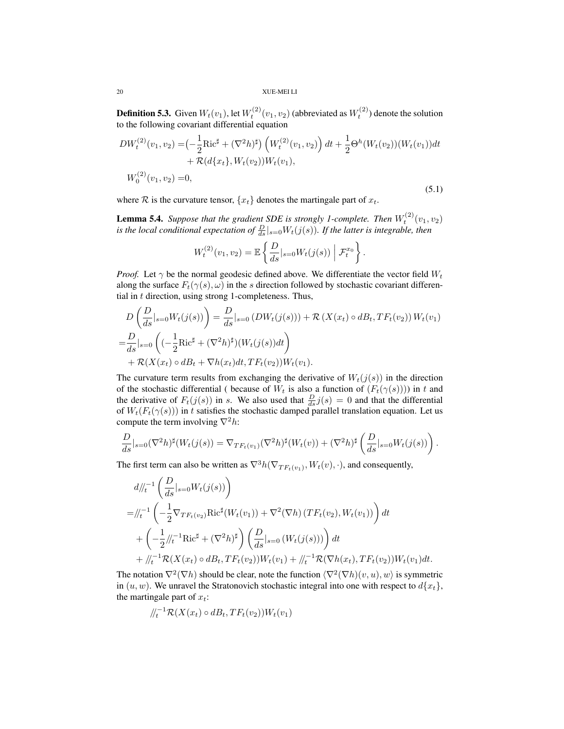**Definition 5.3.** Given  $W_t(v_1)$ , let  $W_t^{(2)}(v_1, v_2)$  (abbreviated as  $W_t^{(2)}$ ) denote the solution to the following covariant differential equation

$$
DW_t^{(2)}(v_1, v_2) = \left(-\frac{1}{2}\text{Ric}^{\sharp} + (\nabla^2 h)^{\sharp}\right) \left(W_t^{(2)}(v_1, v_2)\right) dt + \frac{1}{2}\Theta^h(W_t(v_2))(W_t(v_1))dt
$$
  
+  $\mathcal{R}(d\{x_t\}, W_t(v_2))W_t(v_1),$   

$$
W_0^{(2)}(v_1, v_2) = 0,
$$
\t(5.1)

where R is the curvature tensor,  $\{x_t\}$  denotes the martingale part of  $x_t$ .

**Lemma 5.4.** Suppose that the gradient SDE is strongly 1-complete. Then  $W_t^{(2)}(v_1, v_2)$ is the local conditional expectation of  $\frac{D}{ds}|_{s=0}W_t(j(s))$ . If the latter is integrable, then

$$
W_t^{(2)}(v_1, v_2) = \mathbb{E}\left\{\frac{D}{ds}|_{s=0}W_t(j(s)) | \mathcal{F}_t^{x_0}\right\}.
$$

*Proof.* Let  $\gamma$  be the normal geodesic defined above. We differentiate the vector field  $W_t$ along the surface  $F_t(\gamma(s), \omega)$  in the s direction followed by stochastic covariant differential in  $t$  direction, using strong 1-completeness. Thus,

$$
D\left(\frac{D}{ds}|_{s=0}W_t(j(s))\right) = \frac{D}{ds}|_{s=0} \left(DW_t(j(s))\right) + \mathcal{R}\left(X(x_t) \circ dB_t, TF_t(v_2)\right)W_t(v_1)
$$
  
= 
$$
\frac{D}{ds}|_{s=0} \left( (-\frac{1}{2}\text{Ric}^{\sharp} + (\nabla^2 h)^{\sharp})(W_t(j(s))dt) + \mathcal{R}(X(x_t) \circ dB_t + \nabla h(x_t)dt, TF_t(v_2))W_t(v_1).
$$

The curvature term results from exchanging the derivative of  $W_t(j(s))$  in the direction of the stochastic differential ( because of  $W_t$  is also a function of  $(F_t(\gamma(s))))$  in t and the derivative of  $F_t(j(s))$  in s. We also used that  $\frac{D}{ds}j(s) = 0$  and that the differential of  $W_t(F_t(\gamma(s)))$  in t satisfies the stochastic damped parallel translation equation. Let us compute the term involving  $\nabla^2 h$ :

$$
\frac{D}{ds}|_{s=0}(\nabla^2 h)^\sharp (W_t(j(s))=\nabla_{TF_t(v_1)}(\nabla^2 h)^\sharp (W_t(v))+(\nabla^2 h)^\sharp \left(\frac{D}{ds}|_{s=0}W_t(j(s))\right).
$$

The first term can also be written as  $\nabla^3 h(\nabla_{TF_t(v_1)}, W_t(v), \cdot)$ , and consequently,

$$
d\|_{t}^{t-1} \left( \frac{D}{ds} \big|_{s=0} W_{t}(j(s)) \right)
$$
  
=
$$
\|_{t}^{t-1} \left( -\frac{1}{2} \nabla_{TF_{t}(v_{2})} \text{Ric}^{\sharp} (W_{t}(v_{1})) + \nabla^{2} (\nabla h) (TF_{t}(v_{2}), W_{t}(v_{1})) \right) dt
$$
  
+
$$
\left( -\frac{1}{2} \big|_{t}^{t-1} \text{Ric}^{\sharp} + (\nabla^{2} h)^{\sharp} \right) \left( \frac{D}{ds} \big|_{s=0} (W_{t}(j(s))) \right) dt
$$
  
+
$$
\|_{t}^{t-1} \mathcal{R}(X(x_{t}) \circ dB_{t}, TF_{t}(v_{2})) W_{t}(v_{1}) + \|_{t}^{t-1} \mathcal{R}(\nabla h(x_{t}), TF_{t}(v_{2})) W_{t}(v_{1}) dt.
$$

The notation  $\nabla^2(\nabla h)$  should be clear, note the function  $\langle \nabla^2(\nabla h)(v, u), w \rangle$  is symmetric in  $(u, w)$ . We unravel the Stratonovich stochastic integral into one with respect to  $d\{x_t\}$ , the martingale part of  $x_t$ :

$$
/\hspace{-3pt}/_{t}^{t} \mathcal{R}(X(x_t) \circ dB_t, TF_t(v_2))W_t(v_1)
$$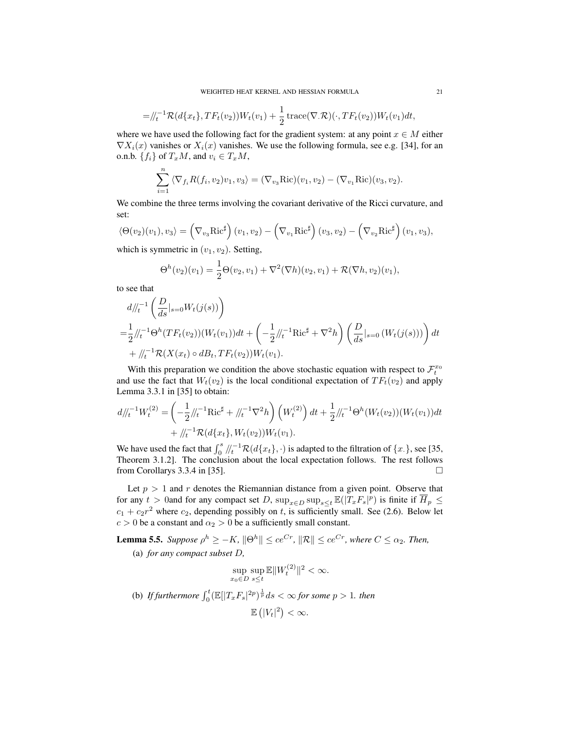$$
= / \ell_t^{-1} \mathcal{R}(d\{x_t\}, TF_t(v_2)) W_t(v_1) + \frac{1}{2} \operatorname{trace}(\nabla . \mathcal{R})(\cdot, TF_t(v_2)) W_t(v_1) dt,
$$

where we have used the following fact for the gradient system: at any point  $x \in M$  either  $\nabla X_i(x)$  vanishes or  $X_i(x)$  vanishes. We use the following formula, see e.g. [34], for an o.n.b.  $\{f_i\}$  of  $T_xM$ , and  $v_i \in T_xM$ ,

$$
\sum_{i=1}^{n} \langle \nabla_{f_i} R(f_i, v_2) v_1, v_3 \rangle = (\nabla_{v_3} \text{Ric})(v_1, v_2) - (\nabla_{v_1} \text{Ric})(v_3, v_2).
$$

We combine the three terms involving the covariant derivative of the Ricci curvature, and set:

$$
\langle \Theta(v_2)(v_1), v_3 \rangle = \left(\nabla_{v_3} \mathrm{Ric}^{\sharp}\right)(v_1, v_2) - \left(\nabla_{v_1} \mathrm{Ric}^{\sharp}\right)(v_3, v_2) - \left(\nabla_{v_2} \mathrm{Ric}^{\sharp}\right)(v_1, v_3),
$$

which is symmetric in  $(v_1, v_2)$ . Setting,

$$
\Theta^h(v_2)(v_1) = \frac{1}{2}\Theta(v_2, v_1) + \nabla^2(\nabla h)(v_2, v_1) + \mathcal{R}(\nabla h, v_2)(v_1),
$$

to see that

$$
d\bigg/\bigg|_{t}^{t-1} \left(\frac{D}{ds}|_{s=0} W_t(j(s))\right)
$$
  
=  $\frac{1}{2} \bigg/\bigg|_{t}^{t-1} \Theta^h(TF_t(v_2))(W_t(v_1))dt + \left(-\frac{1}{2} \bigg/\bigg|_{t}^{t-1} \text{Ric}^\sharp + \nabla^2 h\right) \left(\frac{D}{ds}|_{s=0} (W_t(j(s)))\right) dt$   
+  $\bigg/\bigg|_{t}^{t-1} \mathcal{R}(X(x_t) \circ dB_t, TF_t(v_2))W_t(v_1).$ 

With this preparation we condition the above stochastic equation with respect to  $\mathcal{F}_t^{x_0}$ and use the fact that  $W_t(v_2)$  is the local conditional expectation of  $TF_t(v_2)$  and apply Lemma 3.3.1 in [35] to obtain:

$$
d\frac{d}{dt}W_t^{(2)} = \left(-\frac{1}{2}\frac{d}{dt} + \frac{d}{dt}W_t^{(2)}\right)\left(W_t^{(2)}\right)dt + \frac{1}{2}\frac{d}{dt}W_t^{(2)}W_t^{(2)}W_t^{(2)}W_t^{(2)}W_t^{(2)}W_t^{(2)}W_t^{(2)}W_t^{(2)}W_t^{(2)}W_t^{(2)}W_t^{(2)}W_t^{(2)}W_t^{(2)}W_t^{(2)}W_t^{(2)}W_t^{(2)}W_t^{(2)}W_t^{(2)}W_t^{(2)}W_t^{(2)}W_t^{(2)}W_t^{(2)}W_t^{(2)}W_t^{(2)}W_t^{(2)}W_t^{(2)}W_t^{(2)}W_t^{(2)}W_t^{(2)}W_t^{(2)}W_t^{(2)}W_t^{(2)}W_t^{(2)}W_t^{(2)}W_t^{(2)}W_t^{(2)}W_t^{(2)}W_t^{(2)}W_t^{(2)}W_t^{(2)}W_t^{(2)}W_t^{(2)}W_t^{(2)}W_t^{(2)}W_t^{(2)}W_t^{(2)}W_t^{(2)}W_t^{(2)}W_t^{(2)}W_t^{(2)}W_t^{(2)}W_t^{(2)}W_t^{(2)}W_t^{(2)}W_t^{(2)}W_t^{(2)}W_t^{(2)}W_t^{(2)}W_t^{(2)}W_t^{(2)}W_t^{(2)}W_t^{(2)}W_t^{(2)}W_t^{(2)}W_t^{(2)}W_t^{(2)}W_t^{(2)}W_t^{(2)}W_t^{(2)}W_t^{(2)}W_t^{(2)}W_t^{(2)}W_t^{(2)}W_t^{(2)}W_t^{(2)}W_t^{(2)}W_t^{(2)}W_t^{(2)}W_t^{(2)}W_t^{(2)}W_t^{(2)}W_t^{(2)}W_t^{(2)}W_t^{(2)}W_t^{(2)}W_t^{(2)}W_t^{(2)}W_t^{(2)}W_t^{(2)}W_t^{(2)}W_t^{(2)}W_t^{(2)}W_t^{(2)}W_t^{(2)}W_t^{(2)}W_t^{(2)}W_t^{(2)}W_t^{(2)}W_t^{(2)}W_t^{(2)}W_t^{(2)}W_t^{(2)}W_t^{(2)}W_t^{(2)}W_t^{(2)}W_t^{(2)}W_t^{(2)}W_t^{(2)}W_t^{(2)}W_t^{(2)}W_t^{(2)}W_t^{(2)}W_t^{(2)}W_t^{(2)}W_t
$$

We have used the fact that  $\int_0^s / \ell_t^{-1} \mathcal{R}(d\{x_t\}, \cdot)$  is adapted to the filtration of  $\{x_t\}$ , see [35, Theorem 3.1.2]. The conclusion about the local expectation follows. The rest follows from Corollarys 3.3.4 in [35].  $\square$ 

Let  $p > 1$  and r denotes the Riemannian distance from a given point. Observe that for any  $t > 0$  and for any compact set D,  $\sup_{x \in D} \sup_{s \le t} \mathbb{E}(|T_x F_s|^p)$  is finite if  $\overline{H}_p \le$  $c_1 + c_2 r^2$  where  $c_2$ , depending possibly on t, is sufficiently small. See (2.6). Below let  $c > 0$  be a constant and  $\alpha_2 > 0$  be a sufficiently small constant.

**Lemma 5.5.** Suppose  $\rho^h \geq -K$ ,  $\|\Theta^h\| \leq ce^{Cr}$ ,  $\|\mathcal{R}\| \leq ce^{Cr}$ , where  $C \leq \alpha_2$ . Then, (a) *for any compact subset* D*,*

$$
\sup_{x_0 \in D} \sup_{s \le t} \mathbb{E} \|W_t^{(2)}\|^2 < \infty.
$$

(b) If furthermore  $\int_0^t (\mathbb{E}[|T_xF_s|^{2p})^{\frac{1}{p}} ds < \infty$  for some  $p > 1$ . then

$$
\mathbb{E}\left(|V_t|^2\right)<\infty.
$$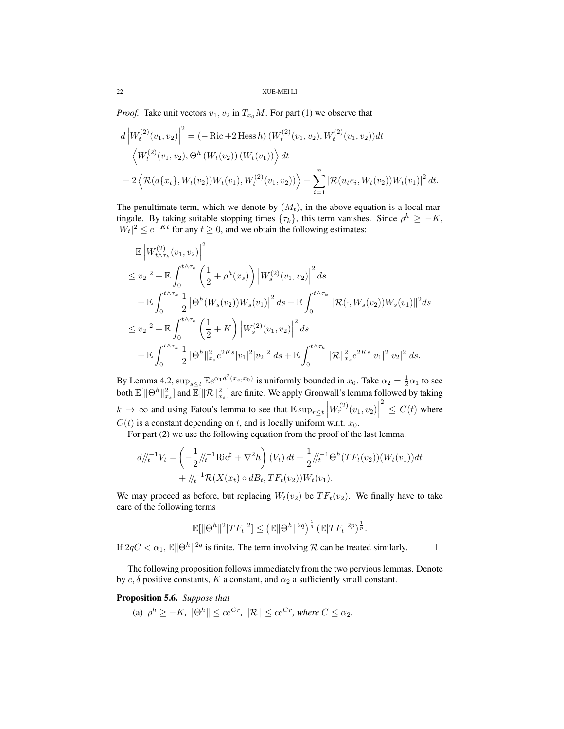*Proof.* Take unit vectors  $v_1, v_2$  in  $T_{x_0}M$ . For part (1) we observe that

$$
d \left| W_t^{(2)}(v_1, v_2) \right|^2 = \left( -\operatorname{Ric} + 2 \operatorname{Hess} h \right) \left( W_t^{(2)}(v_1, v_2), W_t^{(2)}(v_1, v_2) \right) dt + \left\langle W_t^{(2)}(v_1, v_2), \Theta^h \left( W_t(v_2) \right) \left( W_t(v_1) \right) \right\rangle dt + 2 \left\langle \mathcal{R}(d\{x_t\}, W_t(v_2)) W_t(v_1), W_t^{(2)}(v_1, v_2) \right\rangle + \sum_{i=1}^n \left| \mathcal{R}(u_t e_i, W_t(v_2)) W_t(v_1) \right|^2 dt.
$$

The penultimate term, which we denote by  $(M_t)$ , in the above equation is a local martingale. By taking suitable stopping times  $\{\tau_k\}$ , this term vanishes. Since  $\rho^h \geq -K$ ,  $|W_t|^2 \le e^{-Kt}$  for any  $t \ge 0$ , and we obtain the following estimates:

$$
\mathbb{E}\left|W_{t\wedge\tau_{k}}^{(2)}(v_{1},v_{2})\right|^{2}
$$
\n
$$
\leq |v_{2}|^{2} + \mathbb{E}\int_{0}^{t\wedge\tau_{k}}\left(\frac{1}{2} + \rho^{h}(x_{s})\right)\left|W_{s}^{(2)}(v_{1},v_{2})\right|^{2}ds
$$
\n
$$
+ \mathbb{E}\int_{0}^{t\wedge\tau_{k}}\frac{1}{2}\left|\Theta^{h}(W_{s}(v_{2}))W_{s}(v_{1})\right|^{2}ds + \mathbb{E}\int_{0}^{t\wedge\tau_{k}}\|\mathcal{R}(\cdot,W_{s}(v_{2}))W_{s}(v_{1})\|^{2}ds
$$
\n
$$
\leq |v_{2}|^{2} + \mathbb{E}\int_{0}^{t\wedge\tau_{k}}\left(\frac{1}{2} + K\right)\left|W_{s}^{(2)}(v_{1},v_{2})\right|^{2}ds
$$
\n
$$
+ \mathbb{E}\int_{0}^{t\wedge\tau_{k}}\frac{1}{2}\|\Theta^{h}\|^{2}_{x_{s}}e^{2Ks}|v_{1}|^{2}|v_{2}|^{2}ds + \mathbb{E}\int_{0}^{t\wedge\tau_{k}}\|\mathcal{R}\|^{2}_{x_{s}}e^{2Ks}|v_{1}|^{2}|v_{2}|^{2}ds.
$$

By Lemma 4.2,  $\sup_{s\leq t} \mathbb{E}e^{\alpha_1 d^2(x_s, x_0)}$  is uniformly bounded in  $x_0$ . Take  $\alpha_2 = \frac{1}{2}\alpha_1$  to see both  $\mathbb{E}[\|\Theta^h\|_{x_s}^2]$  and  $\bar{\mathbb{E}}[\|\mathcal{R}\|_{x_s}^2]$  are finite. We apply Gronwall's lemma followed by taking  $k \to \infty$  and using Fatou's lemma to see that  $\mathbb{E} \sup_{r \le t} \left| W_r^{(2)}(v_1, v_2) \right|$  $2 \leq C(t)$  where  $C(t)$  is a constant depending on t, and is locally uniform w.r.t.  $x_0$ .

For part (2) we use the following equation from the proof of the last lemma.

$$
d\big|_{t}^{T-1}V_{t} = \left(-\frac{1}{2}\big|_{t}^{T-1}\mathrm{Ric}^{\sharp} + \nabla^{2}h\right)(V_{t}) dt + \frac{1}{2}\big|_{t}^{T-1}\Theta^{h}(TF_{t}(v_{2}))(W_{t}(v_{1}))dt
$$

$$
+ \big|_{t}^{T-1}\mathcal{R}(X(x_{t}) \circ dB_{t}, TF_{t}(v_{2}))W_{t}(v_{1}).
$$

We may proceed as before, but replacing  $W_t(v_2)$  be  $TF_t(v_2)$ . We finally have to take care of the following terms

$$
\mathbb{E}[\|\Theta^h\|^2|TF_t|^2] \leq \left(\mathbb{E}\|\Theta^h\|^{2q}\right)^{\frac{1}{q}} \left(\mathbb{E}|TF_t|^{2p}\right)^{\frac{1}{p}}.
$$

If  $2qC < \alpha_1$ ,  $\mathbb{E} \|\Theta^h\|^{2q}$  is finite. The term involving R can be treated similarly.

The following proposition follows immediately from the two pervious lemmas. Denote by  $c, \delta$  positive constants, K a constant, and  $\alpha_2$  a sufficiently small constant.

Proposition 5.6. *Suppose that*

(a) 
$$
\rho^h \geq -K
$$
,  $\|\Theta^h\| \leq ce^{Cr}$ ,  $\|\mathcal{R}\| \leq ce^{Cr}$ , where  $C \leq \alpha_2$ .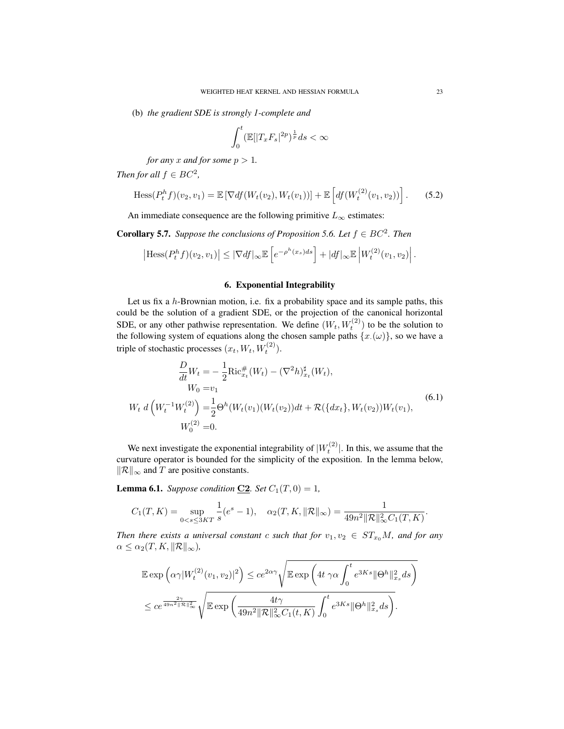(b) *the gradient SDE is strongly 1-complete and*

$$
\int_0^t (\mathbb{E}[|T_x F_s|^{2p})^{\frac{1}{p}} ds < \infty
$$

*for any* x *and for some*  $p > 1$ *.* 

*Then for all*  $f \in BC^2$ ,

$$
\text{Hess}(P_t^h f)(v_2, v_1) = \mathbb{E}\left[\nabla df(W_t(v_2), W_t(v_1))\right] + \mathbb{E}\left[df(W_t^{(2)}(v_1, v_2))\right].\tag{5.2}
$$

An immediate consequence are the following primitive  $L_{\infty}$  estimates:

**Corollary 5.7.** *Suppose the conclusions of Proposition 5.6. Let*  $f \in BC^2$ *. Then* 

$$
\left|\mathrm{Hess}(P_t^h f)(v_2, v_1)\right| \leq \left|\nabla df\right|_{\infty} \mathbb{E}\left[e^{-\rho^h(x_s)ds}\right] + |df|_{\infty} \mathbb{E}\left|W_t^{(2)}(v_1, v_2)\right|.
$$

### 6. Exponential Integrability

Let us fix a  $h$ -Brownian motion, i.e. fix a probability space and its sample paths, this could be the solution of a gradient SDE, or the projection of the canonical horizontal SDE, or any other pathwise representation. We define  $(W_t, W_t^{(2)})$  to be the solution to the following system of equations along the chosen sample paths  $\{x(\omega)\}\)$ , so we have a triple of stochastic processes  $(x_t, W_t, W_t^{(2)})$ .

$$
\frac{D}{dt}W_t = -\frac{1}{2}\text{Ric}_{x_t}^{\#}(W_t) - (\nabla^2 h)_{x_t}^{\#}(W_t),
$$
\n
$$
W_0 = v_1
$$
\n
$$
W_t \, d\left(W_t^{-1}W_t^{(2)}\right) = \frac{1}{2}\Theta^h(W_t(v_1)(W_t(v_2))dt + \mathcal{R}(\{dx_t\}, W_t(v_2))W_t(v_1),
$$
\n
$$
W_0^{(2)} = 0.
$$
\n(6.1)

We next investigate the exponential integrability of  $|W_t^{(2)}|$ . In this, we assume that the curvature operator is bounded for the simplicity of the exposition. In the lemma below,  $\Vert R \Vert_{\infty}$  and T are positive constants.

**Lemma 6.1.** *Suppose condition* **C2***. Set*  $C_1(T, 0) = 1$ *,* 

$$
C_1(T,K) = \sup_{0 < s \le 3KT} \frac{1}{s} (e^s - 1), \quad \alpha_2(T,K, \|\mathcal{R}\|_{\infty}) = \frac{1}{49n^2 \|\mathcal{R}\|_{\infty}^2 C_1(T,K)}.
$$

*Then there exists a universal constant* c *such that for*  $v_1, v_2 \in ST_{x_0}M$ , and for any  $\alpha \leq \alpha_2(T, K, ||\mathcal{R}||_{\infty}),$ 

$$
\mathbb{E} \exp\left(\alpha\gamma |W_t^{(2)}(v_1, v_2)|^2\right) \leq c e^{2\alpha\gamma} \sqrt{\mathbb{E} \exp\left(4t\gamma\alpha \int_0^t e^{3Ks} \|\Theta^h\|_{x_s}^2 ds\right)}
$$
  

$$
\leq c e^{\frac{2\gamma}{49n^2 \|\mathcal{R}\|_{\infty}^2}} \sqrt{\mathbb{E} \exp\left(\frac{4t\gamma}{49n^2 \|\mathcal{R}\|_{\infty}^2 C_1(t, K)} \int_0^t e^{3Ks} \|\Theta^h\|_{x_s}^2 ds\right)}.
$$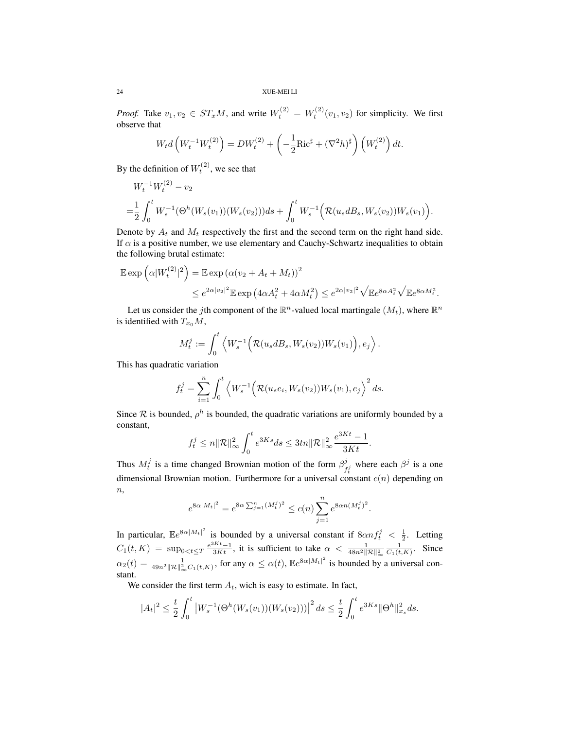*Proof.* Take  $v_1, v_2 \in ST_xM$ , and write  $W_t^{(2)} = W_t^{(2)}(v_1, v_2)$  for simplicity. We first observe that

$$
W_t d\left(W_t^{-1} W_t^{(2)}\right) = DW_t^{(2)} + \left(-\frac{1}{2} \text{Ric}^{\sharp} + (\nabla^2 h)^{\sharp}\right) \left(W_t^{(2)}\right) dt.
$$

By the definition of  $W_t^{(2)}$ , we see that

$$
W_t^{-1}W_t^{(2)} - v_2
$$
  
=  $\frac{1}{2} \int_0^t W_s^{-1}(\Theta^h(W_s(v_1))(W_s(v_2)))ds + \int_0^t W_s^{-1}(\mathcal{R}(u_s dB_s, W_s(v_2))W_s(v_1)).$ 

Denote by  $A_t$  and  $M_t$  respectively the first and the second term on the right hand side. If  $\alpha$  is a positive number, we use elementary and Cauchy-Schwartz inequalities to obtain the following brutal estimate:

$$
\mathbb{E} \exp\left(\alpha |W_t^{(2)}|^2\right) = \mathbb{E} \exp\left(\alpha (v_2 + A_t + M_t)\right)^2
$$
  

$$
\leq e^{2\alpha |v_2|^2} \mathbb{E} \exp\left(4\alpha A_t^2 + 4\alpha M_t^2\right) \leq e^{2\alpha |v_2|^2} \sqrt{\mathbb{E}e^{8\alpha A_t^2}} \sqrt{\mathbb{E}e^{8\alpha M_t^2}}.
$$

Let us consider the *j*th component of the  $\mathbb{R}^n$ -valued local martingale  $(M_t)$ , where  $\mathbb{R}^n$ is identified with  $T_{x_0}M$ ,

$$
M_t^j := \int_0^t \left\langle W_s^{-1}\Big(\mathcal{R}(u_s dB_s, W_s(v_2))W_s(v_1)\Big), e_j\right\rangle.
$$

This has quadratic variation

$$
f_t^j = \sum_{i=1}^n \int_0^t \left\langle W_s^{-1} \Big( \mathcal{R}(u_s e_i, W_s(v_2)) W_s(v_1), e_j \right\rangle^2 ds.
$$

Since  $\mathcal R$  is bounded,  $\rho^h$  is bounded, the quadratic variations are uniformly bounded by a constant,

$$
f_t^j \leq n ||\mathcal{R}||_{\infty}^2 \int_0^t e^{3Ks} ds \leq 3tn ||\mathcal{R}||_{\infty}^2 \frac{e^{3Kt} - 1}{3Kt}.
$$

Thus  $M_t^j$  is a time changed Brownian motion of the form  $\beta_f^j$  $\int_{f_i}^{j}$  where each  $\beta^j$  is a one dimensional Brownian motion. Furthermore for a universal constant  $c(n)$  depending on  $\overline{n},$ 

$$
e^{8\alpha|M_t|^2} = e^{8\alpha \sum_{j=1}^n (M_t^j)^2} \le c(n) \sum_{j=1}^n e^{8\alpha n (M_t^j)^2}.
$$

In particular,  $\mathbb{E}e^{8\alpha|M_t|^2}$  is bounded by a universal constant if  $8\alpha n f_t^j < \frac{1}{2}$ . Letting  $C_1(t,K) = \sup_{0 < t \leq T} \frac{e^{3Kt}-1}{3Kt}$ , it is sufficient to take  $\alpha < \frac{1}{48n^2 \|\mathcal{R}\|_{\infty}^2} \frac{1}{C_1(t,K)}$ . Since  $\alpha_2(t) = \frac{1}{49n^2 ||R||^2_{\infty} C_1(t,K)}$ , for any  $\alpha \leq \alpha(t)$ ,  $\mathbb{E}e^{8\alpha|M_t|^2}$  is bounded by a universal constant.

We consider the first term  $A_t$ , wich is easy to estimate. In fact,

$$
|A_t|^2 \le \frac{t}{2} \int_0^t \left| W_s^{-1}(\Theta^h(W_s(v_1))(W_s(v_2))) \right|^2 ds \le \frac{t}{2} \int_0^t e^{3Ks} \|\Theta^h\|_{x_s}^2 ds.
$$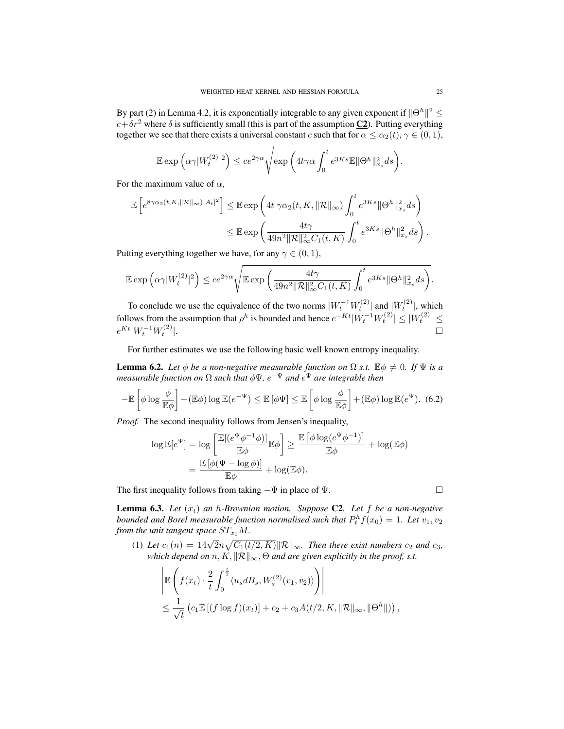By part (2) in Lemma 4.2, it is exponentially integrable to any given exponent if  $\|\Theta^h\|^2 \leq$  $c+\delta r^2$  where  $\delta$  is sufficiently small (this is part of the assumption  $C_2$ ). Putting everything together we see that there exists a universal constant c such that for  $\alpha \leq \alpha_2(t)$ ,  $\gamma \in (0,1)$ ,

$$
\mathbb{E} \exp\left(\alpha \gamma |W_t^{(2)}|^2\right) \leq c e^{2\gamma \alpha} \sqrt{\exp\left(4t\gamma \alpha \int_0^t e^{3Ks} \mathbb{E} \|\Theta^h\|_{x_s}^2 ds\right)}.
$$

For the maximum value of  $\alpha$ ,

$$
\mathbb{E}\left[e^{8\gamma\alpha_2(t,K,\|\mathcal{R}\|_{\infty})|A_t|^2}\right] \leq \mathbb{E}\exp\left(4t\ \gamma\alpha_2(t,K,\|\mathcal{R}\|_{\infty})\int_0^t e^{3Ks}\|\Theta^h\|_{x_s}^2ds\right)
$$

$$
\leq \mathbb{E}\exp\left(\frac{4t\gamma}{49n^2\|\mathcal{R}\|_{\infty}^2C_1(t,K)}\int_0^t e^{3Ks}\|\Theta^h\|_{x_s}^2ds\right).
$$

Putting everything together we have, for any  $\gamma \in (0, 1)$ ,

$$
\mathbb{E} \exp\Big( \alpha \gamma |W^{(2)}_t|^2 \Big) \leq c e^{2 \gamma \alpha} \sqrt{\mathbb{E} \exp \bigg( \frac{4t \gamma}{49 n^2 \| \mathcal{R} \|_\infty^2 C_1(t,K)} \int_0^t e^{3K s} \| \Theta^h \|_{x_s}^2 ds \bigg)}.
$$

To conclude we use the equivalence of the two norms  $|W_t^{-1}W_t^{(2)}|$  and  $|W_t^{(2)}|$ , which follows from the assumption that  $\rho^h$  is bounded and hence  $e^{-Kt}|W_t^{-1}W_t^{(2)}| \leq |W_t^{(2)}| \leq$  $e^{Kt}|W_t^{-1}W_t^{(2)}$ |.<br>|-<br>|-

For further estimates we use the following basic well known entropy inequality.

**Lemma 6.2.** *Let*  $\phi$  *be a non-negative measurable function on*  $\Omega$  *s.t.*  $\mathbb{E}\phi \neq 0$ *. If*  $\Psi$  *is a measurable function on* Ω *such that* φΨ*,* e <sup>−</sup><sup>Ψ</sup> *and* e <sup>Ψ</sup> *are integrable then*

$$
-\mathbb{E}\left[\phi\log\frac{\phi}{\mathbb{E}\phi}\right] + (\mathbb{E}\phi)\log\mathbb{E}(e^{-\Psi}) \le \mathbb{E}\left[\phi\Psi\right] \le \mathbb{E}\left[\phi\log\frac{\phi}{\mathbb{E}\phi}\right] + (\mathbb{E}\phi)\log\mathbb{E}(e^{\Psi}).
$$
 (6.2)

*Proof.* The second inequality follows from Jensen's inequality,

$$
\log \mathbb{E}[e^{\Psi}] = \log \left[ \frac{\mathbb{E}[(e^{\Psi} \phi^{-1} \phi)]}{\mathbb{E} \phi} \mathbb{E} \phi \right] \ge \frac{\mathbb{E}[\phi \log(e^{\Psi} \phi^{-1})]}{\mathbb{E} \phi} + \log(\mathbb{E} \phi)
$$

$$
= \frac{\mathbb{E}[\phi(\Psi - \log \phi)]}{\mathbb{E} \phi} + \log(\mathbb{E} \phi).
$$

The first inequality follows from taking  $-\Psi$  in place of  $\Psi$ .

**Lemma 6.3.** Let  $(x_t)$  an h-Brownian motion. Suppose  $C2$ . Let f be a non-negative *bounded and Borel measurable function normalised such that*  $P_t^h f(x_0) = 1$ . Let  $v_1, v_2$ *from the unit tangent space*  $ST_{x_0}M$ .

(1) Let  $c_1(n) = 14\sqrt{2}n\sqrt{C_1(t/2,K)}||\mathcal{R}||_{\infty}$ . Then there exist numbers  $c_2$  and  $c_3$ , *which depend on*  $n, K, ||\mathcal{R}||_{\infty}$ ,  $\Theta$  *and are given explicitly in the proof, s.t.* 

$$
\left| \mathbb{E}\left(f(x_t) \cdot \frac{2}{t} \int_0^{\frac{t}{2}} \langle u_s dB_s, W_s^{(2)}(v_1, v_2) \rangle \right) \right|
$$
  

$$
\leq \frac{1}{\sqrt{t}} \left( c_1 \mathbb{E}\left[ (f \log f)(x_t) \right] + c_2 + c_3 A(t/2, K, ||\mathcal{R}||_{\infty}, ||\Theta^h||) \right),
$$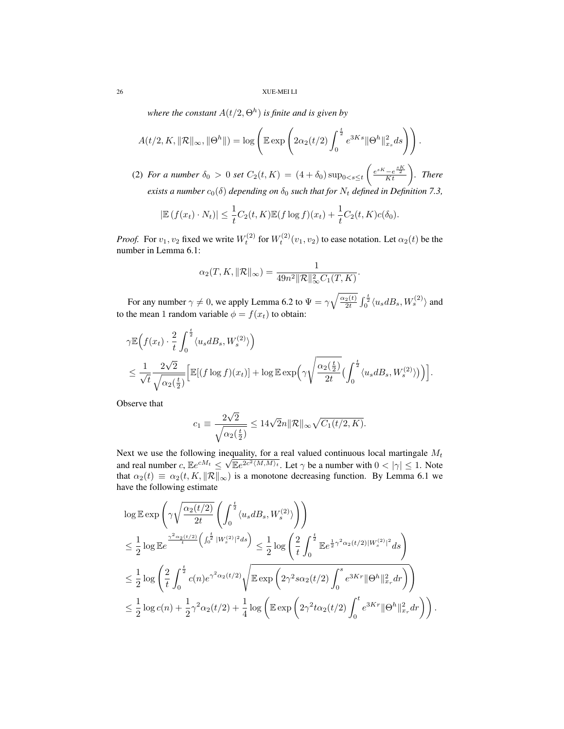where the constant  $A(t/2,\Theta^h)$  is finite and is given by

$$
A(t/2, K, \|\mathcal{R}\|_{\infty}, \|\Theta^h\|) = \log \left( \mathbb{E} \exp \left( 2\alpha_2(t/2) \int_0^{\frac{t}{2}} e^{3Ks} \|\Theta^h\|_{x_s}^2 ds \right) \right).
$$

(2) *For a number*  $\delta_0 > 0$  *set*  $C_2(t, K) = (4 + \delta_0) \sup_{0 < s \le t} \left( \frac{e^{sK} - e^{\frac{sK}{2}}}{Kt} \right)$ *. There exists a number*  $c_0(\delta)$  *depending on*  $\delta_0$  *such that for*  $N_t$  *defined in Definition 7.3,* 

$$
|\mathbb{E}(f(x_t)\cdot N_t)| \leq \frac{1}{t}C_2(t,K)\mathbb{E}(f\log f)(x_t) + \frac{1}{t}C_2(t,K)c(\delta_0).
$$

*Proof.* For  $v_1, v_2$  fixed we write  $W_t^{(2)}$  for  $W_t^{(2)}(v_1, v_2)$  to ease notation. Let  $\alpha_2(t)$  be the number in Lemma 6.1:

$$
\alpha_2(T, K, ||\mathcal{R}||_{\infty}) = \frac{1}{49n^2 ||\mathcal{R}||_{\infty}^2 C_1(T, K)}.
$$

For any number  $\gamma \neq 0$ , we apply Lemma 6.2 to  $\Psi = \gamma \sqrt{\frac{\alpha_2(t)}{2t}} \int_0^{\frac{t}{2}} \langle u_s dB_s, W_s^{(2)} \rangle$  and to the mean 1 random variable  $\phi = f(x_t)$  to obtain:

$$
\gamma \mathbb{E}\Big(f(x_t) \cdot \frac{2}{t} \int_0^{\frac{t}{2}} \langle u_s dB_s, W_s^{(2)} \rangle \Big) \n\leq \frac{1}{\sqrt{t}} \frac{2\sqrt{2}}{\sqrt{\alpha_2(\frac{t}{2})}} \Big[ \mathbb{E}[(f \log f)(x_t)] + \log \mathbb{E} \exp\Big(\gamma \sqrt{\frac{\alpha_2(\frac{t}{2})}{2t}} \Big(\int_0^{\frac{t}{2}} \langle u_s dB_s, W_s^{(2)} \rangle)\Big) \Big].
$$

Observe that

$$
c_1 \equiv \frac{2\sqrt{2}}{\sqrt{\alpha_2(\frac{t}{2})}} \le 14\sqrt{2}n \|\mathcal{R}\|_{\infty} \sqrt{C_1(t/2, K)}.
$$

Next we use the following inequality, for a real valued continuous local martingale  $M_t$ and real number c,  $\mathbb{E}e^{cM_t} \leq \sqrt{\mathbb{E}e^{2c^2 \langle M,M \rangle_t}}$ . Let  $\gamma$  be a number with  $0 < |\gamma| \leq 1$ . Note that  $\alpha_2(t) \equiv \alpha_2(t, K, ||\mathcal{R}||_{\infty})$  is a monotone decreasing function. By Lemma 6.1 we have the following estimate

$$
\log \mathbb{E} \exp \left( \gamma \sqrt{\frac{\alpha_2(t/2)}{2t}} \left( \int_0^{\frac{t}{2}} \langle u_s dB_s, W_s^{(2)} \rangle \right) \right)
$$
\n
$$
\leq \frac{1}{2} \log \mathbb{E} e^{-\frac{\gamma^2 \alpha_2(t/2)}{t} \left( \int_0^{\frac{t}{2}} |W_s^{(2)}|^2 ds \right)} \leq \frac{1}{2} \log \left( \frac{2}{t} \int_0^{\frac{t}{2}} \mathbb{E} e^{\frac{1}{2} \gamma^2 \alpha_2(t/2) |W_s^{(2)}|^2} ds \right)
$$
\n
$$
\leq \frac{1}{2} \log \left( \frac{2}{t} \int_0^{\frac{t}{2}} c(n) e^{\gamma^2 \alpha_2(t/2)} \sqrt{\mathbb{E} \exp \left( 2\gamma^2 s \alpha_2(t/2) \int_0^s e^{3Kr} ||\Theta^h||_{x_r}^2 dr \right)} \right)
$$
\n
$$
\leq \frac{1}{2} \log c(n) + \frac{1}{2} \gamma^2 \alpha_2(t/2) + \frac{1}{4} \log \left( \mathbb{E} \exp \left( 2\gamma^2 t \alpha_2(t/2) \int_0^t e^{3Kr} ||\Theta^h||_{x_r}^2 dr \right) \right).
$$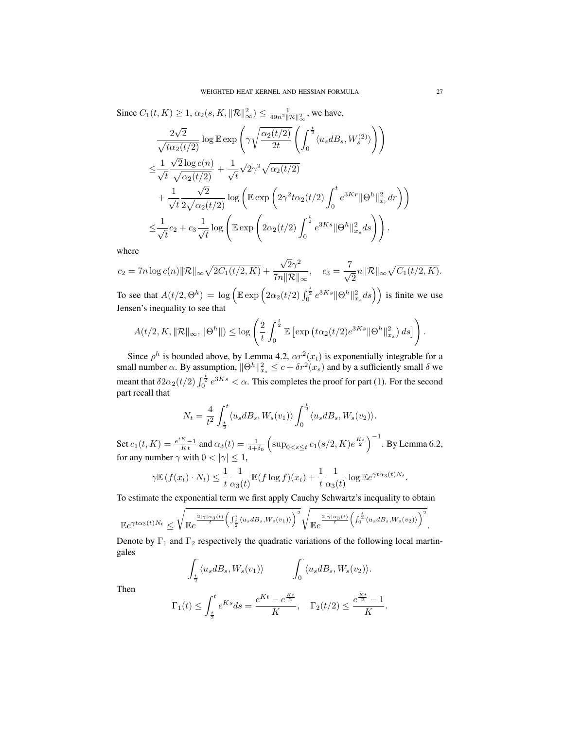Since 
$$
C_1(t, K) \ge 1
$$
,  $\alpha_2(s, K, ||\mathcal{R}||_{\infty}^2) \le \frac{1}{49n^2 ||\mathcal{R}||_{\infty}^2}$ , we have,  
\n
$$
\frac{2\sqrt{2}}{\sqrt{\tau_{\alpha_2}(t/2)}} \log \mathbb{E} \exp\left(\gamma \sqrt{\frac{\alpha_2(t/2)}{2t}} \left(\int_0^{\frac{t}{2}} \langle u_s dB_s, W_s^{(2)} \rangle \right) \right)
$$
\n
$$
\le \frac{1}{\sqrt{t}} \frac{\sqrt{2} \log c(n)}{\sqrt{\alpha_2(t/2)}} + \frac{1}{\sqrt{t}} \sqrt{2} \gamma^2 \sqrt{\alpha_2(t/2)}
$$
\n
$$
+ \frac{1}{\sqrt{t}} \frac{\sqrt{2}}{2\sqrt{\alpha_2(t/2)}} \log \left(\mathbb{E} \exp\left(2\gamma^2 t \alpha_2(t/2) \int_0^t e^{3Kr} ||\Theta^h||_{x_r}^2 dr\right)\right)
$$
\n
$$
\le \frac{1}{\sqrt{t}} c_2 + c_3 \frac{1}{\sqrt{t}} \log \left(\mathbb{E} \exp\left(2\alpha_2(t/2) \int_0^{\frac{t}{2}} e^{3Ks} ||\Theta^h||_{x_s}^2 ds\right)\right).
$$

where

where  

$$
c_2 = 7n \log c(n) \|\mathcal{R}\|_{\infty} \sqrt{2C_1(t/2, K)} + \frac{\sqrt{2}\gamma^2}{7n\|\mathcal{R}\|_{\infty}}, \quad c_3 = \frac{7}{\sqrt{2}}n\|\mathcal{R}\|_{\infty} \sqrt{C_1(t/2, K)}.
$$

To see that  $A(t/2, \Theta^h) = \log \left( \mathbb{E} \exp \left( 2\alpha_2(t/2) \int_0^{\frac{t}{2}} e^{3Ks} ||\Theta^h||_{x_s}^2 ds \right) \right)$  is finite we use Jensen's inequality to see that

$$
A(t/2, K, \|\mathcal{R}\|_{\infty}, \|\Theta^h\|) \leq \log \left(\frac{2}{t} \int_0^{\frac{t}{2}} \mathbb{E}\left[\exp\left(t\alpha_2(t/2)e^{3Ks}\|\Theta^h\|_{x_s}^2\right) ds\right]\right).
$$

Since  $\rho^h$  is bounded above, by Lemma 4.2,  $\alpha r^2(x_t)$  is exponentially integrable for a small number  $\alpha$ . By assumption,  $\|\Theta^h\|_{x_s}^2 \leq c + \delta r^2(x_s)$  and by a sufficiently small  $\delta$  we meant that  $\delta 2\alpha_2(t/2)\int_0^{\frac{t}{2}} e^{3Ks} < \alpha$ . This completes the proof for part (1). For the second part recall that

$$
N_t = \frac{4}{t^2} \int_{\frac{t}{2}}^t \langle u_s dB_s, W_s(v_1) \rangle \int_0^{\frac{t}{2}} \langle u_s dB_s, W_s(v_2) \rangle.
$$

Set  $c_1(t, K) = \frac{e^{tK} - 1}{Kt}$  and  $\alpha_3(t) = \frac{1}{4 + \delta_0} \left( \sup_{0 \le s \le t} c_1(s/2, K) e^{\frac{Ks}{2}} \right)^{-1}$ . By Lemma 6.2, for any number  $\gamma$  with  $0 < |\gamma| \leq 1$ ,

$$
\gamma \mathbb{E} \left( f(x_t) \cdot N_t \right) \leq \frac{1}{t} \frac{1}{\alpha_3(t)} \mathbb{E} \left( f \log f \right)(x_t) + \frac{1}{t} \frac{1}{\alpha_3(t)} \log \mathbb{E} e^{\gamma t \alpha_3(t) N_t}
$$

To estimate the exponential term we first apply Cauchy Schwartz's inequality to obtain

$$
\mathbb{E}e^{\gamma t\alpha_3(t)N_t} \leq \sqrt{\mathbb{E}e^{\frac{2|\gamma|\alpha_3(t)}{t}\left(\int_{\frac{t}{2}}^t \langle u_s dB_s, W_s(v_1)\rangle\right)^2}\sqrt{\mathbb{E}e^{\frac{2|\gamma|\alpha_3(t)}{t}\left(\int_0^{\frac{t}{2}} \langle u_s dB_s, W_s(v_2)\rangle\right)^2}}.
$$

Denote by  $\Gamma_1$  and  $\Gamma_2$  respectively the quadratic variations of the following local martingales

$$
\int_{\frac{t}{2}} \langle u_s dB_s, W_s(v_1) \rangle \qquad \int_0 \langle u_s dB_s, W_s(v_2) \rangle.
$$

Then

$$
\Gamma_1(t) \le \int_{\frac{t}{2}}^t e^{Ks} ds = \frac{e^{Kt} - e^{\frac{Kt}{2}}}{K}, \quad \Gamma_2(t/2) \le \frac{e^{\frac{Kt}{2}} - 1}{K}.
$$

.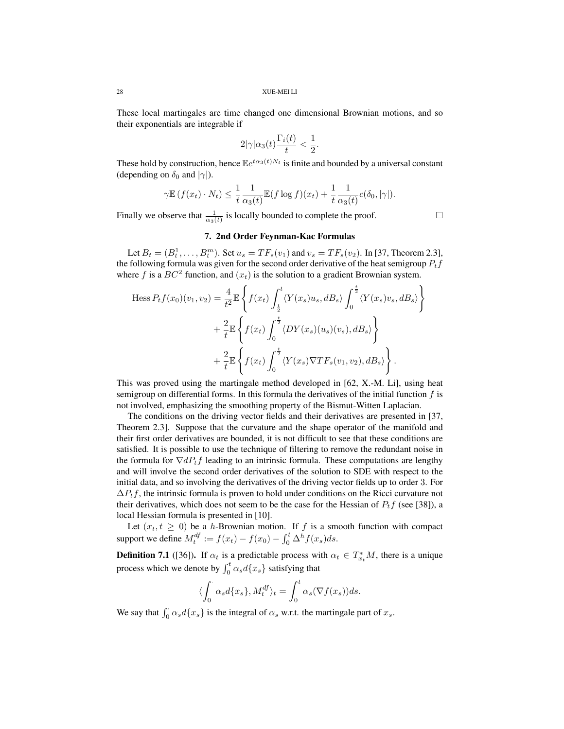These local martingales are time changed one dimensional Brownian motions, and so their exponentials are integrable if

$$
2|\gamma|\alpha_3(t)\frac{\Gamma_i(t)}{t} < \frac{1}{2}.
$$

These hold by construction, hence  $\mathbb{E}e^{t\alpha_3(t)N_t}$  is finite and bounded by a universal constant (depending on  $\delta_0$  and  $|\gamma|$ ).

$$
\gamma \mathbb{E} \left( f(x_t) \cdot N_t \right) \leq \frac{1}{t} \frac{1}{\alpha_3(t)} \mathbb{E} (f \log f)(x_t) + \frac{1}{t} \frac{1}{\alpha_3(t)} c(\delta_0, |\gamma|).
$$

Finally we observe that  $\frac{1}{\alpha_3(t)}$  is locally bounded to complete the proof.

#### 7. 2nd Order Feynman-Kac Formulas

Let  $B_t = (B_t^1, \ldots, B_t^m)$ . Set  $u_s = TF_s(v_1)$  and  $v_s = TF_s(v_2)$ . In [37, Theorem 2.3], the following formula was given for the second order derivative of the heat semigroup  $P_t f$ where f is a  $BC^2$  function, and  $(x_t)$  is the solution to a gradient Brownian system.

$$
\text{Hess } P_t f(x_0)(v_1, v_2) = \frac{4}{t^2} \mathbb{E} \left\{ f(x_t) \int_{\frac{t}{2}}^t \langle Y(x_s) u_s, dB_s \rangle \int_0^{\frac{t}{2}} \langle Y(x_s) v_s, dB_s \rangle \right\} + \frac{2}{t} \mathbb{E} \left\{ f(x_t) \int_0^{\frac{t}{2}} \langle DY(x_s)(u_s)(v_s), dB_s \rangle \right\} + \frac{2}{t} \mathbb{E} \left\{ f(x_t) \int_0^{\frac{t}{2}} \langle Y(x_s) \nabla T F_s(v_1, v_2), dB_s \rangle \right\}.
$$

This was proved using the martingale method developed in [62, X.-M. Li], using heat semigroup on differential forms. In this formula the derivatives of the initial function  $f$  is not involved, emphasizing the smoothing property of the Bismut-Witten Laplacian.

The conditions on the driving vector fields and their derivatives are presented in [37, Theorem 2.3]. Suppose that the curvature and the shape operator of the manifold and their first order derivatives are bounded, it is not difficult to see that these conditions are satisfied. It is possible to use the technique of filtering to remove the redundant noise in the formula for  $\nabla dP_t f$  leading to an intrinsic formula. These computations are lengthy and will involve the second order derivatives of the solution to SDE with respect to the initial data, and so involving the derivatives of the driving vector fields up to order 3. For  $\Delta P_t f$ , the intrinsic formula is proven to hold under conditions on the Ricci curvature not their derivatives, which does not seem to be the case for the Hessian of  $P_t f$  (see [38]), a local Hessian formula is presented in [10].

Let  $(x_t, t \geq 0)$  be a h-Brownian motion. If f is a smooth function with compact support we define  $M_t^{df} := f(x_t) - f(x_0) - \int_0^t \Delta^h f(x_s) ds$ .

**Definition 7.1** ([36]). If  $\alpha_t$  is a predictable process with  $\alpha_t \in T_{x_t}^*M$ , there is a unique process which we denote by  $\int_0^t \alpha_s d\{x_s\}$  satisfying that

$$
\langle \int_0^{\cdot} \alpha_s d\{x_s\}, M_t^{df} \rangle_t = \int_0^t \alpha_s (\nabla f(x_s)) ds.
$$

We say that  $\int_0^{\cdot} \alpha_s d\{x_s\}$  is the integral of  $\alpha_s$  w.r.t. the martingale part of  $x_s$ .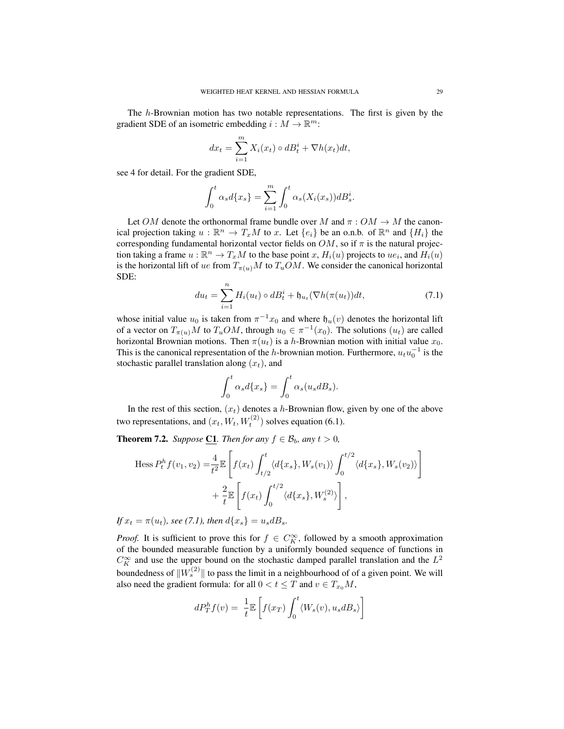The h-Brownian motion has two notable representations. The first is given by the gradient SDE of an isometric embedding  $i : M \to \mathbb{R}^m$ :

$$
dx_t = \sum_{i=1}^m X_i(x_t) \circ dB_t^i + \nabla h(x_t) dt,
$$

see 4 for detail. For the gradient SDE,

$$
\int_0^t \alpha_s d\{x_s\} = \sum_{i=1}^m \int_0^t \alpha_s(X_i(x_s)) dB_s^i.
$$

Let OM denote the orthonormal frame bundle over M and  $\pi: OM \to M$  the canonical projection taking  $u : \mathbb{R}^n \to T_xM$  to x. Let  $\{e_i\}$  be an o.n.b. of  $\mathbb{R}^n$  and  $\{H_i\}$  the corresponding fundamental horizontal vector fields on  $OM$ , so if  $\pi$  is the natural projection taking a frame  $u : \mathbb{R}^n \to T_xM$  to the base point  $x$ ,  $H_i(u)$  projects to  $ue_i$ , and  $H_i(u)$ is the horizontal lift of ue from  $T_{\pi(u)}M$  to  $T_uOM$ . We consider the canonical horizontal SDE:

$$
du_t = \sum_{i=1}^n H_i(u_t) \circ dB_t^i + \mathfrak{h}_{u_t}(\nabla h(\pi(u_t))dt, \tag{7.1}
$$

whose initial value  $u_0$  is taken from  $\pi^{-1}x_0$  and where  $\mathfrak{h}_u(v)$  denotes the horizontal lift of a vector on  $T_{\pi(u)}M$  to  $T_uOM$ , through  $u_0 \in \pi^{-1}(x_0)$ . The solutions  $(u_t)$  are called horizontal Brownian motions. Then  $\pi(u_t)$  is a h-Brownian motion with initial value  $x_0$ . This is the canonical representation of the h-brownian motion. Furthermore,  $u_t u_0^{-1}$  is the stochastic parallel translation along  $(x_t)$ , and

$$
\int_0^t \alpha_s d\{x_s\} = \int_0^t \alpha_s(u_s dB_s).
$$

In the rest of this section,  $(x_t)$  denotes a h-Brownian flow, given by one of the above two representations, and  $(x_t, W_t, W_t^{(2)})$  solves equation (6.1).

**Theorem 7.2.** *Suppose* C1. *Then for any*  $f \in \mathcal{B}_b$ *, any*  $t > 0$ *,* 

Hess 
$$
P_t^h f(v_1, v_2) = \frac{4}{t^2} \mathbb{E} \left[ f(x_t) \int_{t/2}^t \langle d\{x_s\}, W_s(v_1) \rangle \int_0^{t/2} \langle d\{x_s\}, W_s(v_2) \rangle \right]
$$
  
  $+ \frac{2}{t} \mathbb{E} \left[ f(x_t) \int_0^{t/2} \langle d\{x_s\}, W_s^{(2)} \rangle \right],$ 

*If*  $x_t = \pi(u_t)$ *, see* (7.1)*, then*  $d\{x_s\} = u_s dB_s$ *.* 

*Proof.* It is sufficient to prove this for  $f \in C_K^{\infty}$ , followed by a smooth approximation of the bounded measurable function by a uniformly bounded sequence of functions in  $C_K^{\infty}$  and use the upper bound on the stochastic damped parallel translation and the  $L^2$ boundedness of  $||W_s^{(2)}||$  to pass the limit in a neighbourhood of of a given point. We will also need the gradient formula: for all  $0 < t \leq T$  and  $v \in T_{x_0}M$ ,

$$
dP_T^h f(v) = \frac{1}{t} \mathbb{E}\left[f(x_T) \int_0^t \langle W_s(v), u_s dB_s \rangle\right]
$$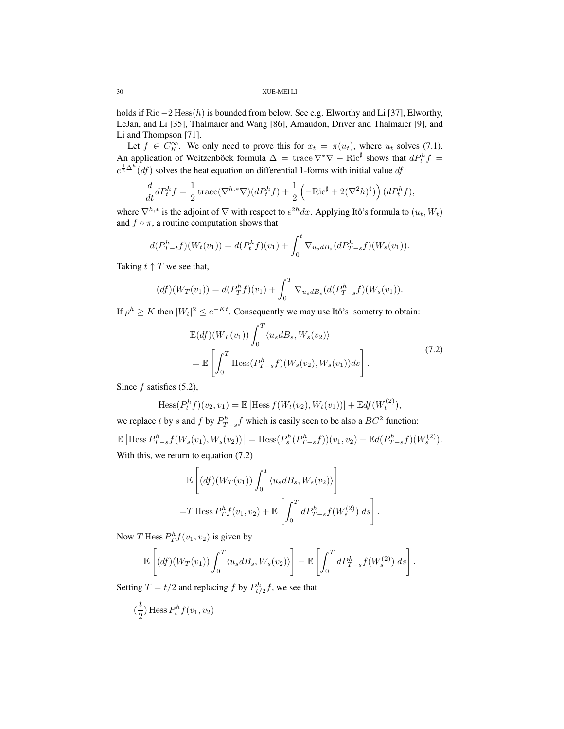holds if Ric  $-2$  Hess $(h)$  is bounded from below. See e.g. Elworthy and Li [37], Elworthy, LeJan, and Li [35], Thalmaier and Wang [86], Arnaudon, Driver and Thalmaier [9], and Li and Thompson [71].

Let  $f \in C_K^{\infty}$ . We only need to prove this for  $x_t = \pi(u_t)$ , where  $u_t$  solves (7.1). An application of Weitzenböck formula  $\Delta = \text{trace} \nabla^* \nabla - \text{Ric}^{\sharp}$  shows that  $dP_t^h f =$  $e^{\frac{1}{2}\Delta^h} (df)$  solves the heat equation on differential 1-forms with initial value  $df$ :

$$
\frac{d}{dt}dP_t^h f = \frac{1}{2}\operatorname{trace}(\nabla^{h,*}\nabla)(dP_t^h f) + \frac{1}{2}\left(-\operatorname{Ric}^\sharp + 2(\nabla^2 h)^\sharp\right)(dP_t^h f),
$$

where  $\nabla^{h,*}$  is the adjoint of  $\nabla$  with respect to  $e^{2h}dx$ . Applying Itô's formula to  $(u_t, W_t)$ and  $f \circ \pi$ , a routine computation shows that

$$
d(P_{T-t}^h f)(W_t(v_1)) = d(P_t^h f)(v_1) + \int_0^t \nabla_{u_s dB_s}(dP_{T-s}^h f)(W_s(v_1)).
$$

Taking  $t \uparrow T$  we see that,

$$
(df)(W_T(v_1)) = d(P_T^h f)(v_1) + \int_0^T \nabla_{u_s dB_s}(d(P_{T-s}^h f)(W_s(v_1))).
$$

If  $\rho^h \geq K$  then  $|W_t|^2 \leq e^{-Kt}$ . Consequently we may use Itô's isometry to obtain:

$$
\mathbb{E}(df)(W_T(v_1))\int_0^T \langle u_s dB_s, W_s(v_2)\rangle
$$
  
= 
$$
\mathbb{E}\left[\int_0^T \text{Hess}(P_{T-s}^h f)(W_s(v_2), W_s(v_1))ds\right].
$$
 (7.2)

.

Since  $f$  satisfies (5.2),

Hess
$$
(P_t^h f)(v_2, v_1)
$$
 =  $\mathbb{E}$  [Hess  $f(W_t(v_2), W_t(v_1))$ ] +  $\mathbb{E}df(W_t^{(2)})$ ,

we replace t by s and f by  $P_{T-s}^h f$  which is easily seen to be also a  $BC^2$  function:

 $\mathbb{E}\left[\text{Hess}\,P_{T-s}^h f(W_s(v_1),W_s(v_2))\right] = \text{Hess}(P_s^h(P_{T-s}^h f))(v_1,v_2) - \mathbb{E}d(P_{T-s}^h f)(W_s^{(2)}).$ With this, we return to equation  $(7.2)$ 4

$$
\mathbb{E}\left[\left(df\right)\left(W_T(v_1)\right)\int_0^T \langle u_s dB_s, W_s(v_2)\rangle\right]
$$
  
=T Hess  $P_T^h f(v_1, v_2)$  +  $\mathbb{E}\left[\int_0^T dP_{T-s}^h f(W_s^{(2)}) ds\right]$ 

Now T Hess  $P_T^h f(v_1, v_2)$  is given by

$$
\mathbb{E}\left[ (df)(W_T(v_1)) \int_0^T \langle u_s dB_s, W_s(v_2) \rangle \right] - \mathbb{E}\left[ \int_0^T dP_{T-s}^h f(W_s^{(2)}) ds \right].
$$

Setting  $T = t/2$  and replacing f by  $P_{t/2}^h f$ , we see that

$$
(\frac{t}{2})\operatorname{Hess} P_t^h f(v_1,v_2)
$$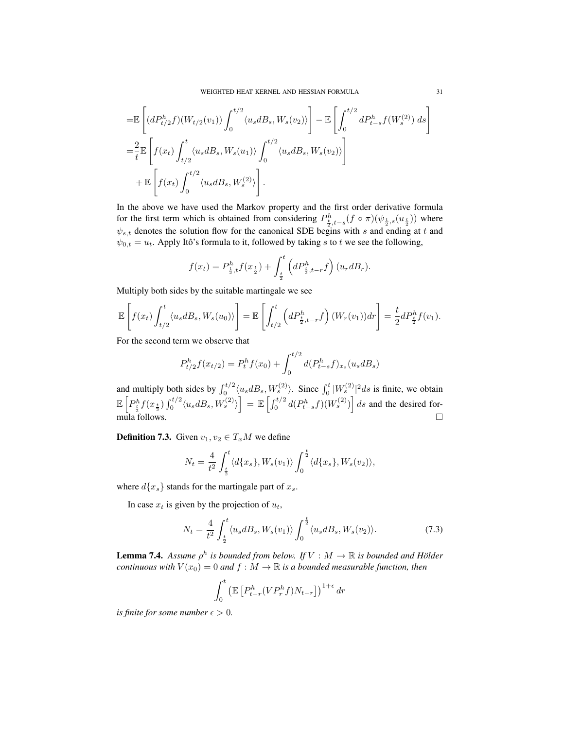$$
= \mathbb{E}\left[ (dP_{t/2}^{h}f)(W_{t/2}(v_1)) \int_0^{t/2} \langle u_s dB_s, W_s(v_2) \rangle \right] - \mathbb{E}\left[ \int_0^{t/2} dP_{t-s}^{h}f(W_s^{(2)}) ds \right]
$$
  

$$
= \frac{2}{t} \mathbb{E}\left[ f(x_t) \int_{t/2}^t \langle u_s dB_s, W_s(u_1) \rangle \int_0^{t/2} \langle u_s dB_s, W_s(v_2) \rangle \right]
$$
  

$$
+ \mathbb{E}\left[ f(x_t) \int_0^{t/2} \langle u_s dB_s, W_s^{(2)} \rangle \right].
$$

In the above we have used the Markov property and the first order derivative formula for the first term which is obtained from considering  $P_{\frac{t}{2},t-s}^h(f \circ \pi)(\psi_{\frac{t}{2},s}(u_{\frac{t}{2}}))$  where  $\psi_{s,t}$  denotes the solution flow for the canonical SDE begins with s and ending at t and  $\psi_{0,t} = u_t$ . Apply Itô's formula to it, followed by taking s to t we see the following,

$$
f(x_t) = P_{\frac{t}{2},t}^h f(x_{\frac{t}{2}}) + \int_{\frac{t}{2}}^t \left( dP_{\frac{t}{2},t-r}^h f \right) (u_r d B_r).
$$

Multiply both sides by the suitable martingale we see

$$
\mathbb{E}\left[f(x_t)\int_{t/2}^t \langle u_s dB_s, W_s(u_0)\rangle\right] = \mathbb{E}\left[\int_{t/2}^t \left(dP_{\frac{t}{2},t-r}^h f\right)(W_r(v_1))dr\right] = \frac{t}{2}dP_{\frac{t}{2}}^h f(v_1).
$$

For the second term we observe that

$$
P_{t/2}^{h}f(x_{t/2}) = P_{t}^{h}f(x_{0}) + \int_{0}^{t/2} d(P_{t-s}^{h}f)_{x_{s}}(u_{s}dB_{s})
$$

and multiply both sides by  $\int_0^{t/2} \langle u_s dB_s, W_s^{(2)} \rangle$ . Since  $\int_0^t |W_s^{(2)}|^2 ds$  is finite, we obtain  $\mathbb{E}\left[P_{\frac{t}{2}}^{h}f(x_{\frac{t}{2}})\int_{0}^{t/2}\langle u_{s}dB_{s},W_{s}^{(2)}\rangle\right]=\mathbb{E}\left[\int_{0}^{t/2}d(P_{t-s}^{h}f)(W_{s}^{(2)})\right]ds$  and the desired for $mula$  follows.  $\square$ 

**Definition 7.3.** Given  $v_1, v_2 \in T_xM$  we define

$$
N_t = \frac{4}{t^2} \int_{\frac{t}{2}}^t \langle d\{x_s\}, W_s(v_1) \rangle \int_0^{\frac{t}{2}} \langle d\{x_s\}, W_s(v_2) \rangle,
$$

where  $d\{x_s\}$  stands for the martingale part of  $x_s$ .

In case  $x_t$  is given by the projection of  $u_t$ ,

$$
N_t = \frac{4}{t^2} \int_{\frac{t}{2}}^t \langle u_s dB_s, W_s(v_1) \rangle \int_0^{\frac{t}{2}} \langle u_s dB_s, W_s(v_2) \rangle.
$$
 (7.3)

**Lemma 7.4.** Assume  $\rho^h$  is bounded from below. If  $V : M \to \mathbb{R}$  is bounded and Hölder *continuous with*  $V(x_0) = 0$  *and*  $f : M \to \mathbb{R}$  *is a bounded measurable function, then* 

$$
\int_0^t \left( \mathbb{E}\left[ P_{t-r}^h (VP_r^h f) N_{t-r} \right] \right)^{1+\epsilon} dr
$$

*is finite for some number*  $\epsilon > 0$ *.*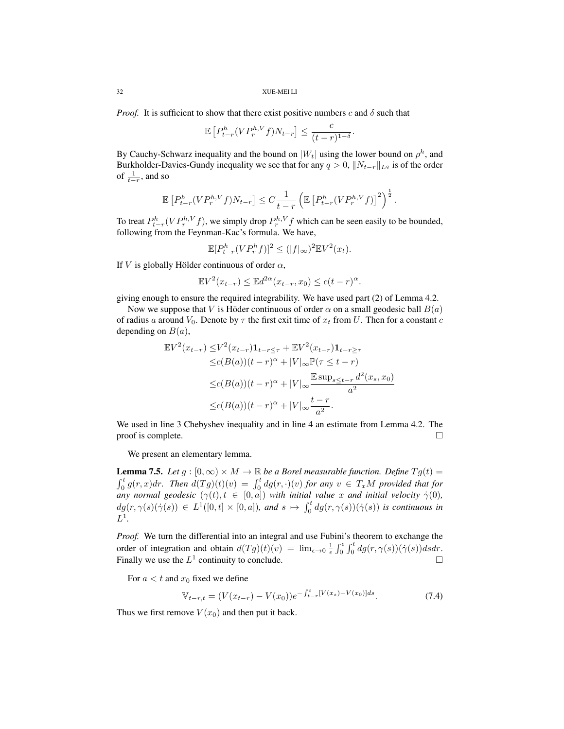*Proof.* It is sufficient to show that there exist positive numbers c and  $\delta$  such that

$$
\mathbb{E}\left[P_{t-r}^h(VP_r^{h,V}f)N_{t-r}\right] \le \frac{c}{(t-r)^{1-\delta}}.
$$

By Cauchy-Schwarz inequality and the bound on  $|W_t|$  using the lower bound on  $\rho^h$ , and Burkholder-Davies-Gundy inequality we see that for any  $q > 0$ ,  $||N_{t-r}||_{L^q}$  is of the order of  $\frac{1}{t-r}$ , and so

$$
\mathbb{E}\left[P_{t-r}^h(VP_r^{h,V}f)N_{t-r}\right] \leq C\frac{1}{t-r}\left(\mathbb{E}\left[P_{t-r}^h(VP_r^{h,V}f)\right]^2\right)^{\frac{1}{2}}.
$$

To treat  $P_{t-r}^h(VP_r^{h,V}f)$ , we simply drop  $P_r^{h,V}f$  which can be seen easily to be bounded, following from the Feynman-Kac's formula. We have,

$$
\mathbb{E}[P_{t-r}^h(VP_r^hf)]^2 \le (|f|_{\infty})^2 \mathbb{E}V^2(x_t).
$$

If V is globally Hölder continuous of order  $\alpha$ ,

$$
\mathbb{E}V^{2}(x_{t-r}) \leq \mathbb{E}d^{2\alpha}(x_{t-r}, x_{0}) \leq c(t-r)^{\alpha}.
$$

giving enough to ensure the required integrability. We have used part (2) of Lemma 4.2.

Now we suppose that V is Höder continuous of order  $\alpha$  on a small geodesic ball  $B(a)$ of radius a around  $V_0$ . Denote by  $\tau$  the first exit time of  $x_t$  from U. Then for a constant c depending on  $B(a)$ ,

$$
\mathbb{E}V^{2}(x_{t-r}) \leq V^{2}(x_{t-r})\mathbf{1}_{t-r \leq \tau} + \mathbb{E}V^{2}(x_{t-r})\mathbf{1}_{t-r \geq \tau} \leq c(B(a))(t-r)^{\alpha} + |V|_{\infty} \mathbb{P}(\tau \leq t-r) \leq c(B(a))(t-r)^{\alpha} + |V|_{\infty} \frac{\mathbb{E} \sup_{s \leq t-r} d^{2}(x_{s}, x_{0})}{a^{2}} \leq c(B(a))(t-r)^{\alpha} + |V|_{\infty} \frac{t-r}{a^{2}}.
$$

We used in line 3 Chebyshev inequality and in line 4 an estimate from Lemma 4.2. The proof is complete.  $\Box$ 

We present an elementary lemma.

**Lemma 7.5.** *Let*  $g : [0, \infty) \times M \to \mathbb{R}$  *be a Borel measurable function. Define*  $Tg(t) =$  $\int_0^t g(r, x) dr$ . Then  $d(Tg)(t)(v) = \int_0^t dg(r, \cdot)(v)$  for any  $v \in T_xM$  provided that for *any normal geodesic*  $(\gamma(t), t \in [0, a])$  *with initial value* x *and initial velocity*  $\dot{\gamma}(0)$ *,*  $dg(r, \gamma(s)(\dot{\gamma}(s)) \in L^1([0,t] \times [0,a]),$  and  $s \mapsto \int_0^t dg(r, \gamma(s))(\dot{\gamma}(s))$  is continuous in  $L^1$ .

*Proof.* We turn the differential into an integral and use Fubini's theorem to exchange the order of integration and obtain  $d(Tg)(t)(v) = \lim_{\epsilon \to 0} \frac{1}{\epsilon} \int_0^{\epsilon} \int_0^t dg(r, \gamma(s))(\dot{\gamma}(s))dsdr$ . Finally we use the  $L^1$  continuity to conclude.

For  $a < t$  and  $x<sub>0</sub>$  fixed we define

$$
\mathbb{V}_{t-r,t} = (V(x_{t-r}) - V(x_0))e^{-\int_{t-r}^{t} [V(x_s) - V(x_0)]ds}.
$$
\n(7.4)

Thus we first remove  $V(x_0)$  and then put it back.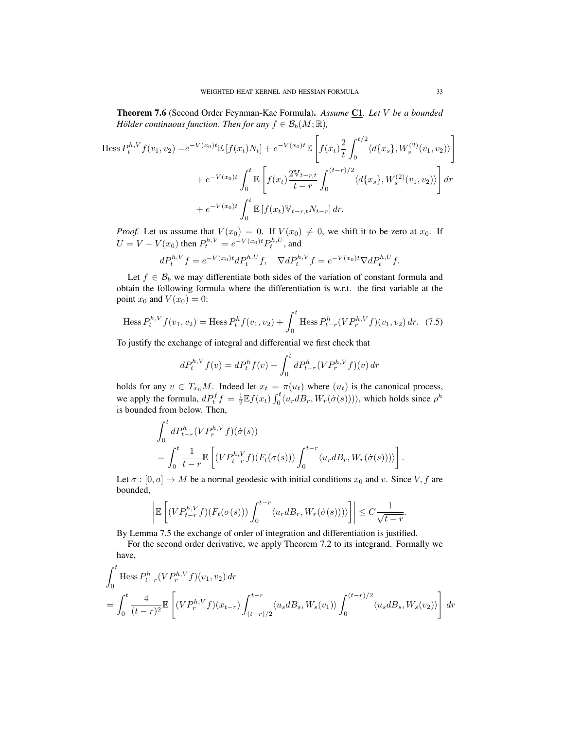Theorem 7.6 (Second Order Feynman-Kac Formula). *Assume* C1*. Let* V *be a bounded Hölder continuous function. Then for any*  $f \in \mathcal{B}_b(M; \mathbb{R})$ *,* 

$$
\text{Hess } P_t^{h,V} f(v_1, v_2) = e^{-V(x_0)t} \mathbb{E} \left[ f(x_t) N_t \right] + e^{-V(x_0)t} \mathbb{E} \left[ f(x_t) \frac{2}{t} \int_0^{t/2} \langle d\{x_s\}, W_s^{(2)}(v_1, v_2) \rangle \right]
$$

$$
+ e^{-V(x_0)t} \int_0^t \mathbb{E} \left[ f(x_t) \frac{2 \mathbb{V}_{t-r,t}}{t-r} \int_0^{(t-r)/2} \langle d\{x_s\}, W_s^{(2)}(v_1, v_2) \rangle \right] dr
$$

$$
+ e^{-V(x_0)t} \int_0^t \mathbb{E} \left[ f(x_t) \mathbb{V}_{t-r,t} N_{t-r} \right] dr.
$$

*Proof.* Let us assume that  $V(x_0) = 0$ . If  $V(x_0) \neq 0$ , we shift it to be zero at  $x_0$ . If  $U = V - V(x_0)$  then  $P_t^{h,V} = e^{-V(x_0)t} P_t^{h,U}$ , and

$$
dP_t^{h,V}f = e^{-V(x_0)t}dP_t^{h,U}f, \quad \nabla dP_t^{h,V}f = e^{-V(x_0)t} \nabla dP_t^{h,U}f.
$$

Let  $f \in \mathcal{B}_b$  we may differentiate both sides of the variation of constant formula and obtain the following formula where the differentiation is w.r.t. the first variable at the point  $x_0$  and  $V(x_0) = 0$ :

Hess 
$$
P_t^{h,V} f(v_1, v_2)
$$
 = Hess  $P_t^h f(v_1, v_2)$  +  $\int_0^t$  Hess  $P_{t-r}^h (VP_r^{h,V} f)(v_1, v_2) dr$ . (7.5)

To justify the exchange of integral and differential we first check that

$$
dP_t^{h,V} f(v) = dP_t^h f(v) + \int_0^t dP_{t-r}^h (VP_r^{h,V} f)(v) dr
$$

holds for any  $v \in T_{x_0}M$ . Indeed let  $x_t = \pi(u_t)$  where  $(u_t)$  is the canonical process, we apply the formula,  $dP_t^f f = \frac{1}{2} \mathbb{E} f(x_t) \int_0^t \langle u_r d_s_r, W_r(\dot{\sigma}(s)) \rangle$ , which holds since  $\rho^h$ is bounded from below. Then,

$$
\int_0^t dP_{t-r}^h (VP_r^{h,V}f)(\dot{\sigma}(s))
$$
\n
$$
= \int_0^t \frac{1}{t-r} \mathbb{E}\left[ (VP_{t-r}^{h,V}f)(F_t(\sigma(s))) \int_0^{t-r} \langle u_r dB_r, W_r(\dot{\sigma}(s))) \rangle \right].
$$

Let  $\sigma : [0, a] \to M$  be a normal geodesic with initial conditions  $x_0$  and v. Since V, f are bounded,

$$
\left| \mathbb{E}\left[ (VP_{t-r}^{h,V}f)(F_t(\sigma(s))) \int_0^{t-r} \langle u_r dB_r, W_r(\dot{\sigma}(s))) \rangle \right] \right| \leq C \frac{1}{\sqrt{t-r}}.
$$

By Lemma 7.5 the exchange of order of integration and differentiation is justified.

For the second order derivative, we apply Theorem 7.2 to its integrand. Formally we have,

$$
\int_0^t \text{Hess } P_{t-r}^h (VP_r^{h,V}f)(v_1, v_2) dr
$$
\n
$$
= \int_0^t \frac{4}{(t-r)^2} \mathbb{E}\left[ (VP_r^{h,V}f)(x_{t-r}) \int_{(t-r)/2}^{t-r} \langle u_s dB_s, W_s(v_1) \rangle \int_0^{(t-r)/2} \langle u_s dB_s, W_s(v_2) \rangle \right] dr
$$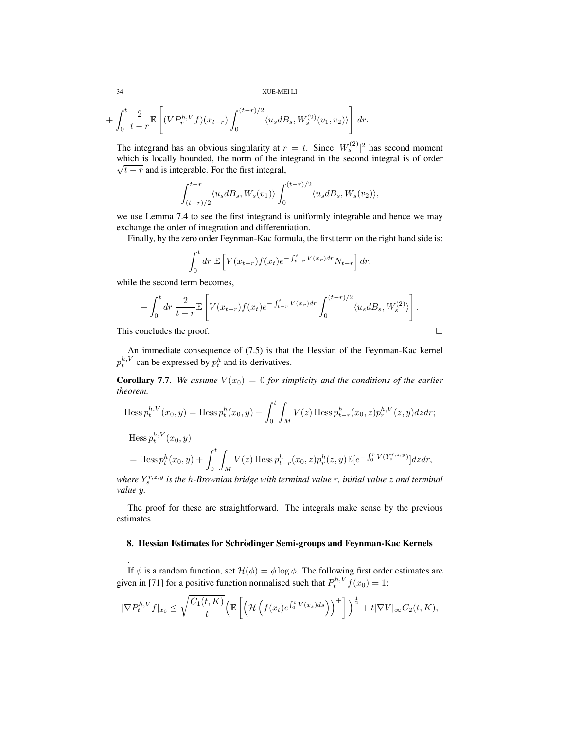$$
+\int_0^t \frac{2}{t-r} \mathbb{E}\left[ (VP_r^{h,V}f)(x_{t-r}) \int_0^{(t-r)/2} \langle u_s dB_s, W_s^{(2)}(v_1, v_2) \rangle \right] dr.
$$

The integrand has an obvious singularity at  $r = t$ . Since  $|W_s^{(2)}|^2$  has second moment which is locally bounded, the norm of the integrand in the second integral is of order  $\sqrt{t-r}$  and is integrable. For the first integral,

$$
\int_{(t-r)/2}^{t-r} \langle u_s dB_s, W_s(v_1)\rangle \int_0^{(t-r)/2} \langle u_s dB_s, W_s(v_2)\rangle,
$$

we use Lemma 7.4 to see the first integrand is uniformly integrable and hence we may exchange the order of integration and differentiation.

Finally, by the zero order Feynman-Kac formula, the first term on the right hand side is:

$$
\int_0^t dr \mathbb{E}\left[ V(x_{t-r})f(x_t)e^{-\int_{t-r}^t V(x_r)dr}N_{t-r}\right]dr,
$$

while the second term becomes,

$$
-\int_0^t dr \, \frac{2}{t-r} \mathbb{E}\left[ V(x_{t-r}) f(x_t) e^{-\int_{t-r}^t V(x_r) dr} \int_0^{(t-r)/2} \langle u_s dB_s, W_s^{(2)} \rangle \right].
$$

This concludes the proof.

.

An immediate consequence of (7.5) is that the Hessian of the Feynman-Kac kernel  $p_t^{h,V}$  can be expressed by  $p_t^h$  and its derivatives.

**Corollary 7.7.** *We assume*  $V(x_0) = 0$  *for simplicity and the conditions of the earlier theorem.*

Hess 
$$
p_t^{h,V}(x_0, y)
$$
 = Hess  $p_t^h(x_0, y) + \int_0^t \int_M V(z) \operatorname{Hess} p_{t-r}^h(x_0, z) p_r^{h,V}(z, y) dz dr$ ;  

Hess 
$$
p_t^{n,v}(x_0, y)
$$
  
= Hess  $p_t^h(x_0, y) + \int_0^t \int_M V(z) \operatorname{Hess} p_{t-r}^h(x_0, z) p_r^h(z, y) \mathbb{E}[e^{-\int_0^r V(Y_s^{r,z,y})}] dz dr$ ,

*where*  $Y_s^{r,z,y}$  is the *h-Brownian bridge with terminal value r*, *initial value z* and terminal *value* y*.*

The proof for these are straightforward. The integrals make sense by the previous estimates.

### 8. Hessian Estimates for Schrödinger Semi-groups and Feynman-Kac Kernels

If  $\phi$  is a random function, set  $\mathcal{H}(\phi) = \phi \log \phi$ . The following first order estimates are given in [71] for a positive function normalised such that  $P_t^{h,V} f(x_0) = 1$ :

$$
|\nabla P_t^{h,V} f|_{x_0} \leq \sqrt{\frac{C_1(t,K)}{t}} \Big( \mathbb{E}\left[ \Big( \mathcal{H}\Big(f(x_t)e^{\int_0^t V(x_s)ds}\Big) \Big)^+ \right] \Big)^{\frac{1}{2}} + t|\nabla V|_{\infty} C_2(t,K),
$$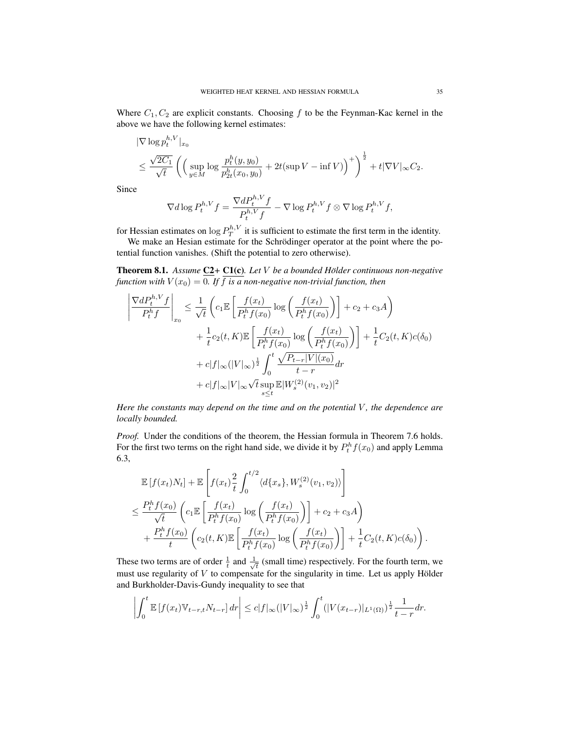Where  $C_1, C_2$  are explicit constants. Choosing f to be the Feynman-Kac kernel in the above we have the following kernel estimates:

$$
\|\nabla \log p_t^{h,V}\|_{x_0} \n\leq \frac{\sqrt{2C_1}}{\sqrt{t}} \left( \left( \sup_{y \in M} \log \frac{p_t^h(y, y_0)}{p_{2t}^h(x_0, y_0)} + 2t(\sup V - \inf V) \right)^+ \right)^{\frac{1}{2}} + t|\nabla V|_{\infty}C_2.
$$

Since

 $\lambda$ 

$$
\nabla d \log P_t^{h,V} f = \frac{\nabla d P_t^{h,V} f}{P_t^{h,V} f} - \nabla \log P_t^{h,V} f \otimes \nabla \log P_t^{h,V} f,
$$

for Hessian estimates on  $\log P_T^{h,V}$  it is sufficient to estimate the first term in the identity.

We make an Hesian estimate for the Schrödinger operator at the point where the potential function vanishes. (Shift the potential to zero otherwise).

**Theorem 8.1.** Assume  $C2$ + C1(c). Let V be a bounded Hölder continuous non-negative *function with*  $V(x_0) = 0$ . If  $\overline{f}$  *is a non-negative non-trivial function, then* 

$$
\begin{split} \left| \frac{\nabla dP_t^{h,V}f}{P_t^hf} \right|_{x_0} &\leq \frac{1}{\sqrt{t}}\left( c_1\mathbb{E}\left[ \frac{f(x_t)}{P_t^hf(x_0)}\log\left(\frac{f(x_t)}{P_t^hf(x_0)}\right) \right] + c_2 + c_3A \right) \\ &+ \frac{1}{t}c_2(t,K)\mathbb{E}\left[ \frac{f(x_t)}{P_t^hf(x_0)}\log\left(\frac{f(x_t)}{P_t^hf(x_0)}\right) \right] + \frac{1}{t}C_2(t,K)c(\delta_0) \\ &+ c|f|_{\infty}(|V|_{\infty})^{\frac{1}{2}}\int_0^t \frac{\sqrt{P_{t-r}|V|(x_0)}}{t-r} dr \\ &+ c|f|_{\infty}|V|_{\infty}\sqrt{t}\sup_{s\leq t}\mathbb{E}|W_s^{(2)}(v_1,v_2)|^2 \end{split}
$$

*Here the constants may depend on the time and on the potential V, the dependence are locally bounded.*

*Proof.* Under the conditions of the theorem, the Hessian formula in Theorem 7.6 holds. For the first two terms on the right hand side, we divide it by  $P_t^h f(x_0)$  and apply Lemma 6.3,

$$
\mathbb{E}[f(x_t)N_t] + \mathbb{E}\left[f(x_t)\frac{2}{t}\int_0^{t/2} \langle d\{x_s\}, W_s^{(2)}(v_1, v_2)\rangle\right] \n\leq \frac{P_t^h f(x_0)}{\sqrt{t}} \left(c_1 \mathbb{E}\left[\frac{f(x_t)}{P_t^h f(x_0)}\log\left(\frac{f(x_t)}{P_t^h f(x_0)}\right)\right] + c_2 + c_3 A\right) \n+ \frac{P_t^h f(x_0)}{t} \left(c_2(t, K) \mathbb{E}\left[\frac{f(x_t)}{P_t^h f(x_0)}\log\left(\frac{f(x_t)}{P_t^h f(x_0)}\right)\right] + \frac{1}{t} C_2(t, K) c(\delta_0)\right).
$$

These two terms are of order  $\frac{1}{t}$  and  $\frac{1}{\sqrt{}}$  $\overline{t}_{\overline{t}}$  (small time) respectively. For the fourth term, we must use regularity of  $V$  to compensate for the singularity in time. Let us apply Hölder and Burkholder-Davis-Gundy inequality to see that

$$
\left| \int_0^t \mathbb{E} \left[ f(x_t) \mathbb{V}_{t-r,t} N_{t-r} \right] dr \right| \leq c |f|_{\infty} (|V|_{\infty})^{\frac{1}{2}} \int_0^t (|V(x_{t-r})|_{L^1(\Omega)})^{\frac{1}{2}} \frac{1}{t-r} dr.
$$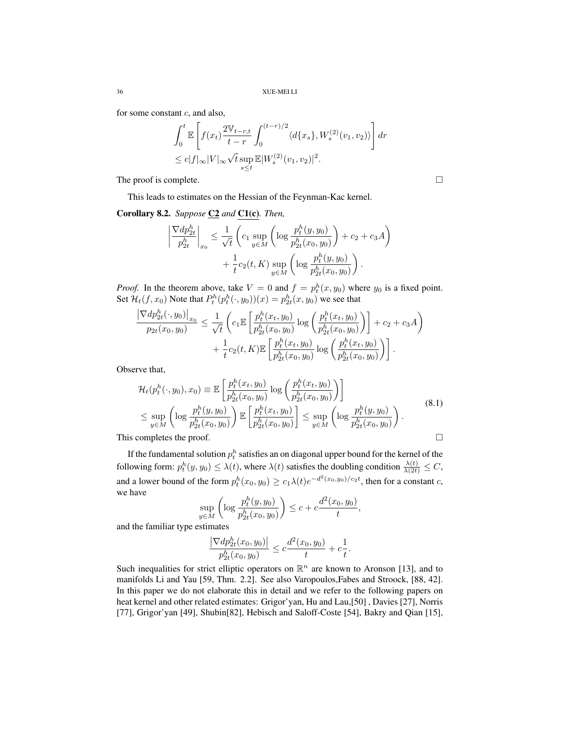for some constant  $c$ , and also,

$$
\int_0^t \mathbb{E}\left[f(x_t) \frac{2\mathbb{V}_{t-r,t}}{t-r} \int_0^{(t-r)/2} \langle d\{x_s\}, W_s^{(2)}(v_1, v_2) \rangle \right] dr
$$
  
\n
$$
\leq c|f|_{\infty} |V|_{\infty} \sqrt{t} \sup_{s \leq t} \mathbb{E}|W_s^{(2)}(v_1, v_2)|^2.
$$

The proof is complete.

This leads to estimates on the Hessian of the Feynman-Kac kernel.

Corollary 8.2. *Suppose* C2 *and* C1(c)*. Then,*

$$
\left| \frac{\nabla dp_{2t}^h}{p_{2t}^h} \right|_{x_0} \le \frac{1}{\sqrt{t}} \left( c_1 \sup_{y \in M} \left( \log \frac{p_t^h(y, y_0)}{p_{2t}^h(x_0, y_0)} \right) + c_2 + c_3 A \right) + \frac{1}{t} c_2(t, K) \sup_{y \in M} \left( \log \frac{p_t^h(y, y_0)}{p_{2t}^h(x_0, y_0)} \right).
$$

*Proof.* In the theorem above, take  $V = 0$  and  $f = p_t^h(x, y_0)$  where  $y_0$  is a fixed point. Set  $\mathcal{H}_t(f, x_0)$  Note that  $P_t^h(p_t^h(\cdot, y_0))(x) = p_{2t}^h(x, y_0)$  we see that

$$
\frac{\left|\nabla dp_{2t}^{h}(\cdot, y_{0})\right|_{x_{0}}}{p_{2t}(x_{0}, y_{0})} \leq \frac{1}{\sqrt{t}} \left(c_{1} \mathbb{E}\left[\frac{p_{t}^{h}(x_{t}, y_{0})}{p_{2t}^{h}(x_{0}, y_{0})}\log\left(\frac{p_{t}^{h}(x_{t}, y_{0})}{p_{2t}^{h}(x_{0}, y_{0})}\right)\right] + c_{2} + c_{3}A\right) + \frac{1}{t}c_{2}(t, K) \mathbb{E}\left[\frac{p_{t}^{h}(x_{t}, y_{0})}{p_{2t}^{h}(x_{0}, y_{0})}\log\left(\frac{p_{t}^{h}(x_{t}, y_{0})}{p_{2t}^{h}(x_{0}, y_{0})}\right)\right].
$$

Observe that,

$$
\mathcal{H}_t(p_t^h(\cdot, y_0), x_0) \equiv \mathbb{E}\left[\frac{p_t^h(x_t, y_0)}{p_{2t}^h(x_0, y_0)} \log \left(\frac{p_t^h(x_t, y_0)}{p_{2t}^h(x_0, y_0)}\right)\right] \le \sup_{y \in M} \left(\log \frac{p_t^h(y, y_0)}{p_{2t}^h(x_0, y_0)}\right) \mathbb{E}\left[\frac{p_t^h(x_t, y_0)}{p_{2t}^h(x_0, y_0)}\right] \le \sup_{y \in M} \left(\log \frac{p_t^h(y, y_0)}{p_{2t}^h(x_0, y_0)}\right). \tag{8.1}
$$
\nThis completes the proof.

If the fundamental solution  $p_t^h$  satisfies an on diagonal upper bound for the kernel of the following form:  $p_t^h(y, y_0) \leq \lambda(t)$ , where  $\lambda(t)$  satisfies the doubling condition  $\frac{\lambda(t)}{\lambda(2t)} \leq C$ , and a lower bound of the form  $p_t^h(x_0, y_0) \ge c_1 \lambda(t) e^{-d^2(x_0, y_0)/c_2 t}$ , then for a constant c, we have

$$
\sup_{y \in M} \left( \log \frac{p_t^h(y, y_0)}{p_{2t}^h(x_0, y_0)} \right) \le c + c \frac{d^2(x_0, y_0)}{t},
$$

and the familiar type estimates

$$
\frac{\left|\nabla dp_{2t}^h(x_0, y_0)\right|}{p_{2t}^h(x_0, y_0)} \leq c \frac{d^2(x_0, y_0)}{t} + c \frac{1}{t}.
$$

Such inequalities for strict elliptic operators on  $\mathbb{R}^n$  are known to Aronson [13], and to manifolds Li and Yau [59, Thm. 2.2]. See also Varopoulos,Fabes and Stroock, [88, 42]. In this paper we do not elaborate this in detail and we refer to the following papers on heat kernel and other related estimates: Grigor'yan, Hu and Lau,[50] , Davies [27], Norris [77], Grigor'yan [49], Shubin[82], Hebisch and Saloff-Coste [54], Bakry and Qian [15],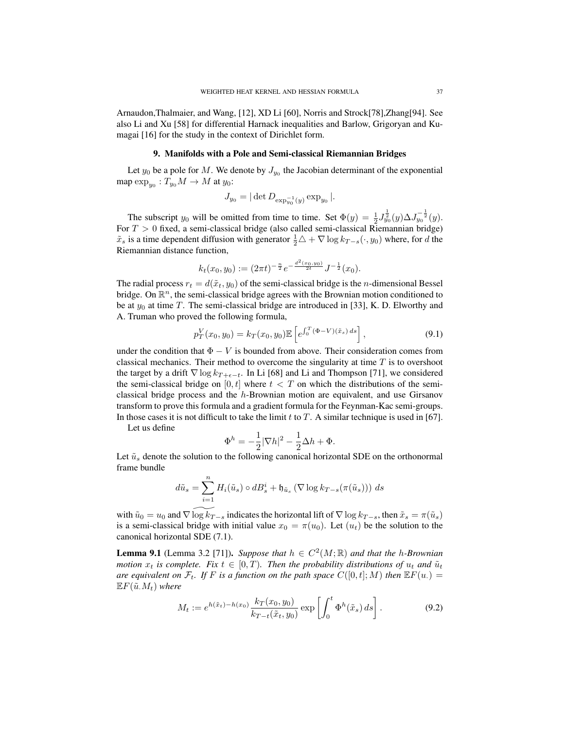Arnaudon,Thalmaier, and Wang, [12], XD Li [60], Norris and Strock[78],Zhang[94]. See also Li and Xu [58] for differential Harnack inequalities and Barlow, Grigoryan and Kumagai [16] for the study in the context of Dirichlet form.

#### 9. Manifolds with a Pole and Semi-classical Riemannian Bridges

Let  $y_0$  be a pole for M. We denote by  $J_{y_0}$  the Jacobian determinant of the exponential map  $\exp_{y_0}: T_{y_0}M\to M$  at  $y_0$ :

$$
J_{y_0} = |\det D_{\exp_{y_0}^{-1}(y)} \exp_{y_0}|.
$$

The subscript  $y_0$  will be omitted from time to time. Set  $\Phi(y) = \frac{1}{2} J_{y_0}^{\frac{1}{2}}(y) \Delta J_{y_0}^{-\frac{1}{2}}(y)$ . For  $T > 0$  fixed, a semi-classical bridge (also called semi-classical Riemannian bridge)  $\tilde{x}_s$  is a time dependent diffusion with generator  $\frac{1}{2}\triangle + \nabla \log k_{T-s}(\cdot, y_0)$  where, for d the Riemannian distance function,

$$
k_t(x_0, y_0) := (2\pi t)^{-\frac{n}{2}} e^{-\frac{d^2(x_0, y_0)}{2t}} J^{-\frac{1}{2}}(x_0).
$$

The radial process  $r_t = d(\tilde{x}_t, y_0)$  of the semi-classical bridge is the *n*-dimensional Bessel bridge. On  $\mathbb{R}^n$ , the semi-classical bridge agrees with the Brownian motion conditioned to be at  $y_0$  at time T. The semi-classical bridge are introduced in [33], K. D. Elworthy and A. Truman who proved the following formula,

$$
p_T^V(x_0, y_0) = k_T(x_0, y_0) \mathbb{E}\left[e^{\int_0^T (\Phi - V)(\tilde{x}_s) ds}\right],
$$
\n(9.1)

under the condition that  $\Phi - V$  is bounded from above. Their consideration comes from classical mechanics. Their method to overcome the singularity at time  $T$  is to overshoot the target by a drift  $\nabla \log k_{T+\epsilon-t}$ . In Li [68] and Li and Thompson [71], we considered the semi-classical bridge on  $[0, t]$  where  $t < T$  on which the distributions of the semiclassical bridge process and the h-Brownian motion are equivalent, and use Girsanov transform to prove this formula and a gradient formula for the Feynman-Kac semi-groups. In those cases it is not difficult to take the limit t to  $T$ . A similar technique is used in [67].

Let us define

$$
\Phi^h = -\frac{1}{2} |\nabla h|^2 - \frac{1}{2}\Delta h + \Phi.
$$

Let  $\tilde{u}_s$  denote the solution to the following canonical horizontal SDE on the orthonormal frame bundle

$$
d\tilde{u}_s = \sum_{i=1}^n H_i(\tilde{u}_s) \circ dB_s^i + \mathfrak{h}_{\tilde{u}_s} (\nabla \log k_{T-s}(\pi(\tilde{u}_s))) ds
$$

with  $\tilde{u}_0 = u_0$  and  $\nabla \log k_{T-s}$  indicates the horizontal lift of  $\nabla \log k_{T-s}$ , then  $\tilde{x}_s = \pi(\tilde{u}_s)$ is a semi-classical bridge with initial value  $x_0 = \pi(u_0)$ . Let  $(u_t)$  be the solution to the canonical horizontal SDE (7.1).

**Lemma 9.1** (Lemma 3.2 [71]). Suppose that  $h \in C^2(M;\mathbb{R})$  and that the h-Brownian *motion*  $x_t$  *is complete. Fix*  $t \in [0, T)$ *. Then the probability distributions of*  $u_t$  *and*  $\tilde{u}_t$ *are equivalent on*  $\mathcal{F}_t$ *. If* F *is a function on the path space*  $C([0,t];M)$  *then*  $\mathbb{E}F(u)$  =  $\mathbb{E} F(\tilde{u}.M_t)$  where

$$
M_t := e^{h(\tilde{x}_t) - h(x_0)} \frac{k_T(x_0, y_0)}{k_{T-t}(\tilde{x}_t, y_0)} \exp\left[\int_0^t \Phi^h(\tilde{x}_s) ds\right].
$$
 (9.2)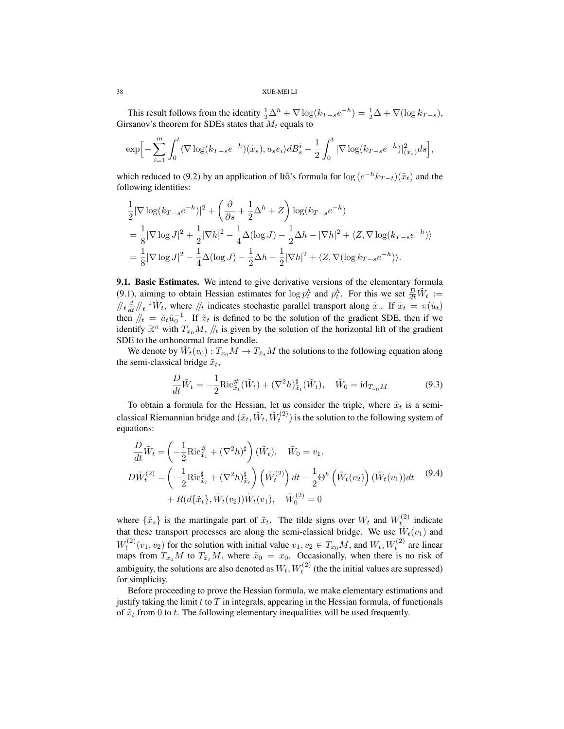This result follows from the identity  $\frac{1}{2}\Delta^h + \nabla \log(k_{T-s}e^{-h}) = \frac{1}{2}\Delta + \nabla(\log k_{T-s}),$ Girsanov's theorem for SDEs states that  $M_t$  equals to

$$
\exp\Bigl[-\sum_{i=1}^m\int_0^t\langle\nabla\log(k_{T-s}e^{-h})(\tilde{x}_s),\tilde{u}_se_i\rangle dB_s^i-\frac{1}{2}\int_0^t|\nabla\log(k_{T-s}e^{-h})|^2_{(\tilde{x}_s)}ds\Bigr],
$$

which reduced to (9.2) by an application of Itô's formula for  $\log(e^{-h}k_{T-t})(\tilde{x}_t)$  and the following identities:

$$
\frac{1}{2} |\nabla \log (k_{T-s} e^{-h})|^2 + \left(\frac{\partial}{\partial s} + \frac{1}{2} \Delta^h + Z\right) \log (k_{T-s} e^{-h})
$$
\n
$$
= \frac{1}{8} |\nabla \log J|^2 + \frac{1}{2} |\nabla h|^2 - \frac{1}{4} \Delta (\log J) - \frac{1}{2} \Delta h - |\nabla h|^2 + \langle Z, \nabla \log (k_{T-s} e^{-h}) \rangle
$$
\n
$$
= \frac{1}{8} |\nabla \log J|^2 - \frac{1}{4} \Delta (\log J) - \frac{1}{2} \Delta h - \frac{1}{2} |\nabla h|^2 + \langle Z, \nabla (\log k_{T-s} e^{-h}) \rangle.
$$

**9.1. Basic Estimates.** We intend to give derivative versions of the elementary formula (9.1), aiming to obtain Hessian estimates for  $\log p_t^h$  and  $p_t^h$ . For this we set  $\frac{D}{dt}\tilde{W}_t :=$  $\sqrt{t} \frac{d}{dt} / \sqrt{t}$   $\sqrt{t}$ , where  $\sqrt{t}$  indicates stochastic parallel transport along  $\tilde{x}$ . If  $\tilde{x}_t = \pi(\tilde{u}_t)$ then  $/2/t = \tilde{u}_t \tilde{u}_0^{-1}$ . If  $\tilde{x}_t$  is defined to be the solution of the gradient SDE, then if we identify  $\mathbb{R}^n$  with  $T_{x_0}M$ ,  $\mathbb{Z}_t$  is given by the solution of the horizontal lift of the gradient SDE to the orthonormal frame bundle.

We denote by  $\tilde{W}_t(v_0)$  :  $T_{x_0}M \to T_{\tilde{x}_t}M$  the solutions to the following equation along the semi-classical bridge  $\tilde{x}_t$ ,

$$
\frac{D}{dt}\tilde{W}_t = -\frac{1}{2}\text{Ric}_{\tilde{x}_t}^{\#}(\tilde{W}_t) + (\nabla^2 h)_{\tilde{x}_t}^{\#}(\tilde{W}_t), \quad \tilde{W}_0 = \text{id}_{T_{x_0}M}
$$
(9.3)

To obtain a formula for the Hessian, let us consider the triple, where  $\tilde{x}_t$  is a semiclassical Riemannian bridge and  $(\tilde{x}_t, \tilde{W}_t, \tilde{W}_t^{(2)})$  is the solution to the following system of equations:

$$
\frac{D}{dt}\tilde{W}_t = \left(-\frac{1}{2}\text{Ric}_{\tilde{x}_t}^{\#} + (\nabla^2 h)^{\sharp}\right)(\tilde{W}_t), \quad \tilde{W}_0 = v_1.
$$
\n
$$
D\tilde{W}_t^{(2)} = \left(-\frac{1}{2}\text{Ric}_{\tilde{x}_t}^{\sharp} + (\nabla^2 h)_{\tilde{x}_t}^{\sharp}\right)\left(\tilde{W}_t^{(2)}\right)dt - \frac{1}{2}\Theta^h\left(\tilde{W}_t(v_2)\right)(\tilde{W}_t(v_1))dt \quad (9.4)
$$
\n
$$
+ R(d{\tilde{x}_t}, \tilde{W}_t(v_2))\tilde{W}_t(v_1), \quad \tilde{W}_0^{(2)} = 0
$$

where  $\{\tilde{x}_s\}$  is the martingale part of  $\tilde{x}_t$ . The tilde signs over  $W_t$  and  $W_t^{(2)}$  indicate that these transport processes are along the semi-classical bridge. We use  $W_t(v_1)$  and  $W_t^{(2)}(v_1, v_2)$  for the solution with initial value  $v_1, v_2 \in T_{x_0}M$ , and  $W_t, W_t^{(2)}$  are linear maps from  $T_{x_0}M$  to  $T_{\tilde{x}_t}M$ , where  $\tilde{x}_0 = x_0$ . Occasionally, when there is no risk of ambiguity, the solutions are also denoted as  $W_t, W_t^{(2)}$  (the the initial values are supressed) for simplicity.

Before proceeding to prove the Hessian formula, we make elementary estimations and justify taking the limit  $t$  to  $T$  in integrals, appearing in the Hessian formula, of functionals of  $\tilde{x}_t$  from 0 to t. The following elementary inequalities will be used frequently.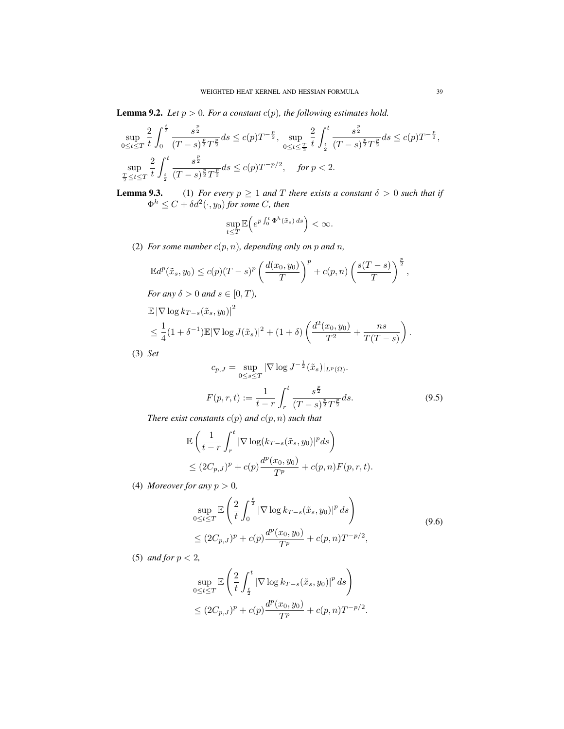**Lemma 9.2.** *Let*  $p > 0$ *. For a constant*  $c(p)$ *, the following estimates hold.* 

$$
\sup_{0 \le t \le T} \frac{2}{t} \int_0^{\frac{t}{2}} \frac{s^{\frac{p}{2}}}{(T-s)^{\frac{p}{2}}T^{\frac{p}{2}}} ds \le c(p) T^{-\frac{p}{2}}, \sup_{0 \le t \le \frac{T}{2}} \frac{2}{t} \int_{\frac{t}{2}}^t \frac{s^{\frac{p}{2}}}{(T-s)^{\frac{p}{2}}T^{\frac{p}{2}}} ds \le c(p) T^{-\frac{p}{2}},
$$
  
\n
$$
\sup_{\frac{T}{2} \le t \le T} \frac{2}{t} \int_{\frac{t}{2}}^t \frac{s^{\frac{p}{2}}}{(T-s)^{\frac{p}{2}}T^{\frac{p}{2}}} ds \le c(p) T^{-p/2}, \quad \text{for } p < 2.
$$

**Lemma 9.3.** (1) *For every*  $p \geq 1$  *and*  $T$  *there exists a constant*  $\delta > 0$  *such that if*  $\Phi^h \leq C + \delta d^2(\cdot, y_0)$  for some C, then

$$
\sup_{t\leq T}\mathbb{E}\Big(e^{p\int_0^t\Phi^h(\tilde{x}_s)\,ds}\Big)<\infty.
$$

(2) *For some number*  $c(p, n)$ *, depending only on p and n,* 

$$
\mathbb{E}d^p(\tilde{x}_s, y_0) \le c(p)(T-s)^p \left(\frac{d(x_0, y_0)}{T}\right)^p + c(p, n) \left(\frac{s(T-s)}{T}\right)^{\frac{p}{2}},
$$

*For any*  $\delta > 0$  *and*  $s \in [0, T)$ *,* 

$$
\mathbb{E} |\nabla \log k_{T-s}(\tilde{x}_s, y_0)|^2
$$
  
\$\leq \frac{1}{4}(1+\delta^{-1}) \mathbb{E} |\nabla \log J(\tilde{x}\_s)|^2 + (1+\delta) \left( \frac{d^2(x\_0, y\_0)}{T^2} + \frac{ns}{T(T-s)} \right).

(3) *Set*

$$
c_{p,J} = \sup_{0 \le s \le T} |\nabla \log J^{-\frac{1}{2}}(\tilde{x}_s)|_{L^p(\Omega)}.
$$
  

$$
F(p,r,t) := \frac{1}{t-r} \int_r^t \frac{s^{\frac{p}{2}}}{(T-s)^{\frac{p}{2}}T^{\frac{p}{2}}} ds.
$$
 (9.5)

*There exist constants*  $c(p)$  *and*  $c(p, n)$  *such that* 

$$
\mathbb{E}\left(\frac{1}{t-r}\int_r^t |\nabla \log(k_{T-s}(\tilde{x}_s, y_0)|^p ds\right)
$$
  
\n
$$
\leq (2C_{p,J})^p + c(p)\frac{d^p(x_0, y_0)}{T^p} + c(p,n)F(p,r,t).
$$

(4) *Moreover for any*  $p > 0$ *,* 

$$
\sup_{0 \le t \le T} \mathbb{E} \left( \frac{2}{t} \int_0^{\frac{t}{2}} |\nabla \log k_{T-s}(\tilde{x}_s, y_0)|^p ds \right)
$$
\n
$$
\le (2C_{p,J})^p + c(p) \frac{d^p(x_0, y_0)}{T^p} + c(p,n) T^{-p/2},
$$
\n(9.6)

(5) *and for* p < 2*,*

$$
\sup_{0\leq t\leq T}\mathbb{E}\left(\frac{2}{t}\int_{\frac{t}{2}}^{t} |\nabla \log k_{T-s}(\tilde{x}_s,y_0)|^p ds\right)
$$
  

$$
\leq (2C_{p,J})^p + c(p)\frac{d^p(x_0,y_0)}{T^p} + c(p,n)T^{-p/2}.
$$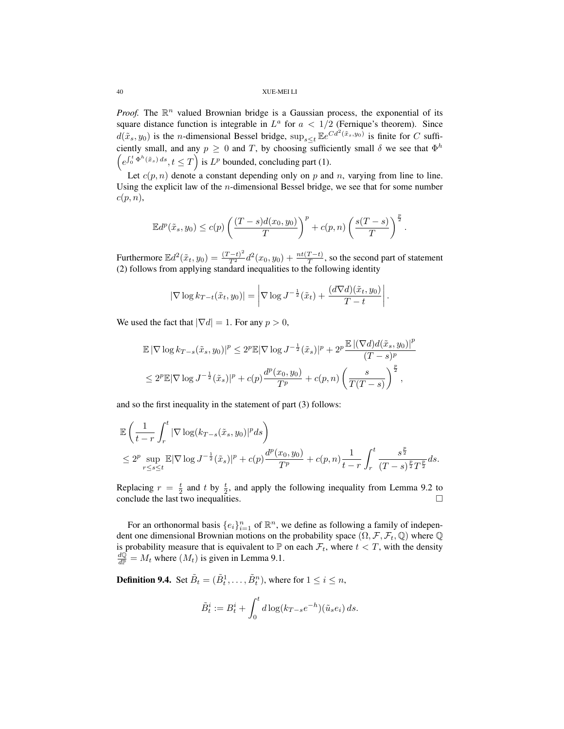*Proof.* The  $\mathbb{R}^n$  valued Brownian bridge is a Gaussian process, the exponential of its square distance function is integrable in  $L^a$  for  $a < 1/2$  (Fernique's theorem). Since  $d(\tilde{x}_s, y_0)$  is the *n*-dimensional Bessel bridge,  $\sup_{s \leq t} \mathbb{E}e^{C d^2(\tilde{x}_s, y_0)}$  is finite for C sufficiently small, and any  $p \geq 0$  and T, by choosing sufficiently small  $\delta$  we see that  $\Phi^h$  $\left(e^{\int_0^t \Phi^h(\tilde{x}_s) ds}, t \leq T\right)$  is  $L^p$  bounded, concluding part (1).

Let  $c(p, n)$  denote a constant depending only on p and n, varying from line to line. Using the explicit law of the  $n$ -dimensional Bessel bridge, we see that for some number  $c(p, n),$ 

$$
\mathbb{E}d^p(\tilde{x}_s,y_0)\leq c(p)\left(\frac{(T-s)d(x_0,y_0)}{T}\right)^p+c(p,n)\left(\frac{s(T-s)}{T}\right)^{\frac{p}{2}}.
$$

Furthermore  $\mathbb{E}d^2(\tilde{x}_t, y_0) = \frac{(T-t)^2}{T^2}d^2(x_0, y_0) + \frac{nt(T-t)}{T}$ , so the second part of statement (2) follows from applying standard inequalities to the following identity

$$
|\nabla \log k_{T-t}(\tilde{x}_t, y_0)| = \left| \nabla \log J^{-\frac{1}{2}}(\tilde{x}_t) + \frac{(d\nabla d)(\tilde{x}_t, y_0)}{T-t} \right|.
$$

We used the fact that  $|\nabla d| = 1$ . For any  $p > 0$ ,

$$
\mathbb{E} |\nabla \log k_{T-s}(\tilde{x}_s, y_0)|^p \le 2^p \mathbb{E} |\nabla \log J^{-\frac{1}{2}}(\tilde{x}_s)|^p + 2^p \frac{\mathbb{E} |(\nabla d) d(\tilde{x}_s, y_0)|^p}{(T-s)^p}
$$
  

$$
\le 2^p \mathbb{E} |\nabla \log J^{-\frac{1}{2}}(\tilde{x}_s)|^p + c(p) \frac{d^p(x_0, y_0)}{T^p} + c(p, n) \left(\frac{s}{T(T-s)}\right)^{\frac{p}{2}},
$$

and so the first inequality in the statement of part (3) follows:

$$
\mathbb{E}\left(\frac{1}{t-r}\int_r^t |\nabla \log(k_{T-s}(\tilde{x}_s, y_0)|^p ds\right) \n\le 2^p \sup_{r\le s\le t} \mathbb{E}|\nabla \log J^{-\frac{1}{2}}(\tilde{x}_s)|^p + c(p)\frac{d^p(x_0, y_0)}{T^p} + c(p, n)\frac{1}{t-r}\int_r^t \frac{s^{\frac{p}{2}}}{(T-s)^{\frac{p}{2}}T^{\frac{p}{2}}}ds.
$$

Replacing  $r = \frac{t}{2}$  and t by  $\frac{t}{2}$ , and apply the following inequality from Lemma 9.2 to conclude the last two inequalities.

For an orthonormal basis  $\{e_i\}_{i=1}^n$  of  $\mathbb{R}^n$ , we define as following a family of independent one dimensional Brownian motions on the probability space  $(\Omega, \mathcal{F}, \mathcal{F}_t, \mathbb{Q})$  where  $\mathbb Q$ is probability measure that is equivalent to  $\mathbb P$  on each  $\mathcal F_t$ , where  $t < T$ , with the density  $\frac{d\mathbb{Q}}{d\mathbb{P}} = M_t$  where  $(M_t)$  is given in Lemma 9.1.

**Definition 9.4.** Set  $\tilde{B}_t = (\tilde{B}_t^1, \ldots, \tilde{B}_t^n)$ , where for  $1 \leq i \leq n$ ,

$$
\tilde{B}_t^i := B_t^i + \int_0^t d\log(k_{T-s}e^{-h})(\tilde{u}_se_i) ds.
$$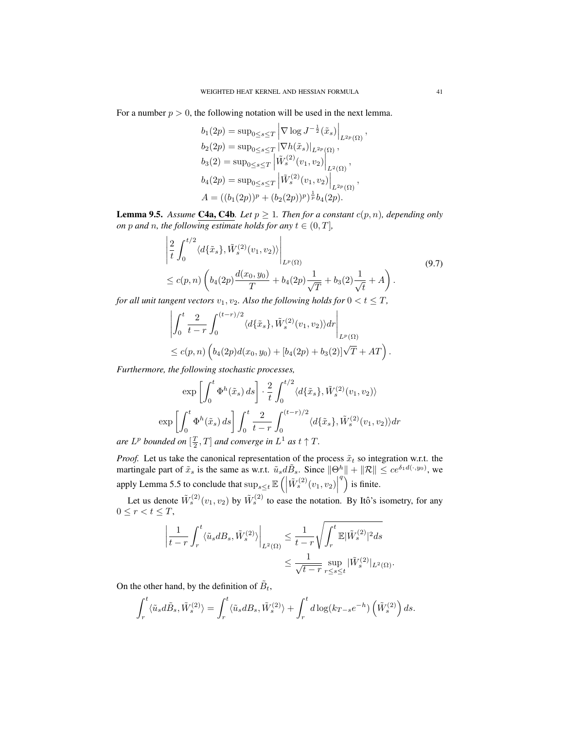For a number  $p > 0$ , the following notation will be used in the next lemma.

$$
b_1(2p) = \sup_{0 \le s \le T} \left| \nabla \log J^{-\frac{1}{2}}(\tilde{x}_s) \right|_{L^{2p}(\Omega)}
$$
  
\n
$$
b_2(2p) = \sup_{0 \le s \le T} \left| \nabla h(\tilde{x}_s) \right|_{L^{2p}(\Omega)},
$$
  
\n
$$
b_3(2) = \sup_{0 \le s \le T} \left| \tilde{W}_s^{(2)}(v_1, v_2) \right|_{L^2(\Omega)},
$$
  
\n
$$
b_4(2p) = \sup_{0 \le s \le T} \left| \tilde{W}_s^{(2)}(v_1, v_2) \right|_{L^{2p}(\Omega)},
$$
  
\n
$$
A = ((b_1(2p))^p + (b_2(2p))^p)^{\frac{1}{p}} b_4(2p).
$$

**Lemma 9.5.** Assume **C4a, C4b**. Let  $p \ge 1$ . Then for a constant  $c(p, n)$ , depending only *on* p and n, the following estimate holds for any  $t \in (0, T]$ ,

$$
\begin{split} &\left|\frac{2}{t}\int_{0}^{t/2} \langle d\{\tilde{x}_{s}\}, \tilde{W}_{s}^{(2)}(v_{1}, v_{2})\rangle\right|_{L^{p}(\Omega)} \\ &\leq c(p, n) \left(b_{4}(2p)\frac{d(x_{0}, y_{0})}{T} + b_{4}(2p)\frac{1}{\sqrt{T}} + b_{3}(2)\frac{1}{\sqrt{t}} + A\right). \end{split} \tag{9.7}
$$

*for all unit tangent vectors*  $v_1, v_2$ *. Also the following holds for*  $0 < t \leq T$ *,* 

$$
\left| \int_0^t \frac{2}{t-r} \int_0^{(t-r)/2} \langle d\{\tilde{x}_s\}, \tilde{W}_s^{(2)}(v_1, v_2) \rangle dr \right|_{L^p(\Omega)} \n\le c(p, n) \left( b_4(2p) d(x_0, y_0) + [b_4(2p) + b_3(2)]\sqrt{T} + AT \right).
$$

*Furthermore, the following stochastic processes,*

$$
\exp\left[\int_0^t \Phi^h(\tilde{x}_s) ds\right] \cdot \frac{2}{t} \int_0^{t/2} \langle d\{\tilde{x}_s\}, \tilde{W}_s^{(2)}(v_1, v_2) \rangle
$$

$$
\exp\left[\int_0^t \Phi^h(\tilde{x}_s) ds\right] \int_0^t \frac{2}{t-r} \int_0^{(t-r)/2} \langle d\{\tilde{x}_s\}, \tilde{W}_s^{(2)}(v_1, v_2) \rangle dr
$$

*are*  $L^p$  *bounded on*  $\left[\frac{T}{2}, T\right]$  *and converge in*  $L^1$  *as*  $t \uparrow T$ *.* 

*Proof.* Let us take the canonical representation of the process  $\tilde{x}_t$  so integration w.r.t. the martingale part of  $\tilde{x}_s$  is the same as w.r.t.  $\tilde{u}_s d\tilde{B}_s$ . Since  $\|\Theta^h\| + \|R\| \le c e^{\delta_1 d(\cdot,y_0)}$ , we apply Lemma 5.5 to conclude that  $\sup_{s \leq t} \mathbb{E} \left( \left| \tilde{W}_s^{(2)}(v_1, v_2) \right| \right)$  $\int_a^q$  is finite.

Let us denote  $\tilde{W}_s^{(2)}(v_1, v_2)$  by  $\tilde{W}_s^{(2)}$  to ease the notation. By Itô's isometry, for any  $0 \leq r < t \leq T$ ,

$$
\left| \frac{1}{t-r} \int_r^t \langle \tilde{u}_s dB_s, \tilde{W}_s^{(2)} \rangle \right|_{L^2(\Omega)} \leq \frac{1}{t-r} \sqrt{\int_r^t \mathbb{E} |\tilde{W}_s^{(2)}|^2 ds}
$$
  

$$
\leq \frac{1}{\sqrt{t-r}} \sup_{r \leq s \leq t} |\tilde{W}_s^{(2)}|_{L^2(\Omega)}.
$$

On the other hand, by the definition of  $\tilde{B}_t$ ,

$$
\int_r^t \langle \tilde{u}_s d\tilde{B}_s, \tilde{W}_s^{(2)} \rangle = \int_r^t \langle \tilde{u}_s dB_s, \tilde{W}_s^{(2)} \rangle + \int_r^t d\log(k_{T-s}e^{-h}) \left( \tilde{W}_s^{(2)} \right) ds.
$$

,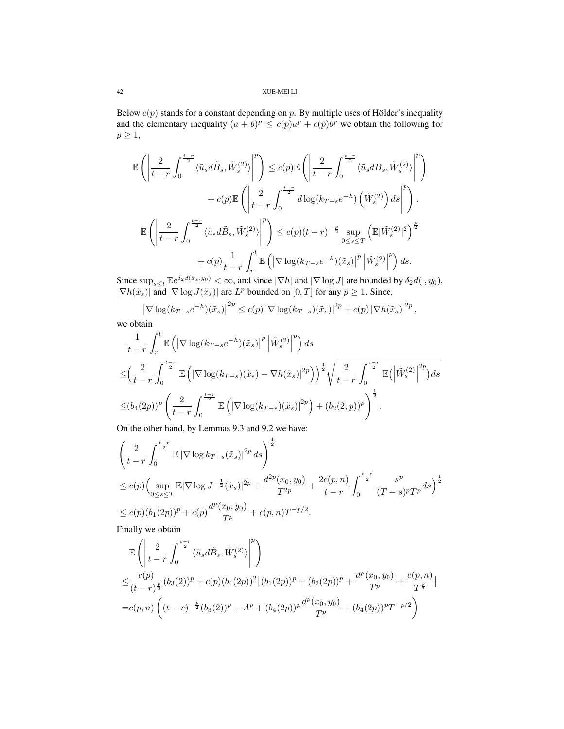Below  $c(p)$  stands for a constant depending on p. By multiple uses of Hölder's inequality and the elementary inequality  $(a + b)^p \le c(p)a^p + c(p)b^p$  we obtain the following for  $p \geq 1$ ,

$$
\mathbb{E}\left(\left|\frac{2}{t-r}\int_{0}^{\frac{t-r}{2}}\langle\tilde{u}_{s}d\tilde{B}_{s},\tilde{W}_{s}^{(2)}\rangle\right|^{p}\right)\leq c(p)\mathbb{E}\left(\left|\frac{2}{t-r}\int_{0}^{\frac{t-r}{2}}\langle\tilde{u}_{s}dB_{s},\tilde{W}_{s}^{(2)}\rangle\right|^{p}\right)
$$

$$
+c(p)\mathbb{E}\left(\left|\frac{2}{t-r}\int_{0}^{\frac{t-r}{2}}d\log(k_{T-s}e^{-h})\left(\tilde{W}_{s}^{(2)}\right)ds\right|^{p}\right).
$$

$$
\mathbb{E}\left(\left|\frac{2}{t-r}\int_{0}^{\frac{t-r}{2}}\langle\tilde{u}_{s}d\tilde{B}_{s},\tilde{W}_{s}^{(2)}\rangle\right|^{p}\right)\leq c(p)(t-r)^{-\frac{p}{2}}\sup_{0\leq s\leq T}\left(\mathbb{E}|\tilde{W}_{s}^{(2)}|^{2}\right)^{\frac{p}{2}}
$$

$$
+c(p)\frac{1}{t-r}\int_{r}^{t}\mathbb{E}\left(\left|\nabla\log(k_{T-s}e^{-h})(\tilde{x}_{s})\right|^{p}\left|\tilde{W}_{s}^{(2)}\right|^{p}\right)ds.
$$

Since  $\sup_{s\leq t} \mathbb{E}e^{\delta_2 d(\tilde{x}_s,y_0)} < \infty$ , and since  $|\nabla h|$  and  $|\nabla \log J|$  are bounded by  $\delta_2 d(\cdot, y_0)$ ,  $|\nabla h(\tilde{x}_s)|$  and  $|\nabla \log J(\tilde{x}_s)|$  are  $L^p$  bounded on  $[0, T]$  for any  $p \geq 1$ . Since,

$$
\left|\nabla \log(k_{T-s}e^{-h})(\tilde{x}_s)\right|^{2p} \le c(p) \left|\nabla \log(k_{T-s})(\tilde{x}_s)\right|^{2p} + c(p) \left|\nabla h(\tilde{x}_s)\right|^{2p},
$$

we obtain

$$
\frac{1}{t-r} \int_{r}^{t} \mathbb{E}\left( \left| \nabla \log(k_{T-s}e^{-h})(\tilde{x}_{s}) \right|^{p} \left| \tilde{W}_{s}^{(2)} \right|^{p} \right) ds
$$
\n
$$
\leq \left( \frac{2}{t-r} \int_{0}^{\frac{t-r}{2}} \mathbb{E}\left( \left| \nabla \log(k_{T-s})(\tilde{x}_{s}) - \nabla h(\tilde{x}_{s}) \right|^{2p} \right) \right)^{\frac{1}{2}} \sqrt{\frac{2}{t-r} \int_{0}^{\frac{t-r}{2}} \mathbb{E}\left( \left| \tilde{W}_{s}^{(2)} \right|^{2p} \right) ds}
$$
\n
$$
\leq (b_{4}(2p))^{p} \left( \frac{2}{t-r} \int_{0}^{\frac{t-r}{2}} \mathbb{E}\left( \left| \nabla \log(k_{T-s})(\tilde{x}_{s}) \right|^{2p} \right) + (b_{2}(2,p))^{p} \right)^{\frac{1}{2}}.
$$

On the other hand, by Lemmas 9.3 and 9.2 we have:

$$
\left(\frac{2}{t-r}\int_0^{\frac{t-r}{2}} \mathbb{E} |\nabla \log k_{T-s}(\tilde{x}_s)|^{2p} ds\right)^{\frac{1}{2}}
$$
\n
$$
\leq c(p) \left(\sup_{0 \leq s \leq T} \mathbb{E} |\nabla \log J^{-\frac{1}{2}}(\tilde{x}_s)|^{2p} + \frac{d^{2p}(x_0, y_0)}{T^{2p}} + \frac{2c(p, n)}{t-r} \int_0^{\frac{t-r}{2}} \frac{s^p}{(T-s)^p T^p} ds\right)^{\frac{1}{2}}
$$
\n
$$
\leq c(p) (b_1(2p))^p + c(p) \frac{d^p(x_0, y_0)}{T^p} + c(p, n) T^{-p/2}.
$$

Finally we obtain

$$
\mathbb{E}\left(\left|\frac{2}{t-r}\int_{0}^{\frac{t-r}{2}}\langle\tilde{u}_{s}d\tilde{B}_{s},\tilde{W}_{s}^{(2)}\rangle\right|^{p}\right) \n\leq \frac{c(p)}{(t-r)^{\frac{p}{2}}}(b_{3}(2))^{p} + c(p)(b_{4}(2p))^{2}[(b_{1}(2p))^{p} + (b_{2}(2p))^{p} + \frac{d^{p}(x_{0},y_{0})}{T^{p}} + \frac{c(p,n)}{T^{\frac{p}{2}}}] \n= c(p,n)\left((t-r)^{-\frac{p}{2}}(b_{3}(2))^{p} + A^{p} + (b_{4}(2p))^{p}\frac{d^{p}(x_{0},y_{0})}{T^{p}} + (b_{4}(2p))^{p}T^{-p/2}\right)
$$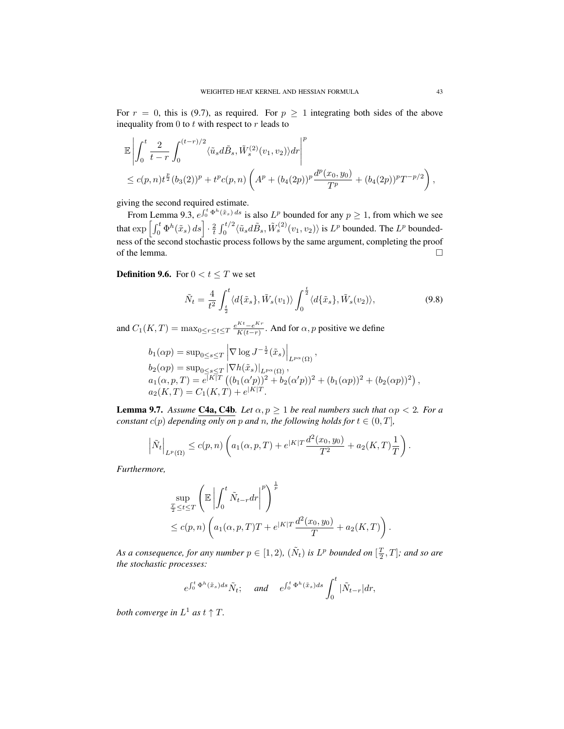For  $r = 0$ , this is (9.7), as required. For  $p \ge 1$  integrating both sides of the above inequality from 0 to  $t$  with respect to  $r$  leads to

$$
\mathbb{E}\left|\int_0^t \frac{2}{t-r} \int_0^{(t-r)/2} \langle \tilde{u}_s d\tilde{B}_s, \tilde{W}_s^{(2)}(v_1, v_2) \rangle dr \right|^p
$$
  

$$
\leq c(p,n)t^{\frac{p}{2}}(b_3(2))^p + t^p c(p,n) \left( A^p + (b_4(2p))^p \frac{d^p(x_0, y_0)}{T^p} + (b_4(2p))^p T^{-p/2} \right),
$$

giving the second required estimate.

From Lemma 9.3,  $e^{\int_0^t \Phi^h(\tilde{x}_s) ds}$  is also  $L^p$  bounded for any  $p \ge 1$ , from which we see that  $\exp\left[\int_0^t \Phi^h(\tilde{x}_s) ds\right] \cdot \frac{2}{t} \int_0^{t/2} \langle \tilde{u}_s d\tilde{B}_s, \tilde{W}_s^{(2)}(v_1, v_2) \rangle$  is  $L^p$  bounded. The  $L^p$  boundedness of the second stochastic process follows by the same argument, completing the proof of the lemma.  $\Box$ 

**Definition 9.6.** For  $0 < t \leq T$  we set

$$
\tilde{N}_t = \frac{4}{t^2} \int_{\frac{t}{2}}^t \langle d\{\tilde{x}_s\}, \tilde{W}_s(v_1) \rangle \int_0^{\frac{t}{2}} \langle d\{\tilde{x}_s\}, \tilde{W}_s(v_2) \rangle, \tag{9.8}
$$

and  $C_1(K,T) = \max_{0 \le r \le t \le T} \frac{e^{Kt} - e^{Kr}}{K(t-r)}$  $\frac{K(t-e^{i\lambda t})}{K(t-r)}$ . And for  $\alpha$ , *p* positive we define

$$
b_1(\alpha p) = \sup_{0 \le s \le T} \left| \nabla \log J^{-\frac{1}{2}}(\tilde{x}_s) \right|_{L^{p\alpha}(\Omega)},
$$
  
\n
$$
b_2(\alpha p) = \sup_{0 \le s \le T} |\nabla h(\tilde{x}_s)|_{L^{p\alpha}(\Omega)},
$$
  
\n
$$
a_1(\alpha, p, T) = e^{\lfloor K \rfloor T} ((b_1(\alpha' p))^2 + b_2(\alpha' p))^2 + (b_1(\alpha p))^2 + (b_2(\alpha p))^2),
$$
  
\n
$$
a_2(K, T) = C_1(K, T) + e^{\lfloor K \rfloor T}.
$$

**Lemma 9.7.** Assume **C4a, C4b**. Let  $\alpha, p \ge 1$  be real numbers such that  $\alpha p < 2$ . For a *constant*  $c(p)$  *depending only on* p *and* n, the following holds for  $t \in (0, T]$ ,

$$
\left| \tilde{N}_t \right|_{L^p(\Omega)} \le c(p,n) \left( a_1(\alpha, p, T) + e^{|K|T} \frac{d^2(x_0, y_0)}{T^2} + a_2(K, T) \frac{1}{T} \right).
$$

*Furthermore,*

$$
\sup_{\frac{T}{2} \leq t \leq T} \left( \mathbb{E} \left| \int_0^t \tilde{N}_{t-\tau} dr \right|^p \right)^{\frac{1}{p}} \n\leq c(p,n) \left( a_1(\alpha, p, T)T + e^{|K|T} \frac{d^2(x_0, y_0)}{T} + a_2(K, T) \right).
$$

As a consequence, for any number  $p \in [1, 2)$ ,  $(\tilde{N}_t)$  is  $L^p$  bounded on  $[\frac{T}{2}, T]$ ; and so are *the stochastic processes:*

$$
e^{\int_0^t \Phi^h(\tilde{x}_s)ds} \tilde{N}_t
$$
; and  $e^{\int_0^t \Phi^h(\tilde{x}_s)ds} \int_0^t |\tilde{N}_{t-r}| dr$ ,

*both converge in*  $L^1$  *as*  $t \uparrow T$ *.*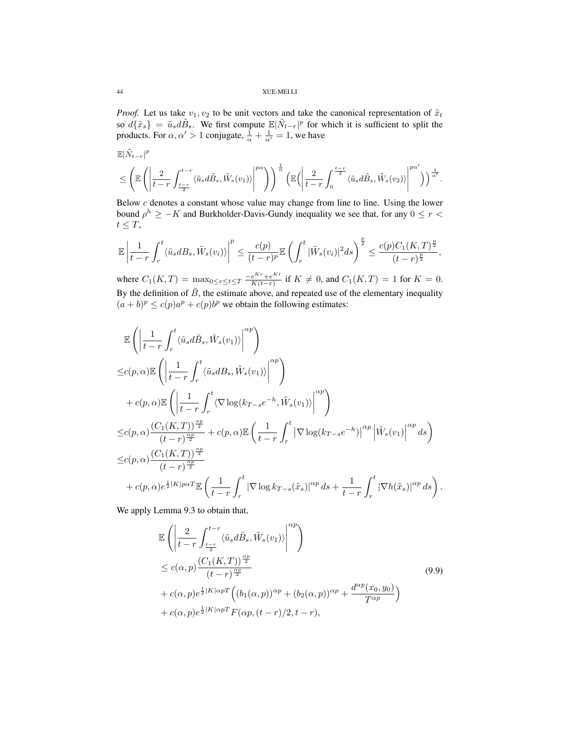*Proof.* Let us take  $v_1, v_2$  to be unit vectors and take the canonical representation of  $\tilde{x}_t$ so  $d\{\tilde{x}_s\} = \tilde{u}_s d\tilde{B}_s$ . We first compute  $\mathbb{E}|\tilde{N}_{t-r}|^p$  for which it is sufficient to split the products. For  $\alpha, \alpha' > 1$  conjugate,  $\frac{1}{\alpha} + \frac{1}{\alpha'} = 1$ , we have

$$
\begin{split} &\mathbb{E}|\tilde{N}_{t-r}|^p\\ &\leq \left(\mathbb{E}\left(\left|\frac{2}{t-r}\int_{\frac{t-r}{2}}^{t-r}\langle \tilde{u}_sd\tilde{B}_s,\tilde{W}_s(v_1)\rangle\right|^{p\alpha}\right)\right)^\frac{1}{\alpha}\left(\mathbb{E}\Big(\left|\frac{2}{t-r}\int_{0}^{\frac{t-r}{2}}\langle \tilde{u}_sd\tilde{B}_s,\tilde{W}_s(v_2)\rangle\right|^{p\alpha'}\right)\right)^\frac{1}{\alpha'}.\end{split}
$$

Below c denotes a constant whose value may change from line to line. Using the lower bound  $\rho^h \geq -K$  and Burkholder-Davis-Gundy inequality we see that, for any  $0 \leq r <$  $t \leq T$ ,

$$
\mathbb{E}\left|\frac{1}{t-r}\int_r^t\langle\tilde{u}_sdB_s,\tilde{W}_s(v_i)\rangle\right|^p\leq\frac{c(p)}{(t-r)^p}\mathbb{E}\left(\int_r^t|\tilde{W}_s(v_i)|^2ds\right)^{\frac{p}{2}}\leq\frac{c(p)C_1(K,T)^{\frac{p}{2}}}{(t-r)^{\frac{p}{2}}},
$$

where  $C_1(K,T) = \max_{0 \le r \le t \le T} \frac{-e^{Kr} + e^{Kt}}{K(t-r)}$  $\frac{e^{kt} + e^{kt}}{K(t-r)}$  if  $K \neq 0$ , and  $C_1(K,T) = 1$  for  $K = 0$ . By the definition of  $\tilde{B}$ , the estimate above, and repeated use of the elementary inequality  $(a + b)^p \le c(p)a^p + c(p)b^p$  we obtain the following estimates:

$$
\mathbb{E}\left(\left|\frac{1}{t-r}\int_{r}^{t}\langle\tilde{u}_{s}d\tilde{B}_{s},\tilde{W}_{s}(v_{1})\rangle\right|^{op}\right) \n\leq c(p,\alpha)\mathbb{E}\left(\left|\frac{1}{t-r}\int_{r}^{t}\langle\tilde{u}_{s}dB_{s},\tilde{W}_{s}(v_{1})\rangle\right|^{op}\right) \n+ c(p,\alpha)\mathbb{E}\left(\left|\frac{1}{t-r}\int_{r}^{t}\langle\nabla\log(k_{T-s}e^{-h},\tilde{W}_{s}(v_{1})\rangle\right|^{op}\right) \n\leq c(p,\alpha)\frac{(C_{1}(K,T))^{\frac{op}{2}}}{(t-r)^{\frac{op}{2}}}+c(p,\alpha)\mathbb{E}\left(\frac{1}{t-r}\int_{r}^{t}\left|\nabla\log(k_{T-s}e^{-h})\right|^{\alpha p}\left|\tilde{W}_{s}(v_{1})\right|^{\alpha p}ds\right) \n\leq c(p,\alpha)\frac{(C_{1}(K,T))^{\frac{op}{2}}}{(t-r)^{\frac{op}{2}}} \n+ c(p,\alpha)e^{\frac{1}{2}|K|p\alpha T}\mathbb{E}\left(\frac{1}{t-r}\int_{r}^{t}\left|\nabla\log k_{T-s}(\tilde{x}_{s})\right|^{\alpha p}ds+\frac{1}{t-r}\int_{r}^{t}\left|\nabla h(\tilde{x}_{s})\right|^{\alpha p}ds\right).
$$

We apply Lemma 9.3 to obtain that,

$$
\mathbb{E}\left(\left|\frac{2}{t-r}\int_{\frac{t-r}{2}}^{t-r}\langle\tilde{u}_sd\tilde{B}_s,\tilde{W}_s(v_1)\rangle\right|^{op}\right) \n\leq c(\alpha,p)\frac{(C_1(K,T))^{\frac{\alpha p}{2}}}{(t-r)^{\frac{\alpha p}{2}}} \n+ c(\alpha,p)e^{\frac{1}{2}|K|\alpha pT}\Big((b_1(\alpha,p))^{\alpha p} + (b_2(\alpha,p))^{\alpha p} + \frac{d^{\alpha p}(x_0,y_0)}{T^{\alpha p}}\Big) \n+ c(\alpha,p)e^{\frac{1}{2}|K|\alpha pT}F(\alpha p,(t-r)/2,t-r),
$$
\n(9.9)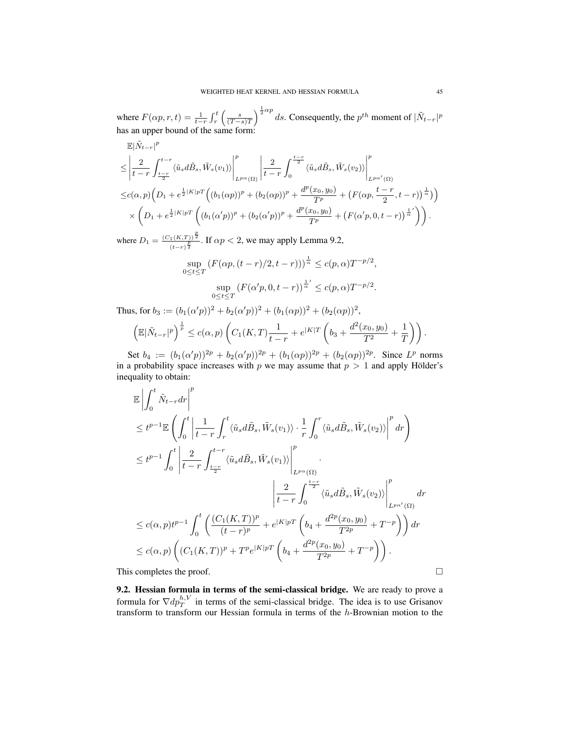where  $F(\alpha p, r, t) = \frac{1}{t-r} \int_r^t \left( \frac{s}{(T-s)T} \right)^{\frac{1}{2} \alpha p} ds$ . Consequently, the  $p^{th}$  moment of  $|\tilde{N}_{t-r}|^p$ has an upper bound of the same form:

$$
\mathbb{E}|\tilde{N}_{t-r}|^p
$$
\n
$$
\leq \left| \frac{2}{t-r} \int_{\frac{t-r}{2}}^{t-r} \langle \tilde{u}_s d\tilde{B}_s, \tilde{W}_s(v_1) \rangle \right|^p_{L^{p\alpha}(\Omega)} \left| \frac{2}{t-r} \int_0^{\frac{t-r}{2}} \langle \tilde{u}_s d\tilde{B}_s, \tilde{W}_s(v_2) \rangle \right|^p_{L^{p\alpha'}(\Omega)}
$$
\n
$$
\leq c(\alpha, p) \Big( D_1 + e^{\frac{1}{2}|K|pT} \Big( (b_1(\alpha p))^p + (b_2(\alpha p))^p + \frac{d^p(x_0, y_0)}{T^p} + \Big( F(\alpha p, \frac{t-r}{2}, t-r) \Big)^{\frac{1}{\alpha}} \Big) \Big) \times \left( D_1 + e^{\frac{1}{2}|K|pT} \Big( (b_1(\alpha' p))^p + (b_2(\alpha' p))^p + \frac{d^p(x_0, y_0)}{T^p} + \Big( F(\alpha' p, 0, t-r) \Big)^{\frac{1}{\alpha'}} \Big) \right).
$$

where  $D_1 = \frac{(C_1(K,T))^{\frac{p}{2}}}{(E+L)^{\frac{p}{2}}}$  $\frac{\Gamma(K,T))}{(t-r)^{\frac{p}{2}}}$ . If  $\alpha p < 2$ , we may apply Lemma 9.2,

$$
\sup_{0 \le t \le T} \left( F(\alpha p, (t - r)/2, t - r)) \right)^{\frac{1}{\alpha}} \le c(p, \alpha) T^{-p/2},
$$

$$
\sup_{0 \le t \le T} \left( F(\alpha' p, 0, t - r) \right)^{\frac{1}{\alpha'}} \le c(p, \alpha) T^{-p/2}.
$$

Thus, for  $b_3 := (b_1(\alpha'p))^2 + b_2(\alpha'p))^2 + (b_1(\alpha p))^2 + (b_2(\alpha p))^2$ ,

$$
\left(\mathbb{E}|\tilde{N}_{t-r}|^p\right)^{\frac{1}{p}} \le c(\alpha, p)\left(C_1(K,T)\frac{1}{t-r} + e^{|K|T}\left(b_3 + \frac{d^2(x_0, y_0)}{T^2} + \frac{1}{T}\right)\right).
$$

Set  $b_4 := (b_1(\alpha'p))^{2p} + b_2(\alpha'p))^{2p} + (b_1(\alpha p))^{2p} + (b_2(\alpha p))^{2p}$ . Since  $L^p$  norms in a probability space increases with p we may assume that  $p > 1$  and apply Hölder's inequality to obtain:

$$
\mathbb{E}\left|\int_{0}^{t}\tilde{N}_{t-r}dr\right|^{p}
$$
\n
$$
\leq t^{p-1}\mathbb{E}\left(\int_{0}^{t}\left|\frac{1}{t-r}\int_{r}^{t}\left\langle\tilde{u}_{s}d\tilde{B}_{s},\tilde{W}_{s}(v_{1})\right\rangle\cdot\frac{1}{r}\int_{0}^{r}\left\langle\tilde{u}_{s}d\tilde{B}_{s},\tilde{W}_{s}(v_{2})\right\rangle\right|^{p}dr\right)
$$
\n
$$
\leq t^{p-1}\int_{0}^{t}\left|\frac{2}{t-r}\int_{\frac{t-r}{2}}^{t-r}\left\langle\tilde{u}_{s}d\tilde{B}_{s},\tilde{W}_{s}(v_{1})\right\rangle\right|^{p}
$$
\n
$$
\left|\frac{2}{t-r}\int_{0}^{\frac{t-r}{2}}\left\langle\tilde{u}_{s}d\tilde{B}_{s},\tilde{W}_{s}(v_{2})\right\rangle\right|^{p}
$$
\n
$$
\leq c(\alpha,p)t^{p-1}\int_{0}^{t}\left(\frac{(C_{1}(K,T))^{p}}{(t-r)^{p}}+e^{\left|K\right|pT}\left(b_{4}+\frac{d^{2p}(x_{0},y_{0})}{T^{2p}}+T^{-p}\right)\right)dr
$$
\n
$$
\leq c(\alpha,p)\left((C_{1}(K,T))^{p}+T^{p}e^{\left|K\right|pT}\left(b_{4}+\frac{d^{2p}(x_{0},y_{0})}{T^{2p}}+T^{-p}\right)\right).
$$
\nThis completes the proof.

9.2. Hessian formula in terms of the semi-classical bridge. We are ready to prove a formula for  $\nabla dp_T^{h,V}$  in terms of the semi-classical bridge. The idea is to use Grisanov transform to transform our Hessian formula in terms of the  $h$ -Brownian motion to the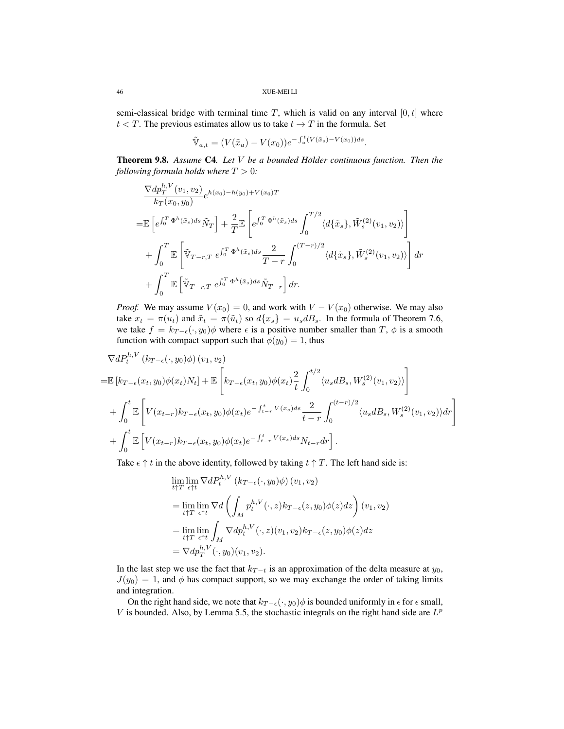semi-classical bridge with terminal time T, which is valid on any interval  $[0, t]$  where  $t < T$ . The previous estimates allow us to take  $t \to T$  in the formula. Set

$$
\tilde{\mathbb{V}}_{a,t} = (V(\tilde{x}_a) - V(x_0))e^{-\int_a^t (V(\tilde{x}_s) - V(x_0))ds}.
$$

Theorem 9.8. *Assume* C4*. Let* V *be a bounded Holder continuous function. Then the ¨ following formula holds where*  $T > 0$ *:* 

$$
\frac{\nabla dp_T^{h,V}(v_1, v_2)}{k_T(x_0, y_0)} e^{h(x_0) - h(y_0) + V(x_0)T}
$$
\n
$$
= \mathbb{E}\left[e^{\int_0^T \Phi^h(\tilde{x}_s)ds} \tilde{N}_T\right] + \frac{2}{T} \mathbb{E}\left[e^{\int_0^T \Phi^h(\tilde{x}_s)ds} \int_0^{T/2} \langle d\{\tilde{x}_s\}, \tilde{W}_s^{(2)}(v_1, v_2)\rangle\right]
$$
\n
$$
+ \int_0^T \mathbb{E}\left[\tilde{V}_{T-r,T} e^{\int_0^T \Phi^h(\tilde{x}_s)ds} \frac{2}{T-r} \int_0^{(T-r)/2} \langle d\{\tilde{x}_s\}, \tilde{W}_s^{(2)}(v_1, v_2)\rangle\right] dr
$$
\n
$$
+ \int_0^T \mathbb{E}\left[\tilde{V}_{T-r,T} e^{\int_0^T \Phi^h(\tilde{x}_s)ds} \tilde{N}_{T-r}\right] dr.
$$

*Proof.* We may assume  $V(x_0) = 0$ , and work with  $V - V(x_0)$  otherwise. We may also take  $x_t = \pi(u_t)$  and  $\tilde{x}_t = \pi(\tilde{u}_t)$  so  $d\{x_s\} = u_s dB_s$ . In the formula of Theorem 7.6, we take  $f = k_{T-\epsilon}(\cdot, y_0) \phi$  where  $\epsilon$  is a positive number smaller than  $T$ ,  $\phi$  is a smooth function with compact support such that  $\phi(y_0) = 1$ , thus

$$
\nabla dP_t^{h,V}(k_{T-\epsilon}(\cdot,y_0)\phi)(v_1,v_2)
$$
\n
$$
= \mathbb{E}\left[k_{T-\epsilon}(x_t,y_0)\phi(x_t)N_t\right] + \mathbb{E}\left[k_{T-\epsilon}(x_t,y_0)\phi(x_t)\frac{2}{t}\int_0^{t/2}\langle u_s dB_s, W_s^{(2)}(v_1,v_2)\rangle\right]
$$
\n
$$
+ \int_0^t \mathbb{E}\left[V(x_{t-r})k_{T-\epsilon}(x_t,y_0)\phi(x_t)e^{-\int_{t-r}^t V(x_s)ds}\frac{2}{t-r}\int_0^{(t-r)/2}\langle u_s dB_s, W_s^{(2)}(v_1,v_2)\rangle dr\right]
$$
\n
$$
+ \int_0^t \mathbb{E}\left[V(x_{t-r})k_{T-\epsilon}(x_t,y_0)\phi(x_t)e^{-\int_{t-r}^t V(x_s)ds}N_{t-r}dr\right].
$$

Take  $\epsilon \uparrow t$  in the above identity, followed by taking  $t \uparrow T$ . The left hand side is:

$$
\lim_{t \uparrow T} \lim_{\epsilon \uparrow t} \nabla dP_t^{h,V} (k_{T-\epsilon}(\cdot, y_0)\phi) (v_1, v_2)
$$
\n
$$
= \lim_{t \uparrow T} \lim_{\epsilon \uparrow t} \nabla d \left( \int_M p_t^{h,V} (\cdot, z) k_{T-\epsilon}(z, y_0)\phi(z) dz \right) (v_1, v_2)
$$
\n
$$
= \lim_{t \uparrow T} \lim_{\epsilon \uparrow t} \int_M \nabla dp_t^{h,V} (\cdot, z) (v_1, v_2) k_{T-\epsilon}(z, y_0)\phi(z) dz
$$
\n
$$
= \nabla dp_T^{h,V} (\cdot, y_0) (v_1, v_2).
$$

In the last step we use the fact that  $k_{T-t}$  is an approximation of the delta measure at  $y_0$ ,  $J(y_0) = 1$ , and  $\phi$  has compact support, so we may exchange the order of taking limits and integration.

On the right hand side, we note that  $k_{T-\epsilon}(\cdot, y_0)\phi$  is bounded uniformly in  $\epsilon$  for  $\epsilon$  small, V is bounded. Also, by Lemma 5.5, the stochastic integrals on the right hand side are  $L^p$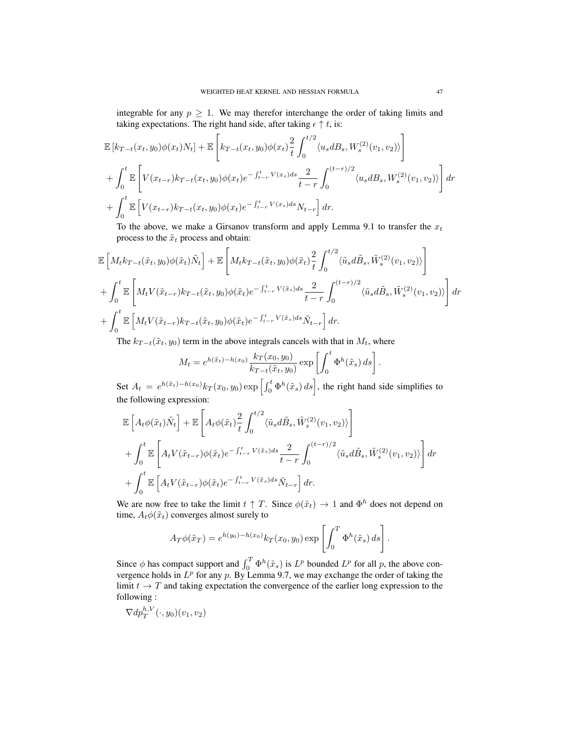integrable for any  $p \geq 1$ . We may therefor interchange the order of taking limits and taking expectations. The right hand side, after taking  $\epsilon \uparrow t$ , is:

$$
\mathbb{E}\left[k_{T-t}(x_t, y_0)\phi(x_t)N_t\right] + \mathbb{E}\left[k_{T-t}(x_t, y_0)\phi(x_t)\frac{2}{t}\int_0^{t/2}\langle u_s dB_s, W_s^{(2)}(v_1, v_2)\rangle\right] + \int_0^t \mathbb{E}\left[V(x_{t-r})k_{T-t}(x_t, y_0)\phi(x_t)e^{-\int_{t-r}^t V(x_s)ds}\frac{2}{t-r}\int_0^{(t-r)/2}\langle u_s dB_s, W_s^{(2)}(v_1, v_2)\rangle\right]dr + \int_0^t \mathbb{E}\left[V(x_{t-r})k_{T-t}(x_t, y_0)\phi(x_t)e^{-\int_{t-r}^t V(x_s)ds}N_{t-r}\right]dr.
$$

To the above, we make a Girsanov transform and apply Lemma 9.1 to transfer the  $x_t$ process to the  $\tilde{x}_t$  process and obtain:

$$
\mathbb{E}\left[M_t k_{T-t}(\tilde{x}_t, y_0)\phi(\tilde{x}_t)\tilde{N}_t\right] + \mathbb{E}\left[M_t k_{T-t}(\tilde{x}_t, y_0)\phi(\tilde{x}_t)\frac{2}{t}\int_0^{t/2} \langle \tilde{u}_s d\tilde{B}_s, \tilde{W}_s^{(2)}(v_1, v_2)\rangle \right]
$$
  
+ 
$$
\int_0^t \mathbb{E}\left[M_t V(\tilde{x}_{t-r})k_{T-t}(\tilde{x}_t, y_0)\phi(\tilde{x}_t)e^{-\int_{t-r}^t V(\tilde{x}_s)ds}\frac{2}{t-r}\int_0^{(t-r)/2} \langle \tilde{u}_s d\tilde{B}_s, \tilde{W}_s^{(2)}(v_1, v_2)\rangle \right] dr
$$
  
+ 
$$
\int_0^t \mathbb{E}\left[M_t V(\tilde{x}_{t-r})k_{T-t}(\tilde{x}_t, y_0)\phi(\tilde{x}_t)e^{-\int_{t-r}^t V(\tilde{x}_s)ds}\tilde{N}_{t-r}\right] dr.
$$

The  $k_{T-t}(\tilde{x}_t, y_0)$  term in the above integrals cancels with that in  $M_t$ , where

$$
M_t = e^{h(\tilde{x}_t) - h(x_0)} \frac{k_T(x_0, y_0)}{k_{T-t}(\tilde{x}_t, y_0)} \exp\left[\int_0^t \Phi^h(\tilde{x}_s) ds\right].
$$

Set  $A_t = e^{h(\tilde{x}_t) - h(x_0)} k_T(x_0, y_0) \exp\left[\int_0^t \Phi^h(\tilde{x}_s) ds\right]$ , the right hand side simplifies to the following expression:

$$
\mathbb{E}\left[A_t\phi(\tilde{x}_t)\tilde{N}_t\right] + \mathbb{E}\left[A_t\phi(\tilde{x}_t)\frac{2}{t}\int_0^{t/2}\langle \tilde{u}_sd\tilde{B}_s, \tilde{W}_s^{(2)}(v_1, v_2)\rangle\right] + \int_0^t \mathbb{E}\left[A_tV(\tilde{x}_{t-r})\phi(\tilde{x}_t)e^{-\int_{t-r}^t V(\tilde{x}_s)ds}\frac{2}{t-r}\int_0^{(t-r)/2}\langle \tilde{u}_sd\tilde{B}_s, \tilde{W}_s^{(2)}(v_1, v_2)\rangle\right]dr + \int_0^t \mathbb{E}\left[A_tV(\tilde{x}_{t-r})\phi(\tilde{x}_t)e^{-\int_{t-r}^t V(\tilde{x}_s)ds}\tilde{N}_{t-r}\right]dr.
$$

We are now free to take the limit  $t \uparrow T$ . Since  $\phi(\tilde{x}_t) \to 1$  and  $\Phi^h$  does not depend on time,  $A_t \phi(\tilde{x}_t)$  converges almost surely to

$$
A_T \phi(\tilde{x}_T) = e^{h(y_0) - h(x_0)} k_T(x_0, y_0) \exp\left[\int_0^T \Phi^h(\tilde{x}_s) ds\right].
$$

Since  $\phi$  has compact support and  $\int_0^T \Phi^h(\tilde{x}_s)$  is  $L^p$  bounded  $L^p$  for all  $p$ , the above convergence holds in  $L^p$  for any p. By Lemma 9.7, we may exchange the order of taking the limit  $t \to T$  and taking expectation the convergence of the earlier long expression to the following :

$$
\nabla dp_T^{h,V}(\cdot,y_0)(v_1,v_2)
$$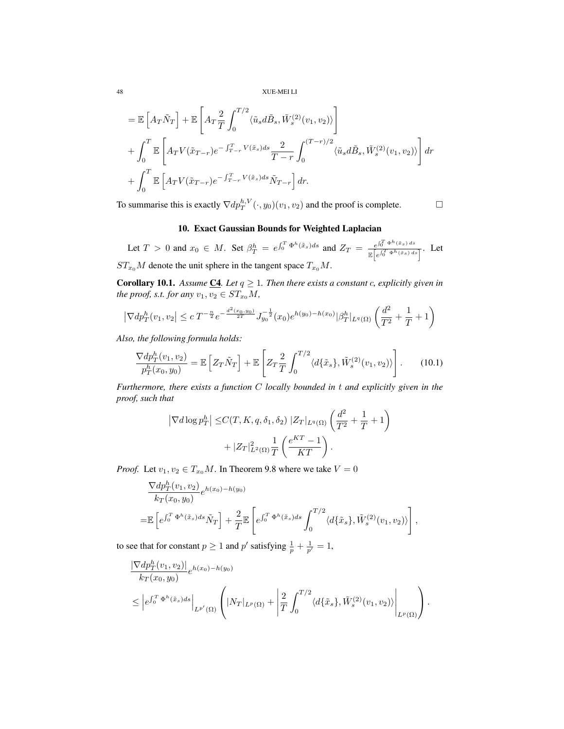$$
= \mathbb{E}\left[A_T\tilde{N}_T\right] + \mathbb{E}\left[A_T\frac{2}{T}\int_0^{T/2}\langle \tilde{u}_sd\tilde{B}_s, \tilde{W}_s^{(2)}(v_1, v_2)\rangle\right]
$$
  
+ 
$$
\int_0^T \mathbb{E}\left[A_TV(\tilde{x}_{T-r})e^{-\int_{T-r}^T V(\tilde{x}_s)ds}\frac{2}{T-r}\int_0^{(T-r)/2}\langle \tilde{u}_sd\tilde{B}_s, \tilde{W}_s^{(2)}(v_1, v_2)\rangle\right]dr
$$
  
+ 
$$
\int_0^T \mathbb{E}\left[A_TV(\tilde{x}_{T-r})e^{-\int_{T-r}^T V(\tilde{x}_s)ds}\tilde{N}_{T-r}\right]dr.
$$

To summarise this is exactly  $\nabla dp_T^{h,V}(\cdot, y_0)(v_1, v_2)$  and the proof is complete.

## 10. Exact Gaussian Bounds for Weighted Laplacian

Let  $T > 0$  and  $x_0 \in M$ . Set  $\beta_T^h = e^{\int_0^T \Phi^h(\tilde{x}_s) ds}$  and  $Z_T = \frac{e^{\int_0^T \Phi^h(\tilde{x}_s) ds}}{\mathbb{E}[\epsilon_n \int_0^T \Phi^h(\tilde{x}_s) ds]}$  $\frac{e^{j_0} + e^{j_0} \sqrt{x_s - x_s}}{\mathbb{E}\left[e^{\int_0^T \Phi^h(\tilde{x}_s) ds}\right]}$ . Let  $ST_{x_0}M$  denote the unit sphere in the tangent space  $T_{x_0}M$ .

**Corollary 10.1.** Assume  $\underline{C4}$ . Let  $q \geq 1$ . Then there exists a constant c, explicitly given in *the proof, s.t. for any*  $v_1, v_2 \in ST_{x_0}M$ ,

$$
\left|\nabla dp_T^h(v_1, v_2)\right| \le c T^{-\frac{n}{2}} e^{-\frac{d^2(x_0, y_0)}{2T}} J_{y_0}^{-\frac{1}{2}}(x_0) e^{h(y_0) - h(x_0)} |\beta_T^h|_{L^q(\Omega)} \left(\frac{d^2}{T^2} + \frac{1}{T} + 1\right)
$$

*Also, the following formula holds:*

$$
\frac{\nabla dp_T^h(v_1, v_2)}{p_T^h(x_0, y_0)} = \mathbb{E}\left[Z_T \tilde{N}_T\right] + \mathbb{E}\left[Z_T \frac{2}{T} \int_0^{T/2} \langle d\{\tilde{x}_s\}, \tilde{W}_s^{(2)}(v_1, v_2)\rangle\right].
$$
 (10.1)

*Furthermore, there exists a function* C *locally bounded in* t *and explicitly given in the proof, such that*

$$
\left|\nabla d\log p_T^h\right| \le C(T, K, q, \delta_1, \delta_2) \left|Z_T|_{L^q(\Omega)}\left(\frac{d^2}{T^2} + \frac{1}{T} + 1\right) + |Z_T|_{L^2(\Omega)}^2 \frac{1}{T}\left(\frac{e^{KT} - 1}{KT}\right).
$$

*Proof.* Let  $v_1, v_2 \in T_{x_0}M$ . In Theorem 9.8 where we take  $V = 0$ 

$$
\frac{\nabla dp_T^h(v_1, v_2)}{k_T(x_0, y_0)} e^{h(x_0) - h(y_0)}
$$
\n
$$
= \mathbb{E}\left[e^{\int_0^T \Phi^h(\tilde{x}_s)ds} \tilde{N}_T\right] + \frac{2}{T} \mathbb{E}\left[e^{\int_0^T \Phi^h(\tilde{x}_s)ds} \int_0^{T/2} \langle d\{\tilde{x}_s\}, \tilde{W}_s^{(2)}(v_1, v_2)\rangle\right],
$$

to see that for constant  $p \ge 1$  and  $p'$  satisfying  $\frac{1}{p} + \frac{1}{p'} = 1$ ,

$$
\frac{|\nabla dp_T^h(v_1, v_2)|}{k_T(x_0, y_0)} e^{h(x_0) - h(y_0)}\n\leq \left| e^{\int_0^T \Phi^h(\tilde{x}_s) ds} \right|_{L^{p'}(\Omega)} \left( |N_T|_{L^p(\Omega)} + \left| \frac{2}{T} \int_0^{T/2} \langle d\{\tilde{x}_s\}, \tilde{W}_s^{(2)}(v_1, v_2) \rangle \right|_{L^p(\Omega)} \right).
$$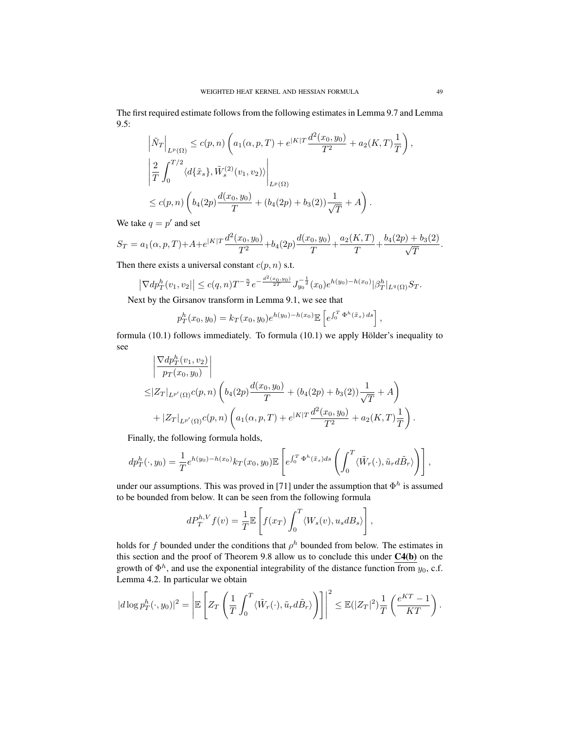The first required estimate follows from the following estimates in Lemma 9.7 and Lemma 9.5:

$$
\begin{split}\n&\left|\tilde{N}_{T}\right|_{L^{p}(\Omega)} \leq c(p,n)\left(a_{1}(\alpha,p,T)+e^{|K|T}\frac{d^{2}(x_{0},y_{0})}{T^{2}}+a_{2}(K,T)\frac{1}{T}\right),\\
&\left|\frac{2}{T}\int_{0}^{T/2}\langle d\{\tilde{x}_{s}\},\tilde{W}_{s}^{(2)}(v_{1},v_{2})\rangle\right|_{L^{p}(\Omega)}\\
&\leq c(p,n)\left(b_{4}(2p)\frac{d(x_{0},y_{0})}{T}+(b_{4}(2p)+b_{3}(2))\frac{1}{\sqrt{T}}+A\right).\n\end{split}
$$

We take  $q = p'$  and set

$$
S_T = a_1(\alpha, p, T) + A + e^{|K|T} \frac{d^2(x_0, y_0)}{T^2} + b_4(2p) \frac{d(x_0, y_0)}{T} + \frac{a_2(K, T)}{T} + \frac{b_4(2p) + b_3(2)}{\sqrt{T}}.
$$

Then there exists a universal constant  $c(p, n)$  s.t.

$$
\left|\nabla dp^h_T(v_1, v_2)\right| \le c(q, n)T^{-\frac{n}{2}} e^{-\frac{d^2(x_0, y_0)}{2T}} J_{y_0}^{-\frac{1}{2}}(x_0) e^{h(y_0) - h(x_0)} |\beta_T^h|_{L^q(\Omega)} S_T.
$$

Next by the Girsanov transform in Lemma 9.1, we see that

$$
p_T^h(x_0, y_0) = k_T(x_0, y_0)e^{h(y_0) - h(x_0)} \mathbb{E}\left[e^{\int_0^T \Phi^h(\tilde{x}_s) ds}\right],
$$

formula  $(10.1)$  follows immediately. To formula  $(10.1)$  we apply Hölder's inequality to see

$$
\begin{aligned}\n&\left|\frac{\nabla dp_T^h(v_1, v_2)}{p_T(x_0, y_0)}\right| \\
&\leq |Z_T|_{L^{p'}(\Omega)}c(p, n)\left(b_4(2p)\frac{d(x_0, y_0)}{T} + (b_4(2p) + b_3(2))\frac{1}{\sqrt{T}} + A\right) \\
&+ |Z_T|_{L^{p'}(\Omega)}c(p, n)\left(a_1(\alpha, p, T) + e^{|K|T}\frac{d^2(x_0, y_0)}{T^2} + a_2(K, T)\frac{1}{T}\right).\n\end{aligned}
$$

Finally, the following formula holds,

$$
dp_T^h(\cdot, y_0) = \frac{1}{T} e^{h(y_0) - h(x_0)} k_T(x_0, y_0) \mathbb{E}\left[e^{\int_0^T \Phi^h(\tilde{x}_s) ds} \left(\int_0^T \langle \tilde{W}_r(\cdot), \tilde{u}_r d\tilde{B}_r \rangle \right)\right],
$$

under our assumptions. This was proved in [71] under the assumption that  $\Phi^h$  is assumed to be bounded from below. It can be seen from the following formula

$$
dP_T^{h,V} f(v) = \frac{1}{T} \mathbb{E}\left[f(x_T) \int_0^T \langle W_s(v), u_s dB_s \rangle\right],
$$

holds for f bounded under the conditions that  $\rho^h$  bounded from below. The estimates in this section and the proof of Theorem 9.8 allow us to conclude this under C4(b) on the growth of  $\Phi^h$ , and use the exponential integrability of the distance function from  $y_0$ , c.f. Lemma 4.2. In particular we obtain

$$
|d\log p_T^h(\cdot, y_0)|^2 = \left| \mathbb{E}\left[Z_T\left(\frac{1}{T}\int_0^T \langle \tilde{W}_r(\cdot), \tilde{u}_r d\tilde{B}_r \rangle \right) \right] \right|^2 \le \mathbb{E}(|Z_T|^2) \frac{1}{T} \left(\frac{e^{KT}-1}{KT}\right)
$$

.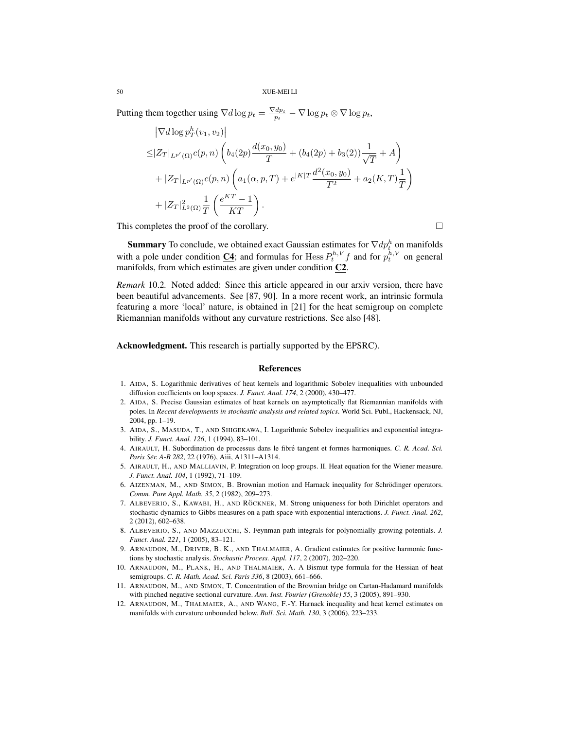Putting them together using  $\nabla d \log p_t = \frac{\nabla d p_t}{p_t} - \nabla \log p_t \otimes \nabla \log p_t$ ,

$$
\begin{split}\n& |\nabla d \log p_T^h(v_1, v_2)| \\
&\leq |Z_T|_{L^{p'}(\Omega)} c(p, n) \left( b_4(2p) \frac{d(x_0, y_0)}{T} + (b_4(2p) + b_3(2)) \frac{1}{\sqrt{T}} + A \right) \\
&+ |Z_T|_{L^{p'}(\Omega)} c(p, n) \left( a_1(\alpha, p, T) + e^{|K|T} \frac{d^2(x_0, y_0)}{T^2} + a_2(K, T) \frac{1}{T} \right) \\
&+ |Z_T|_{L^2(\Omega)}^2 \frac{1}{T} \left( \frac{e^{KT} - 1}{KT} \right).\n\end{split}
$$

This completes the proof of the corollary.

**Summary** To conclude, we obtained exact Gaussian estimates for  $\nabla dp_t^h$  on manifolds with a pole under condition  $\underline{\mathbf{C4}}$ ; and formulas for Hess  $P_t^{h,V} f$  and for  $p_t^{h,V}$  on general manifolds, from which estimates are given under condition C2.

*Remark* 10.2*.* Noted added: Since this article appeared in our arxiv version, there have been beautiful advancements. See [87, 90]. In a more recent work, an intrinsic formula featuring a more 'local' nature, is obtained in [21] for the heat semigroup on complete Riemannian manifolds without any curvature restrictions. See also [48].

Acknowledgment. This research is partially supported by the EPSRC).

#### References

- 1. AIDA, S. Logarithmic derivatives of heat kernels and logarithmic Sobolev inequalities with unbounded diffusion coefficients on loop spaces. *J. Funct. Anal. 174*, 2 (2000), 430–477.
- 2. AIDA, S. Precise Gaussian estimates of heat kernels on asymptotically flat Riemannian manifolds with poles. In *Recent developments in stochastic analysis and related topics*. World Sci. Publ., Hackensack, NJ, 2004, pp. 1–19.
- 3. AIDA, S., MASUDA, T., AND SHIGEKAWA, I. Logarithmic Sobolev inequalities and exponential integrability. *J. Funct. Anal. 126*, 1 (1994), 83–101.
- 4. AIRAULT, H. Subordination de processus dans le fibré tangent et formes harmoniques. C. R. Acad. Sci. *Paris Ser. A-B 282 ´* , 22 (1976), Aiii, A1311–A1314.
- 5. AIRAULT, H., AND MALLIAVIN, P. Integration on loop groups. II. Heat equation for the Wiener measure. *J. Funct. Anal. 104*, 1 (1992), 71–109.
- 6. AIZENMAN, M., AND SIMON, B. Brownian motion and Harnack inequality for Schrodinger operators. ¨ *Comm. Pure Appl. Math. 35*, 2 (1982), 209–273.
- 7. ALBEVERIO, S., KAWABI, H., AND RÖCKNER, M. Strong uniqueness for both Dirichlet operators and stochastic dynamics to Gibbs measures on a path space with exponential interactions. *J. Funct. Anal. 262*, 2 (2012), 602–638.
- 8. ALBEVERIO, S., AND MAZZUCCHI, S. Feynman path integrals for polynomially growing potentials. *J. Funct. Anal. 221*, 1 (2005), 83–121.
- 9. ARNAUDON, M., DRIVER, B. K., AND THALMAIER, A. Gradient estimates for positive harmonic functions by stochastic analysis. *Stochastic Process. Appl. 117*, 2 (2007), 202–220.
- 10. ARNAUDON, M., PLANK, H., AND THALMAIER, A. A Bismut type formula for the Hessian of heat semigroups. *C. R. Math. Acad. Sci. Paris 336*, 8 (2003), 661–666.
- 11. ARNAUDON, M., AND SIMON, T. Concentration of the Brownian bridge on Cartan-Hadamard manifolds with pinched negative sectional curvature. *Ann. Inst. Fourier (Grenoble) 55*, 3 (2005), 891–930.
- 12. ARNAUDON, M., THALMAIER, A., AND WANG, F.-Y. Harnack inequality and heat kernel estimates on manifolds with curvature unbounded below. *Bull. Sci. Math. 130*, 3 (2006), 223–233.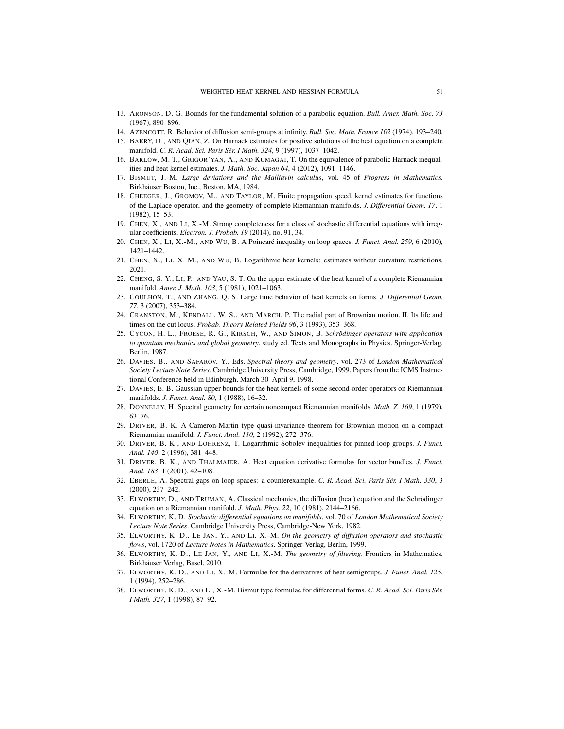- 13. ARONSON, D. G. Bounds for the fundamental solution of a parabolic equation. *Bull. Amer. Math. Soc. 73* (1967), 890–896.
- 14. AZENCOTT, R. Behavior of diffusion semi-groups at infinity. *Bull. Soc. Math. France 102* (1974), 193–240.
- 15. BAKRY, D., AND QIAN, Z. On Harnack estimates for positive solutions of the heat equation on a complete manifold. *C. R. Acad. Sci. Paris Sér. I Math. 324*, 9 (1997), 1037-1042.
- 16. BARLOW, M. T., GRIGOR'YAN, A., AND KUMAGAI, T. On the equivalence of parabolic Harnack inequalities and heat kernel estimates. *J. Math. Soc. Japan 64*, 4 (2012), 1091–1146.
- 17. BISMUT, J.-M. *Large deviations and the Malliavin calculus*, vol. 45 of *Progress in Mathematics*. Birkhäuser Boston, Inc., Boston, MA, 1984.
- 18. CHEEGER, J., GROMOV, M., AND TAYLOR, M. Finite propagation speed, kernel estimates for functions of the Laplace operator, and the geometry of complete Riemannian manifolds. *J. Differential Geom. 17*, 1 (1982), 15–53.
- 19. CHEN, X., AND LI, X.-M. Strong completeness for a class of stochastic differential equations with irregular coefficients. *Electron. J. Probab. 19* (2014), no. 91, 34.
- 20. CHEN, X., LI, X.-M., AND WU, B. A Poincaré inequality on loop spaces. *J. Funct. Anal. 259*, 6 (2010), 1421–1442.
- 21. CHEN, X., LI, X. M., AND WU, B. Logarithmic heat kernels: estimates without curvature restrictions, 2021.
- 22. CHENG, S. Y., LI, P., AND YAU, S. T. On the upper estimate of the heat kernel of a complete Riemannian manifold. *Amer. J. Math. 103*, 5 (1981), 1021–1063.
- 23. COULHON, T., AND ZHANG, Q. S. Large time behavior of heat kernels on forms. *J. Differential Geom. 77*, 3 (2007), 353–384.
- 24. CRANSTON, M., KENDALL, W. S., AND MARCH, P. The radial part of Brownian motion. II. Its life and times on the cut locus. *Probab. Theory Related Fields 96*, 3 (1993), 353–368.
- 25. CYCON, H. L., FROESE, R. G., KIRSCH, W., AND SIMON, B. *Schrodinger operators with application ¨ to quantum mechanics and global geometry*, study ed. Texts and Monographs in Physics. Springer-Verlag, Berlin, 1987.
- 26. DAVIES, B., AND SAFAROV, Y., Eds. *Spectral theory and geometry*, vol. 273 of *London Mathematical Society Lecture Note Series*. Cambridge University Press, Cambridge, 1999. Papers from the ICMS Instructional Conference held in Edinburgh, March 30–April 9, 1998.
- 27. DAVIES, E. B. Gaussian upper bounds for the heat kernels of some second-order operators on Riemannian manifolds. *J. Funct. Anal. 80*, 1 (1988), 16–32.
- 28. DONNELLY, H. Spectral geometry for certain noncompact Riemannian manifolds. *Math. Z. 169*, 1 (1979), 63–76.
- 29. DRIVER, B. K. A Cameron-Martin type quasi-invariance theorem for Brownian motion on a compact Riemannian manifold. *J. Funct. Anal. 110*, 2 (1992), 272–376.
- 30. DRIVER, B. K., AND LOHRENZ, T. Logarithmic Sobolev inequalities for pinned loop groups. *J. Funct. Anal. 140*, 2 (1996), 381–448.
- 31. DRIVER, B. K., AND THALMAIER, A. Heat equation derivative formulas for vector bundles. *J. Funct. Anal. 183*, 1 (2001), 42–108.
- 32. EBERLE, A. Spectral gaps on loop spaces: a counterexample. *C. R. Acad. Sci. Paris Sér. I Math.* 330, 3 (2000), 237–242.
- 33. ELWORTHY, D., AND TRUMAN, A. Classical mechanics, the diffusion (heat) equation and the Schrodinger ¨ equation on a Riemannian manifold. *J. Math. Phys. 22*, 10 (1981), 2144–2166.
- 34. ELWORTHY, K. D. *Stochastic differential equations on manifolds*, vol. 70 of *London Mathematical Society Lecture Note Series*. Cambridge University Press, Cambridge-New York, 1982.
- 35. ELWORTHY, K. D., LE JAN, Y., AND LI, X.-M. *On the geometry of diffusion operators and stochastic flows*, vol. 1720 of *Lecture Notes in Mathematics*. Springer-Verlag, Berlin, 1999.
- 36. ELWORTHY, K. D., LE JAN, Y., AND LI, X.-M. *The geometry of filtering*. Frontiers in Mathematics. Birkhäuser Verlag, Basel, 2010.
- 37. ELWORTHY, K. D., AND LI, X.-M. Formulae for the derivatives of heat semigroups. *J. Funct. Anal. 125*, 1 (1994), 252–286.
- 38. ELWORTHY, K. D., AND LI, X.-M. Bismut type formulae for differential forms. *C. R. Acad. Sci. Paris Ser. ´ I Math. 327*, 1 (1998), 87–92.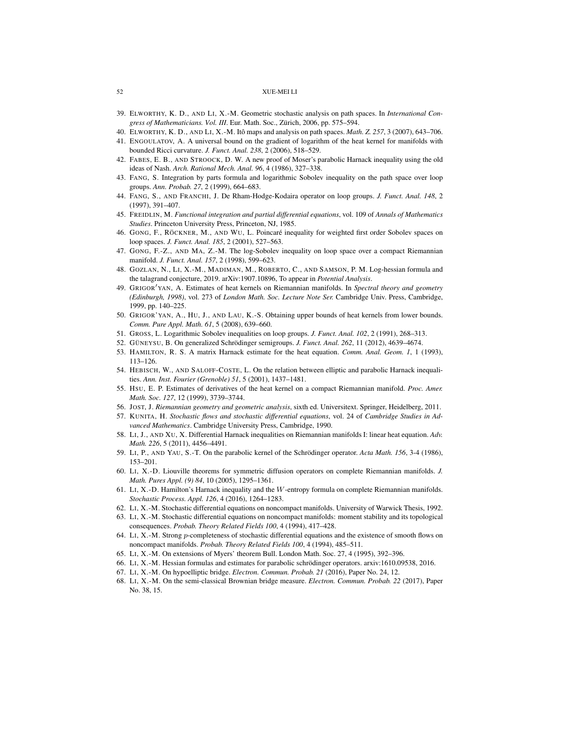- 39. ELWORTHY, K. D., AND LI, X.-M. Geometric stochastic analysis on path spaces. In *International Congress of Mathematicians. Vol. III*. Eur. Math. Soc., Zurich, 2006, pp. 575–594. ¨
- 40. ELWORTHY, K. D., AND LI, X.-M. Itô maps and analysis on path spaces. *Math. Z. 257*, 3 (2007), 643–706.
- 41. ENGOULATOV, A. A universal bound on the gradient of logarithm of the heat kernel for manifolds with bounded Ricci curvature. *J. Funct. Anal. 238*, 2 (2006), 518–529.
- 42. FABES, E. B., AND STROOCK, D. W. A new proof of Moser's parabolic Harnack inequality using the old ideas of Nash. *Arch. Rational Mech. Anal. 96*, 4 (1986), 327–338.
- 43. FANG, S. Integration by parts formula and logarithmic Sobolev inequality on the path space over loop groups. *Ann. Probab. 27*, 2 (1999), 664–683.
- 44. FANG, S., AND FRANCHI, J. De Rham-Hodge-Kodaira operator on loop groups. *J. Funct. Anal. 148*, 2 (1997), 391–407.
- 45. FREIDLIN, M. *Functional integration and partial differential equations*, vol. 109 of *Annals of Mathematics Studies*. Princeton University Press, Princeton, NJ, 1985.
- 46. GONG, F., RÖCKNER, M., AND WU, L. Poincaré inequality for weighted first order Sobolev spaces on loop spaces. *J. Funct. Anal. 185*, 2 (2001), 527–563.
- 47. GONG, F.-Z., AND MA, Z.-M. The log-Sobolev inequality on loop space over a compact Riemannian manifold. *J. Funct. Anal. 157*, 2 (1998), 599–623.
- 48. GOZLAN, N., LI, X.-M., MADIMAN, M., ROBERTO, C., AND SAMSON, P. M. Log-hessian formula and the talagrand conjecture, 2019. arXiv:1907.10896, To appear in *Potential Analysis*.
- 49. GRIGOR<sup>'</sup>YAN, A. Estimates of heat kernels on Riemannian manifolds. In *Spectral theory and geometry (Edinburgh, 1998)*, vol. 273 of *London Math. Soc. Lecture Note Ser.* Cambridge Univ. Press, Cambridge, 1999, pp. 140–225.
- 50. GRIGOR'YAN, A., HU, J., AND LAU, K.-S. Obtaining upper bounds of heat kernels from lower bounds. *Comm. Pure Appl. Math. 61*, 5 (2008), 639–660.
- 51. GROSS, L. Logarithmic Sobolev inequalities on loop groups. *J. Funct. Anal. 102*, 2 (1991), 268–313.
- 52. GÜNEYSU, B. On generalized Schrödinger semigroups. *J. Funct. Anal. 262*, 11 (2012), 4639-4674.
- 53. HAMILTON, R. S. A matrix Harnack estimate for the heat equation. *Comm. Anal. Geom. 1*, 1 (1993), 113–126.
- 54. HEBISCH, W., AND SALOFF-COSTE, L. On the relation between elliptic and parabolic Harnack inequalities. *Ann. Inst. Fourier (Grenoble) 51*, 5 (2001), 1437–1481.
- 55. HSU, E. P. Estimates of derivatives of the heat kernel on a compact Riemannian manifold. *Proc. Amer. Math. Soc. 127*, 12 (1999), 3739–3744.
- 56. JOST, J. *Riemannian geometry and geometric analysis*, sixth ed. Universitext. Springer, Heidelberg, 2011.
- 57. KUNITA, H. *Stochastic flows and stochastic differential equations*, vol. 24 of *Cambridge Studies in Advanced Mathematics*. Cambridge University Press, Cambridge, 1990.
- 58. LI, J., AND XU, X. Differential Harnack inequalities on Riemannian manifolds I: linear heat equation. *Adv. Math. 226*, 5 (2011), 4456–4491.
- 59. LI, P., AND YAU, S.-T. On the parabolic kernel of the Schrödinger operator. Acta Math. 156, 3-4 (1986), 153–201.
- 60. LI, X.-D. Liouville theorems for symmetric diffusion operators on complete Riemannian manifolds. *J. Math. Pures Appl. (9) 84*, 10 (2005), 1295–1361.
- 61. LI, X.-D. Hamilton's Harnack inequality and the W-entropy formula on complete Riemannian manifolds. *Stochastic Process. Appl. 126*, 4 (2016), 1264–1283.
- 62. LI, X.-M. Stochastic differential equations on noncompact manifolds. University of Warwick Thesis, 1992.
- 63. LI, X.-M. Stochastic differential equations on noncompact manifolds: moment stability and its topological consequences. *Probab. Theory Related Fields 100*, 4 (1994), 417–428.
- 64. LI, X.-M. Strong p-completeness of stochastic differential equations and the existence of smooth flows on noncompact manifolds. *Probab. Theory Related Fields 100*, 4 (1994), 485–511.
- 65. LI, X.-M. On extensions of Myers' theorem Bull. London Math. Soc. 27, 4 (1995), 392–396.
- 66. LI, X.-M. Hessian formulas and estimates for parabolic schrödinger operators. arxiv:1610.09538, 2016.
- 67. LI, X.-M. On hypoelliptic bridge. *Electron. Commun. Probab. 21* (2016), Paper No. 24, 12.
- 68. LI, X.-M. On the semi-classical Brownian bridge measure. *Electron. Commun. Probab. 22* (2017), Paper No. 38, 15.